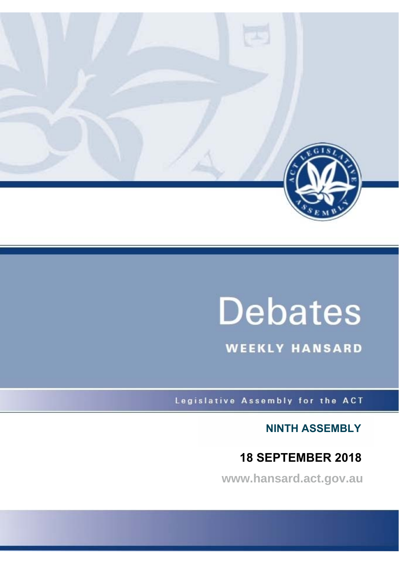

# **Debates**

**WEEKLY HANSARD** 

Legislative Assembly for the ACT

**NINTH ASSEMBLY**

# **18 SEPTEMBER 2018**

**www.hansard.act.gov.au**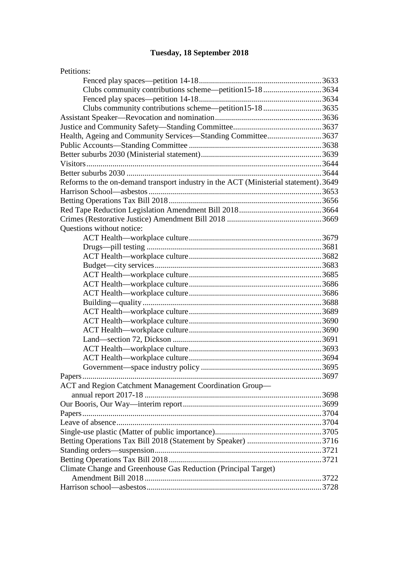# **[Tuesday, 18 September 2018](#page-3-0)**

| Petitions:                                                                           |  |
|--------------------------------------------------------------------------------------|--|
|                                                                                      |  |
| Clubs community contributions scheme—petition15-183634                               |  |
|                                                                                      |  |
| Clubs community contributions scheme—petition15-183635                               |  |
|                                                                                      |  |
|                                                                                      |  |
| Health, Ageing and Community Services—Standing Committee3637                         |  |
|                                                                                      |  |
|                                                                                      |  |
|                                                                                      |  |
|                                                                                      |  |
| Reforms to the on-demand transport industry in the ACT (Ministerial statement). 3649 |  |
|                                                                                      |  |
|                                                                                      |  |
|                                                                                      |  |
|                                                                                      |  |
| Questions without notice:                                                            |  |
|                                                                                      |  |
|                                                                                      |  |
|                                                                                      |  |
|                                                                                      |  |
|                                                                                      |  |
|                                                                                      |  |
|                                                                                      |  |
|                                                                                      |  |
|                                                                                      |  |
|                                                                                      |  |
|                                                                                      |  |
|                                                                                      |  |
|                                                                                      |  |
|                                                                                      |  |
|                                                                                      |  |
|                                                                                      |  |
| ACT and Region Catchment Management Coordination Group-                              |  |
|                                                                                      |  |
|                                                                                      |  |
|                                                                                      |  |
|                                                                                      |  |
|                                                                                      |  |
|                                                                                      |  |
|                                                                                      |  |
|                                                                                      |  |
| Climate Change and Greenhouse Gas Reduction (Principal Target)                       |  |
|                                                                                      |  |
|                                                                                      |  |
|                                                                                      |  |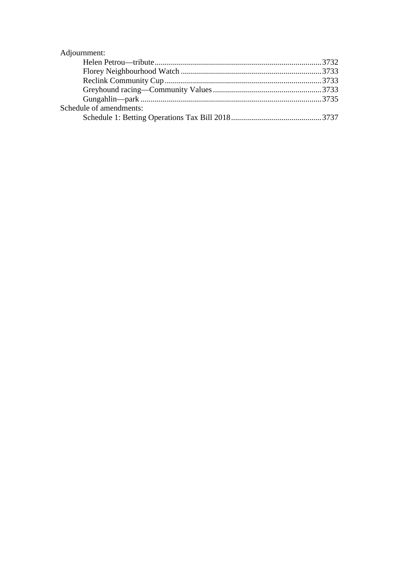| Adjournment:            |  |
|-------------------------|--|
|                         |  |
|                         |  |
|                         |  |
|                         |  |
|                         |  |
| Schedule of amendments: |  |
|                         |  |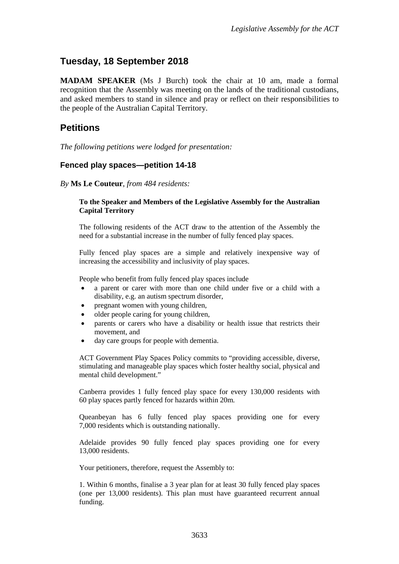# <span id="page-3-0"></span>**Tuesday, 18 September 2018**

**MADAM SPEAKER** (Ms J Burch) took the chair at 10 am, made a formal recognition that the Assembly was meeting on the lands of the traditional custodians, and asked members to stand in silence and pray or reflect on their responsibilities to the people of the Australian Capital Territory.

### <span id="page-3-1"></span>**Petitions**

*The following petitions were lodged for presentation:*

#### <span id="page-3-2"></span>**Fenced play spaces—petition 14-18**

*By* **Ms Le Couteur**, *from 484 residents:*

#### **To the Speaker and Members of the Legislative Assembly for the Australian Capital Territory**

The following residents of the ACT draw to the attention of the Assembly the need for a substantial increase in the number of fully fenced play spaces.

Fully fenced play spaces are a simple and relatively inexpensive way of increasing the accessibility and inclusivity of play spaces.

People who benefit from fully fenced play spaces include

- a parent or carer with more than one child under five or a child with a disability, e.g. an autism spectrum disorder,
- pregnant women with young children,
- older people caring for young children,
- parents or carers who have a disability or health issue that restricts their movement, and
- day care groups for people with dementia.

ACT Government Play Spaces Policy commits to "providing accessible, diverse, stimulating and manageable play spaces which foster healthy social, physical and mental child development."

Canberra provides 1 fully fenced play space for every 130,000 residents with 60 play spaces partly fenced for hazards within 20m.

Queanbeyan has 6 fully fenced play spaces providing one for every 7,000 residents which is outstanding nationally.

Adelaide provides 90 fully fenced play spaces providing one for every 13,000 residents.

Your petitioners, therefore, request the Assembly to:

1. Within 6 months, finalise a 3 year plan for at least 30 fully fenced play spaces (one per 13,000 residents). This plan must have guaranteed recurrent annual funding.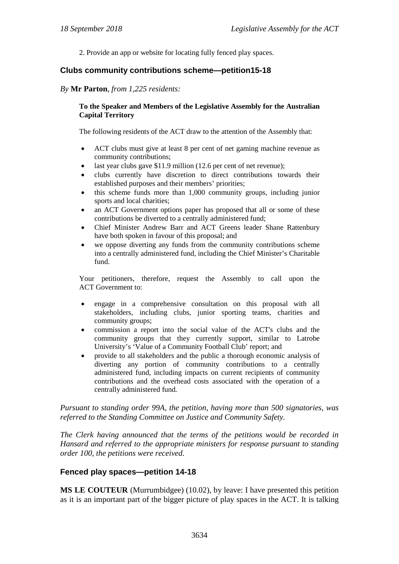2. Provide an app or website for locating fully fenced play spaces.

#### <span id="page-4-0"></span>**Clubs community contributions scheme—petition15-18**

*By* **Mr Parton**, *from 1,225 residents:*

#### **To the Speaker and Members of the Legislative Assembly for the Australian Capital Territory**

The following residents of the ACT draw to the attention of the Assembly that:

- ACT clubs must give at least 8 per cent of net gaming machine revenue as community contributions;
- last year clubs gave \$11.9 million (12.6 per cent of net revenue);
- clubs currently have discretion to direct contributions towards their established purposes and their members' priorities;
- this scheme funds more than 1,000 community groups, including junior sports and local charities;
- an ACT Government options paper has proposed that all or some of these contributions be diverted to a centrally administered fund;
- Chief Minister Andrew Barr and ACT Greens leader Shane Rattenbury have both spoken in favour of this proposal; and
- we oppose diverting any funds from the community contributions scheme into a centrally administered fund, including the Chief Minister's Charitable fund.

Your petitioners, therefore, request the Assembly to call upon the ACT Government to:

- engage in a comprehensive consultation on this proposal with all stakeholders, including clubs, junior sporting teams, charities and community groups;
- commission a report into the social value of the ACT's clubs and the community groups that they currently support, similar to Latrobe University's 'Value of a Community Football Club' report; and
- provide to all stakeholders and the public a thorough economic analysis of diverting any portion of community contributions to a centrally administered fund, including impacts on current recipients of community contributions and the overhead costs associated with the operation of a centrally administered fund.

*Pursuant to standing order 99A, the petition, having more than 500 signatories, was referred to the Standing Committee on Justice and Community Safety.*

*The Clerk having announced that the terms of the petitions would be recorded in Hansard and referred to the appropriate ministers for response pursuant to standing order 100, the petitions were received.*

#### <span id="page-4-1"></span>**Fenced play spaces—petition 14-18**

**MS LE COUTEUR** (Murrumbidgee) (10.02), by leave: I have presented this petition as it is an important part of the bigger picture of play spaces in the ACT. It is talking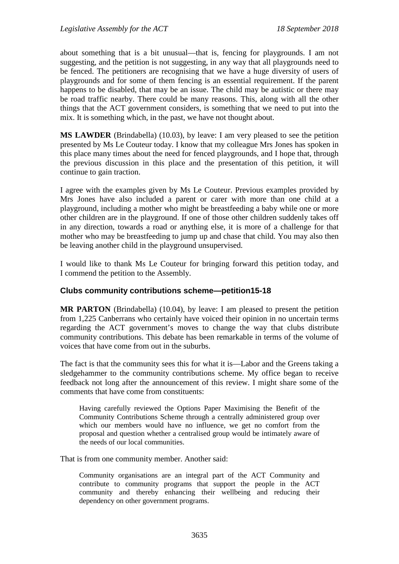about something that is a bit unusual—that is, fencing for playgrounds. I am not suggesting, and the petition is not suggesting, in any way that all playgrounds need to be fenced. The petitioners are recognising that we have a huge diversity of users of playgrounds and for some of them fencing is an essential requirement. If the parent happens to be disabled, that may be an issue. The child may be autistic or there may be road traffic nearby. There could be many reasons. This, along with all the other things that the ACT government considers, is something that we need to put into the mix. It is something which, in the past, we have not thought about.

**MS LAWDER** (Brindabella) (10.03), by leave: I am very pleased to see the petition presented by Ms Le Couteur today. I know that my colleague Mrs Jones has spoken in this place many times about the need for fenced playgrounds, and I hope that, through the previous discussion in this place and the presentation of this petition, it will continue to gain traction.

I agree with the examples given by Ms Le Couteur. Previous examples provided by Mrs Jones have also included a parent or carer with more than one child at a playground, including a mother who might be breastfeeding a baby while one or more other children are in the playground. If one of those other children suddenly takes off in any direction, towards a road or anything else, it is more of a challenge for that mother who may be breastfeeding to jump up and chase that child. You may also then be leaving another child in the playground unsupervised.

I would like to thank Ms Le Couteur for bringing forward this petition today, and I commend the petition to the Assembly.

#### <span id="page-5-0"></span>**Clubs community contributions scheme—petition15-18**

**MR PARTON** (Brindabella) (10.04), by leave: I am pleased to present the petition from 1,225 Canberrans who certainly have voiced their opinion in no uncertain terms regarding the ACT government's moves to change the way that clubs distribute community contributions. This debate has been remarkable in terms of the volume of voices that have come from out in the suburbs.

The fact is that the community sees this for what it is—Labor and the Greens taking a sledgehammer to the community contributions scheme. My office began to receive feedback not long after the announcement of this review. I might share some of the comments that have come from constituents:

Having carefully reviewed the Options Paper Maximising the Benefit of the Community Contributions Scheme through a centrally administered group over which our members would have no influence, we get no comfort from the proposal and question whether a centralised group would be intimately aware of the needs of our local communities.

That is from one community member. Another said:

Community organisations are an integral part of the ACT Community and contribute to community programs that support the people in the ACT community and thereby enhancing their wellbeing and reducing their dependency on other government programs.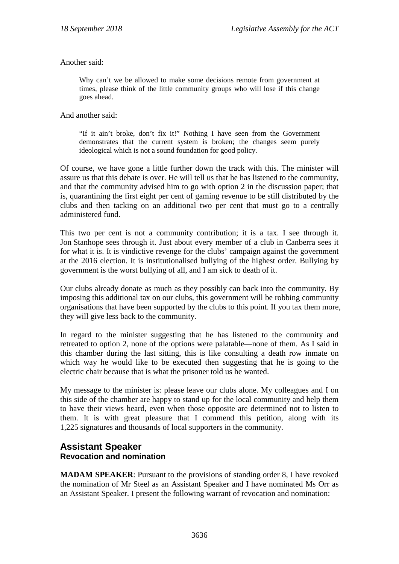Another said:

Why can't we be allowed to make some decisions remote from government at times, please think of the little community groups who will lose if this change goes ahead.

And another said:

"If it ain't broke, don't fix it!" Nothing I have seen from the Government demonstrates that the current system is broken; the changes seem purely ideological which is not a sound foundation for good policy.

Of course, we have gone a little further down the track with this. The minister will assure us that this debate is over. He will tell us that he has listened to the community, and that the community advised him to go with option 2 in the discussion paper; that is, quarantining the first eight per cent of gaming revenue to be still distributed by the clubs and then tacking on an additional two per cent that must go to a centrally administered fund.

This two per cent is not a community contribution; it is a tax. I see through it. Jon Stanhope sees through it. Just about every member of a club in Canberra sees it for what it is. It is vindictive revenge for the clubs' campaign against the government at the 2016 election. It is institutionalised bullying of the highest order. Bullying by government is the worst bullying of all, and I am sick to death of it.

Our clubs already donate as much as they possibly can back into the community. By imposing this additional tax on our clubs, this government will be robbing community organisations that have been supported by the clubs to this point. If you tax them more, they will give less back to the community.

In regard to the minister suggesting that he has listened to the community and retreated to option 2, none of the options were palatable—none of them. As I said in this chamber during the last sitting, this is like consulting a death row inmate on which way he would like to be executed then suggesting that he is going to the electric chair because that is what the prisoner told us he wanted.

My message to the minister is: please leave our clubs alone. My colleagues and I on this side of the chamber are happy to stand up for the local community and help them to have their views heard, even when those opposite are determined not to listen to them. It is with great pleasure that I commend this petition, along with its 1,225 signatures and thousands of local supporters in the community.

#### <span id="page-6-1"></span><span id="page-6-0"></span>**Assistant Speaker Revocation and nomination**

**MADAM SPEAKER**: Pursuant to the provisions of standing order 8, I have revoked the nomination of Mr Steel as an Assistant Speaker and I have nominated Ms Orr as an Assistant Speaker. I present the following warrant of revocation and nomination: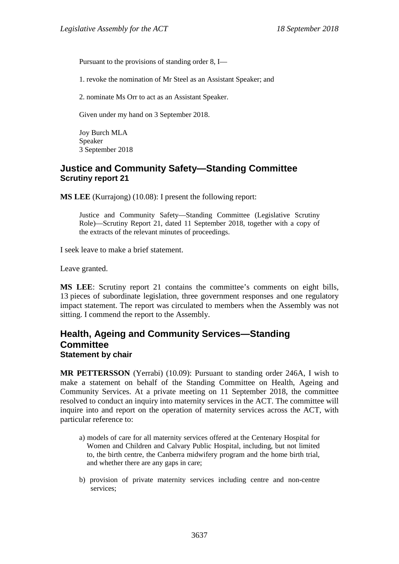Pursuant to the provisions of standing order 8, I—

1. revoke the nomination of Mr Steel as an Assistant Speaker; and

2. nominate Ms Orr to act as an Assistant Speaker.

Given under my hand on 3 September 2018.

Joy Burch MLA Speaker 3 September 2018

#### <span id="page-7-0"></span>**Justice and Community Safety—Standing Committee Scrutiny report 21**

**MS LEE** (Kurrajong) (10.08): I present the following report:

Justice and Community Safety—Standing Committee (Legislative Scrutiny Role)—Scrutiny Report 21, dated 11 September 2018, together with a copy of the extracts of the relevant minutes of proceedings.

I seek leave to make a brief statement.

Leave granted.

**MS LEE**: Scrutiny report 21 contains the committee's comments on eight bills, 13 pieces of subordinate legislation, three government responses and one regulatory impact statement. The report was circulated to members when the Assembly was not sitting. I commend the report to the Assembly.

#### <span id="page-7-1"></span>**Health, Ageing and Community Services—Standing Committee Statement by chair**

**MR PETTERSSON** (Yerrabi) (10.09): Pursuant to standing order 246A, I wish to make a statement on behalf of the Standing Committee on Health, Ageing and Community Services. At a private meeting on 11 September 2018, the committee resolved to conduct an inquiry into maternity services in the ACT. The committee will inquire into and report on the operation of maternity services across the ACT, with particular reference to:

- a) models of care for all maternity services offered at the Centenary Hospital for Women and Children and Calvary Public Hospital, including, but not limited to, the birth centre, the Canberra midwifery program and the home birth trial, and whether there are any gaps in care;
- b) provision of private maternity services including centre and non-centre services;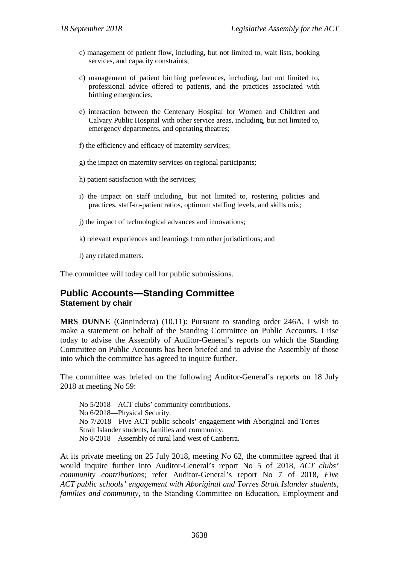- c) management of patient flow, including, but not limited to, wait lists, booking services, and capacity constraints;
- d) management of patient birthing preferences, including, but not limited to, professional advice offered to patients, and the practices associated with birthing emergencies;
- e) interaction between the Centenary Hospital for Women and Children and Calvary Public Hospital with other service areas, including, but not limited to, emergency departments, and operating theatres;
- f) the efficiency and efficacy of maternity services;
- g) the impact on maternity services on regional participants;
- h) patient satisfaction with the services;
- i) the impact on staff including, but not limited to, rostering policies and practices, staff-to-patient ratios, optimum staffing levels, and skills mix;
- j) the impact of technological advances and innovations;
- k) relevant experiences and learnings from other jurisdictions; and

l) any related matters.

The committee will today call for public submissions.

#### <span id="page-8-0"></span>**Public Accounts—Standing Committee Statement by chair**

**MRS DUNNE** (Ginninderra) (10.11): Pursuant to standing order 246A, I wish to make a statement on behalf of the Standing Committee on Public Accounts. I rise today to advise the Assembly of Auditor-General's reports on which the Standing Committee on Public Accounts has been briefed and to advise the Assembly of those into which the committee has agreed to inquire further.

The committee was briefed on the following Auditor-General's reports on 18 July 2018 at meeting No 59:

No 5/2018—ACT clubs' community contributions. No 6/2018—Physical Security. No 7/2018—Five ACT public schools' engagement with Aboriginal and Torres Strait Islander students, families and community. No 8/2018—Assembly of rural land west of Canberra.

At its private meeting on 25 July 2018, meeting No 62, the committee agreed that it would inquire further into Auditor-General's report No 5 of 2018, *ACT clubs' community contributions*; refer Auditor-General's report No 7 of 2018, *Five ACT public schools' engagement with Aboriginal and Torres Strait Islander students, families and community*, to the Standing Committee on Education, Employment and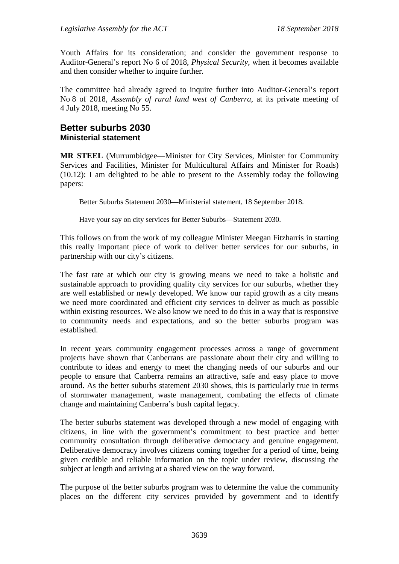Youth Affairs for its consideration; and consider the government response to Auditor-General's report No 6 of 2018, *Physical Security*, when it becomes available and then consider whether to inquire further.

The committee had already agreed to inquire further into Auditor-General's report No 8 of 2018, *Assembly of rural land west of Canberra*, at its private meeting of 4 July 2018, meeting No 55.

#### <span id="page-9-1"></span><span id="page-9-0"></span>**Better suburbs 2030 Ministerial statement**

**MR STEEL** (Murrumbidgee—Minister for City Services, Minister for Community Services and Facilities, Minister for Multicultural Affairs and Minister for Roads) (10.12): I am delighted to be able to present to the Assembly today the following papers:

Better Suburbs Statement 2030—Ministerial statement, 18 September 2018.

Have your say on city services for Better Suburbs—Statement 2030.

This follows on from the work of my colleague Minister Meegan Fitzharris in starting this really important piece of work to deliver better services for our suburbs, in partnership with our city's citizens.

The fast rate at which our city is growing means we need to take a holistic and sustainable approach to providing quality city services for our suburbs, whether they are well established or newly developed. We know our rapid growth as a city means we need more coordinated and efficient city services to deliver as much as possible within existing resources. We also know we need to do this in a way that is responsive to community needs and expectations, and so the better suburbs program was established.

In recent years community engagement processes across a range of government projects have shown that Canberrans are passionate about their city and willing to contribute to ideas and energy to meet the changing needs of our suburbs and our people to ensure that Canberra remains an attractive, safe and easy place to move around. As the better suburbs statement 2030 shows, this is particularly true in terms of stormwater management, waste management, combating the effects of climate change and maintaining Canberra's bush capital legacy.

The better suburbs statement was developed through a new model of engaging with citizens, in line with the government's commitment to best practice and better community consultation through deliberative democracy and genuine engagement. Deliberative democracy involves citizens coming together for a period of time, being given credible and reliable information on the topic under review, discussing the subject at length and arriving at a shared view on the way forward.

The purpose of the better suburbs program was to determine the value the community places on the different city services provided by government and to identify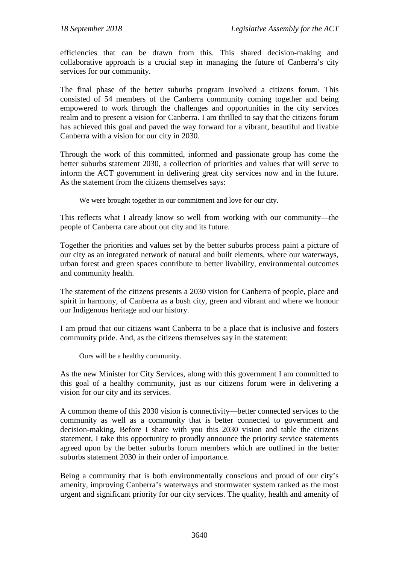efficiencies that can be drawn from this. This shared decision-making and collaborative approach is a crucial step in managing the future of Canberra's city services for our community.

The final phase of the better suburbs program involved a citizens forum. This consisted of 54 members of the Canberra community coming together and being empowered to work through the challenges and opportunities in the city services realm and to present a vision for Canberra. I am thrilled to say that the citizens forum has achieved this goal and paved the way forward for a vibrant, beautiful and livable Canberra with a vision for our city in 2030.

Through the work of this committed, informed and passionate group has come the better suburbs statement 2030, a collection of priorities and values that will serve to inform the ACT government in delivering great city services now and in the future. As the statement from the citizens themselves says:

We were brought together in our commitment and love for our city.

This reflects what I already know so well from working with our community—the people of Canberra care about out city and its future.

Together the priorities and values set by the better suburbs process paint a picture of our city as an integrated network of natural and built elements, where our waterways, urban forest and green spaces contribute to better livability, environmental outcomes and community health.

The statement of the citizens presents a 2030 vision for Canberra of people, place and spirit in harmony, of Canberra as a bush city, green and vibrant and where we honour our Indigenous heritage and our history.

I am proud that our citizens want Canberra to be a place that is inclusive and fosters community pride. And, as the citizens themselves say in the statement:

Ours will be a healthy community.

As the new Minister for City Services, along with this government I am committed to this goal of a healthy community, just as our citizens forum were in delivering a vision for our city and its services.

A common theme of this 2030 vision is connectivity—better connected services to the community as well as a community that is better connected to government and decision-making. Before I share with you this 2030 vision and table the citizens statement, I take this opportunity to proudly announce the priority service statements agreed upon by the better suburbs forum members which are outlined in the better suburbs statement 2030 in their order of importance.

Being a community that is both environmentally conscious and proud of our city's amenity, improving Canberra's waterways and stormwater system ranked as the most urgent and significant priority for our city services. The quality, health and amenity of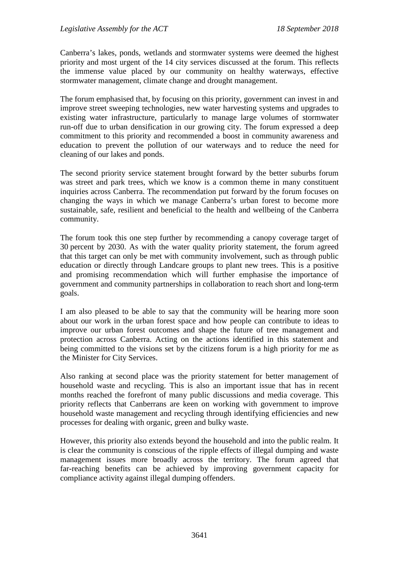Canberra's lakes, ponds, wetlands and stormwater systems were deemed the highest priority and most urgent of the 14 city services discussed at the forum. This reflects the immense value placed by our community on healthy waterways, effective stormwater management, climate change and drought management.

The forum emphasised that, by focusing on this priority, government can invest in and improve street sweeping technologies, new water harvesting systems and upgrades to existing water infrastructure, particularly to manage large volumes of stormwater run-off due to urban densification in our growing city. The forum expressed a deep commitment to this priority and recommended a boost in community awareness and education to prevent the pollution of our waterways and to reduce the need for cleaning of our lakes and ponds.

The second priority service statement brought forward by the better suburbs forum was street and park trees, which we know is a common theme in many constituent inquiries across Canberra. The recommendation put forward by the forum focuses on changing the ways in which we manage Canberra's urban forest to become more sustainable, safe, resilient and beneficial to the health and wellbeing of the Canberra community.

The forum took this one step further by recommending a canopy coverage target of 30 percent by 2030. As with the water quality priority statement, the forum agreed that this target can only be met with community involvement, such as through public education or directly through Landcare groups to plant new trees. This is a positive and promising recommendation which will further emphasise the importance of government and community partnerships in collaboration to reach short and long-term goals.

I am also pleased to be able to say that the community will be hearing more soon about our work in the urban forest space and how people can contribute to ideas to improve our urban forest outcomes and shape the future of tree management and protection across Canberra. Acting on the actions identified in this statement and being committed to the visions set by the citizens forum is a high priority for me as the Minister for City Services.

Also ranking at second place was the priority statement for better management of household waste and recycling. This is also an important issue that has in recent months reached the forefront of many public discussions and media coverage. This priority reflects that Canberrans are keen on working with government to improve household waste management and recycling through identifying efficiencies and new processes for dealing with organic, green and bulky waste.

However, this priority also extends beyond the household and into the public realm. It is clear the community is conscious of the ripple effects of illegal dumping and waste management issues more broadly across the territory. The forum agreed that far-reaching benefits can be achieved by improving government capacity for compliance activity against illegal dumping offenders.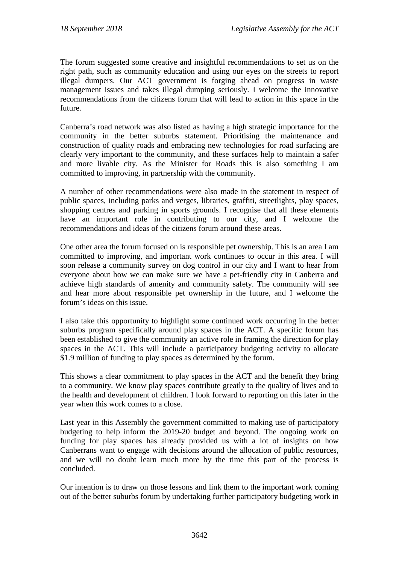The forum suggested some creative and insightful recommendations to set us on the right path, such as community education and using our eyes on the streets to report illegal dumpers. Our ACT government is forging ahead on progress in waste management issues and takes illegal dumping seriously. I welcome the innovative recommendations from the citizens forum that will lead to action in this space in the future.

Canberra's road network was also listed as having a high strategic importance for the community in the better suburbs statement. Prioritising the maintenance and construction of quality roads and embracing new technologies for road surfacing are clearly very important to the community, and these surfaces help to maintain a safer and more livable city. As the Minister for Roads this is also something I am committed to improving, in partnership with the community.

A number of other recommendations were also made in the statement in respect of public spaces, including parks and verges, libraries, graffiti, streetlights, play spaces, shopping centres and parking in sports grounds. I recognise that all these elements have an important role in contributing to our city, and I welcome the recommendations and ideas of the citizens forum around these areas.

One other area the forum focused on is responsible pet ownership. This is an area I am committed to improving, and important work continues to occur in this area. I will soon release a community survey on dog control in our city and I want to hear from everyone about how we can make sure we have a pet-friendly city in Canberra and achieve high standards of amenity and community safety. The community will see and hear more about responsible pet ownership in the future, and I welcome the forum's ideas on this issue.

I also take this opportunity to highlight some continued work occurring in the better suburbs program specifically around play spaces in the ACT. A specific forum has been established to give the community an active role in framing the direction for play spaces in the ACT. This will include a participatory budgeting activity to allocate \$1.9 million of funding to play spaces as determined by the forum.

This shows a clear commitment to play spaces in the ACT and the benefit they bring to a community. We know play spaces contribute greatly to the quality of lives and to the health and development of children. I look forward to reporting on this later in the year when this work comes to a close.

Last year in this Assembly the government committed to making use of participatory budgeting to help inform the 2019-20 budget and beyond. The ongoing work on funding for play spaces has already provided us with a lot of insights on how Canberrans want to engage with decisions around the allocation of public resources, and we will no doubt learn much more by the time this part of the process is concluded.

Our intention is to draw on those lessons and link them to the important work coming out of the better suburbs forum by undertaking further participatory budgeting work in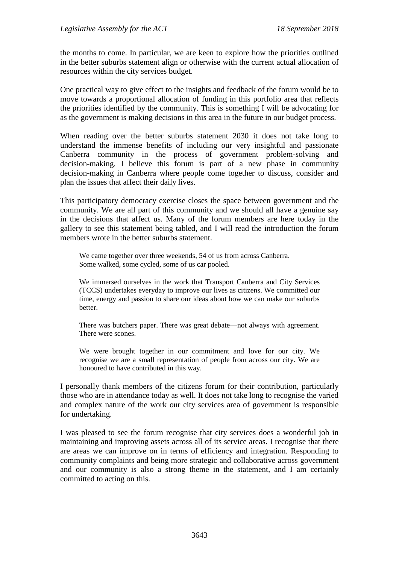the months to come. In particular, we are keen to explore how the priorities outlined in the better suburbs statement align or otherwise with the current actual allocation of resources within the city services budget.

One practical way to give effect to the insights and feedback of the forum would be to move towards a proportional allocation of funding in this portfolio area that reflects the priorities identified by the community. This is something I will be advocating for as the government is making decisions in this area in the future in our budget process.

When reading over the better suburbs statement 2030 it does not take long to understand the immense benefits of including our very insightful and passionate Canberra community in the process of government problem-solving and decision-making. I believe this forum is part of a new phase in community decision-making in Canberra where people come together to discuss, consider and plan the issues that affect their daily lives.

This participatory democracy exercise closes the space between government and the community. We are all part of this community and we should all have a genuine say in the decisions that affect us. Many of the forum members are here today in the gallery to see this statement being tabled, and I will read the introduction the forum members wrote in the better suburbs statement.

We came together over three weekends, 54 of us from across Canberra. Some walked, some cycled, some of us car pooled.

We immersed ourselves in the work that Transport Canberra and City Services (TCCS) undertakes everyday to improve our lives as citizens. We committed our time, energy and passion to share our ideas about how we can make our suburbs better.

There was butchers paper. There was great debate—not always with agreement. There were scones.

We were brought together in our commitment and love for our city. We recognise we are a small representation of people from across our city. We are honoured to have contributed in this way.

I personally thank members of the citizens forum for their contribution, particularly those who are in attendance today as well. It does not take long to recognise the varied and complex nature of the work our city services area of government is responsible for undertaking.

I was pleased to see the forum recognise that city services does a wonderful job in maintaining and improving assets across all of its service areas. I recognise that there are areas we can improve on in terms of efficiency and integration. Responding to community complaints and being more strategic and collaborative across government and our community is also a strong theme in the statement, and I am certainly committed to acting on this.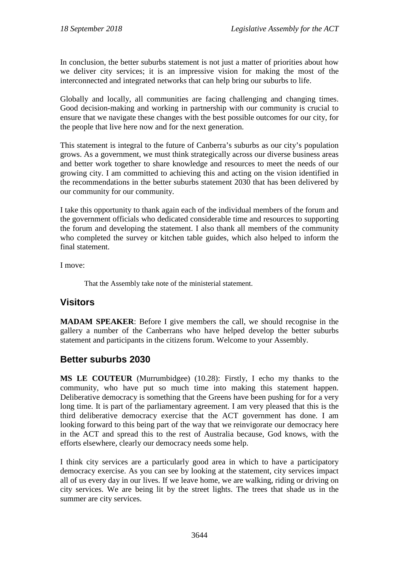In conclusion, the better suburbs statement is not just a matter of priorities about how we deliver city services; it is an impressive vision for making the most of the interconnected and integrated networks that can help bring our suburbs to life.

Globally and locally, all communities are facing challenging and changing times. Good decision-making and working in partnership with our community is crucial to ensure that we navigate these changes with the best possible outcomes for our city, for the people that live here now and for the next generation.

This statement is integral to the future of Canberra's suburbs as our city's population grows. As a government, we must think strategically across our diverse business areas and better work together to share knowledge and resources to meet the needs of our growing city. I am committed to achieving this and acting on the vision identified in the recommendations in the better suburbs statement 2030 that has been delivered by our community for our community.

I take this opportunity to thank again each of the individual members of the forum and the government officials who dedicated considerable time and resources to supporting the forum and developing the statement. I also thank all members of the community who completed the survey or kitchen table guides, which also helped to inform the final statement.

I move:

That the Assembly take note of the ministerial statement.

# <span id="page-14-0"></span>**Visitors**

**MADAM SPEAKER**: Before I give members the call, we should recognise in the gallery a number of the Canberrans who have helped develop the better suburbs statement and participants in the citizens forum. Welcome to your Assembly.

# <span id="page-14-1"></span>**Better suburbs 2030**

**MS LE COUTEUR** (Murrumbidgee) (10.28): Firstly, I echo my thanks to the community, who have put so much time into making this statement happen. Deliberative democracy is something that the Greens have been pushing for for a very long time. It is part of the parliamentary agreement. I am very pleased that this is the third deliberative democracy exercise that the ACT government has done. I am looking forward to this being part of the way that we reinvigorate our democracy here in the ACT and spread this to the rest of Australia because, God knows, with the efforts elsewhere, clearly our democracy needs some help.

I think city services are a particularly good area in which to have a participatory democracy exercise. As you can see by looking at the statement, city services impact all of us every day in our lives. If we leave home, we are walking, riding or driving on city services. We are being lit by the street lights. The trees that shade us in the summer are city services.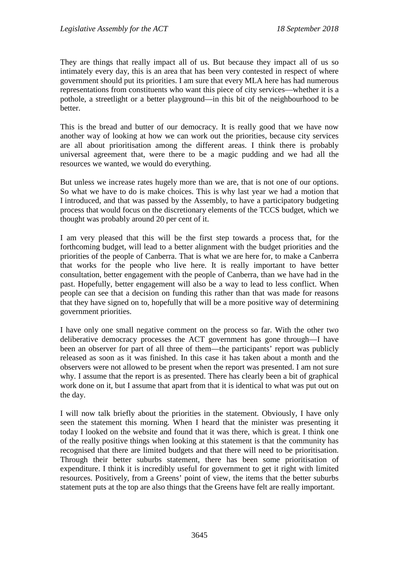They are things that really impact all of us. But because they impact all of us so intimately every day, this is an area that has been very contested in respect of where government should put its priorities. I am sure that every MLA here has had numerous representations from constituents who want this piece of city services—whether it is a pothole, a streetlight or a better playground—in this bit of the neighbourhood to be better.

This is the bread and butter of our democracy. It is really good that we have now another way of looking at how we can work out the priorities, because city services are all about prioritisation among the different areas. I think there is probably universal agreement that, were there to be a magic pudding and we had all the resources we wanted, we would do everything.

But unless we increase rates hugely more than we are, that is not one of our options. So what we have to do is make choices. This is why last year we had a motion that I introduced, and that was passed by the Assembly, to have a participatory budgeting process that would focus on the discretionary elements of the TCCS budget, which we thought was probably around 20 per cent of it.

I am very pleased that this will be the first step towards a process that, for the forthcoming budget, will lead to a better alignment with the budget priorities and the priorities of the people of Canberra. That is what we are here for, to make a Canberra that works for the people who live here. It is really important to have better consultation, better engagement with the people of Canberra, than we have had in the past. Hopefully, better engagement will also be a way to lead to less conflict. When people can see that a decision on funding this rather than that was made for reasons that they have signed on to, hopefully that will be a more positive way of determining government priorities.

I have only one small negative comment on the process so far. With the other two deliberative democracy processes the ACT government has gone through—I have been an observer for part of all three of them—the participants' report was publicly released as soon as it was finished. In this case it has taken about a month and the observers were not allowed to be present when the report was presented. I am not sure why. I assume that the report is as presented. There has clearly been a bit of graphical work done on it, but I assume that apart from that it is identical to what was put out on the day.

I will now talk briefly about the priorities in the statement. Obviously, I have only seen the statement this morning. When I heard that the minister was presenting it today I looked on the website and found that it was there, which is great. I think one of the really positive things when looking at this statement is that the community has recognised that there are limited budgets and that there will need to be prioritisation. Through their better suburbs statement, there has been some prioritisation of expenditure. I think it is incredibly useful for government to get it right with limited resources. Positively, from a Greens' point of view, the items that the better suburbs statement puts at the top are also things that the Greens have felt are really important.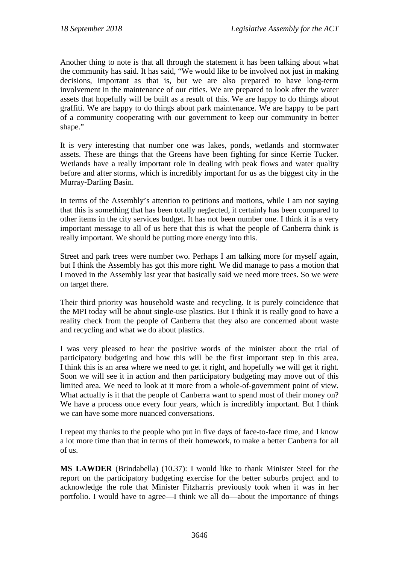Another thing to note is that all through the statement it has been talking about what the community has said. It has said, "We would like to be involved not just in making decisions, important as that is, but we are also prepared to have long-term involvement in the maintenance of our cities. We are prepared to look after the water assets that hopefully will be built as a result of this. We are happy to do things about graffiti. We are happy to do things about park maintenance. We are happy to be part of a community cooperating with our government to keep our community in better shape."

It is very interesting that number one was lakes, ponds, wetlands and stormwater assets. These are things that the Greens have been fighting for since Kerrie Tucker. Wetlands have a really important role in dealing with peak flows and water quality before and after storms, which is incredibly important for us as the biggest city in the Murray-Darling Basin.

In terms of the Assembly's attention to petitions and motions, while I am not saying that this is something that has been totally neglected, it certainly has been compared to other items in the city services budget. It has not been number one. I think it is a very important message to all of us here that this is what the people of Canberra think is really important. We should be putting more energy into this.

Street and park trees were number two. Perhaps I am talking more for myself again, but I think the Assembly has got this more right. We did manage to pass a motion that I moved in the Assembly last year that basically said we need more trees. So we were on target there.

Their third priority was household waste and recycling. It is purely coincidence that the MPI today will be about single-use plastics. But I think it is really good to have a reality check from the people of Canberra that they also are concerned about waste and recycling and what we do about plastics.

I was very pleased to hear the positive words of the minister about the trial of participatory budgeting and how this will be the first important step in this area. I think this is an area where we need to get it right, and hopefully we will get it right. Soon we will see it in action and then participatory budgeting may move out of this limited area. We need to look at it more from a whole-of-government point of view. What actually is it that the people of Canberra want to spend most of their money on? We have a process once every four years, which is incredibly important. But I think we can have some more nuanced conversations.

I repeat my thanks to the people who put in five days of face-to-face time, and I know a lot more time than that in terms of their homework, to make a better Canberra for all of us.

**MS LAWDER** (Brindabella) (10.37): I would like to thank Minister Steel for the report on the participatory budgeting exercise for the better suburbs project and to acknowledge the role that Minister Fitzharris previously took when it was in her portfolio. I would have to agree—I think we all do—about the importance of things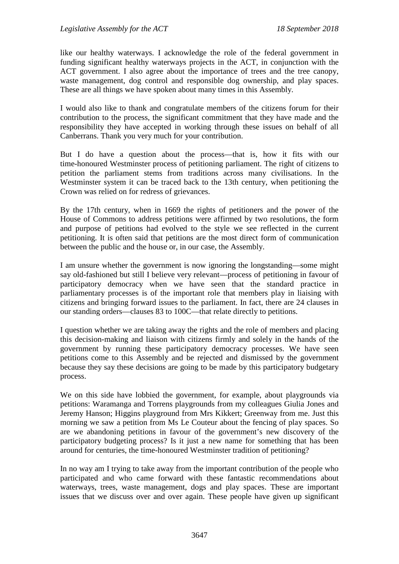like our healthy waterways. I acknowledge the role of the federal government in funding significant healthy waterways projects in the ACT, in conjunction with the ACT government. I also agree about the importance of trees and the tree canopy, waste management, dog control and responsible dog ownership, and play spaces. These are all things we have spoken about many times in this Assembly.

I would also like to thank and congratulate members of the citizens forum for their contribution to the process, the significant commitment that they have made and the responsibility they have accepted in working through these issues on behalf of all Canberrans. Thank you very much for your contribution.

But I do have a question about the process—that is, how it fits with our time-honoured Westminster process of petitioning parliament. The right of citizens to petition the parliament stems from traditions across many civilisations. In the Westminster system it can be traced back to the 13th century, when petitioning the Crown was relied on for redress of grievances.

By the 17th century, when in 1669 the rights of petitioners and the power of the House of Commons to address petitions were affirmed by two resolutions, the form and purpose of petitions had evolved to the style we see reflected in the current petitioning. It is often said that petitions are the most direct form of communication between the public and the house or, in our case, the Assembly.

I am unsure whether the government is now ignoring the longstanding—some might say old-fashioned but still I believe very relevant—process of petitioning in favour of participatory democracy when we have seen that the standard practice in parliamentary processes is of the important role that members play in liaising with citizens and bringing forward issues to the parliament. In fact, there are 24 clauses in our standing orders—clauses 83 to 100C—that relate directly to petitions.

I question whether we are taking away the rights and the role of members and placing this decision-making and liaison with citizens firmly and solely in the hands of the government by running these participatory democracy processes. We have seen petitions come to this Assembly and be rejected and dismissed by the government because they say these decisions are going to be made by this participatory budgetary process.

We on this side have lobbied the government, for example, about playgrounds via petitions: Waramanga and Torrens playgrounds from my colleagues Giulia Jones and Jeremy Hanson; Higgins playground from Mrs Kikkert; Greenway from me. Just this morning we saw a petition from Ms Le Couteur about the fencing of play spaces. So are we abandoning petitions in favour of the government's new discovery of the participatory budgeting process? Is it just a new name for something that has been around for centuries, the time-honoured Westminster tradition of petitioning?

In no way am I trying to take away from the important contribution of the people who participated and who came forward with these fantastic recommendations about waterways, trees, waste management, dogs and play spaces. These are important issues that we discuss over and over again. These people have given up significant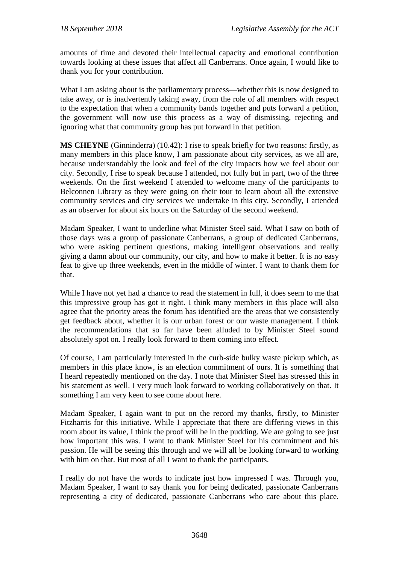amounts of time and devoted their intellectual capacity and emotional contribution towards looking at these issues that affect all Canberrans. Once again, I would like to thank you for your contribution.

What I am asking about is the parliamentary process—whether this is now designed to take away, or is inadvertently taking away, from the role of all members with respect to the expectation that when a community bands together and puts forward a petition, the government will now use this process as a way of dismissing, rejecting and ignoring what that community group has put forward in that petition.

**MS CHEYNE** (Ginninderra) (10.42): I rise to speak briefly for two reasons: firstly, as many members in this place know, I am passionate about city services, as we all are, because understandably the look and feel of the city impacts how we feel about our city. Secondly, I rise to speak because I attended, not fully but in part, two of the three weekends. On the first weekend I attended to welcome many of the participants to Belconnen Library as they were going on their tour to learn about all the extensive community services and city services we undertake in this city. Secondly, I attended as an observer for about six hours on the Saturday of the second weekend.

Madam Speaker, I want to underline what Minister Steel said. What I saw on both of those days was a group of passionate Canberrans, a group of dedicated Canberrans, who were asking pertinent questions, making intelligent observations and really giving a damn about our community, our city, and how to make it better. It is no easy feat to give up three weekends, even in the middle of winter. I want to thank them for that.

While I have not yet had a chance to read the statement in full, it does seem to me that this impressive group has got it right. I think many members in this place will also agree that the priority areas the forum has identified are the areas that we consistently get feedback about, whether it is our urban forest or our waste management. I think the recommendations that so far have been alluded to by Minister Steel sound absolutely spot on. I really look forward to them coming into effect.

Of course, I am particularly interested in the curb-side bulky waste pickup which, as members in this place know, is an election commitment of ours. It is something that I heard repeatedly mentioned on the day. I note that Minister Steel has stressed this in his statement as well. I very much look forward to working collaboratively on that. It something I am very keen to see come about here.

Madam Speaker, I again want to put on the record my thanks, firstly, to Minister Fitzharris for this initiative. While I appreciate that there are differing views in this room about its value, I think the proof will be in the pudding. We are going to see just how important this was. I want to thank Minister Steel for his commitment and his passion. He will be seeing this through and we will all be looking forward to working with him on that. But most of all I want to thank the participants.

I really do not have the words to indicate just how impressed I was. Through you, Madam Speaker, I want to say thank you for being dedicated, passionate Canberrans representing a city of dedicated, passionate Canberrans who care about this place.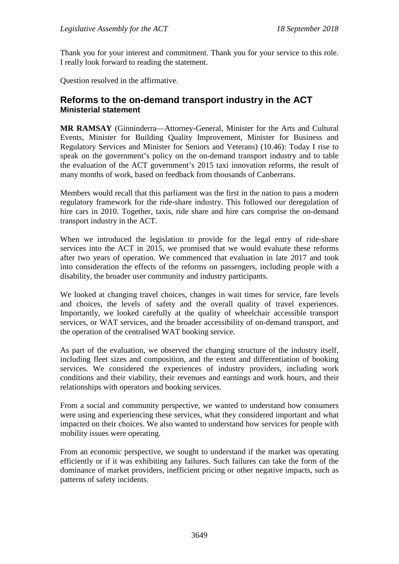Thank you for your interest and commitment. Thank you for your service to this role. I really look forward to reading the statement.

Question resolved in the affirmative.

#### <span id="page-19-1"></span><span id="page-19-0"></span>**Reforms to the on-demand transport industry in the ACT Ministerial statement**

**MR RAMSAY** (Ginninderra—Attorney-General, Minister for the Arts and Cultural Events, Minister for Building Quality Improvement, Minister for Business and Regulatory Services and Minister for Seniors and Veterans) (10.46): Today I rise to speak on the government's policy on the on-demand transport industry and to table the evaluation of the ACT government's 2015 taxi innovation reforms, the result of many months of work, based on feedback from thousands of Canberrans.

Members would recall that this parliament was the first in the nation to pass a modern regulatory framework for the ride-share industry. This followed our deregulation of hire cars in 2010. Together, taxis, ride share and hire cars comprise the on-demand transport industry in the ACT.

When we introduced the legislation to provide for the legal entry of ride-share services into the ACT in 2015, we promised that we would evaluate these reforms after two years of operation. We commenced that evaluation in late 2017 and took into consideration the effects of the reforms on passengers, including people with a disability, the broader user community and industry participants.

We looked at changing travel choices, changes in wait times for service, fare levels and choices, the levels of safety and the overall quality of travel experiences. Importantly, we looked carefully at the quality of wheelchair accessible transport services, or WAT services, and the broader accessibility of on-demand transport, and the operation of the centralised WAT booking service.

As part of the evaluation, we observed the changing structure of the industry itself, including fleet sizes and composition, and the extent and differentiation of booking services. We considered the experiences of industry providers, including work conditions and their viability, their revenues and earnings and work hours, and their relationships with operators and booking services.

From a social and community perspective, we wanted to understand how consumers were using and experiencing these services, what they considered important and what impacted on their choices. We also wanted to understand how services for people with mobility issues were operating.

From an economic perspective, we sought to understand if the market was operating efficiently or if it was exhibiting any failures. Such failures can take the form of the dominance of market providers, inefficient pricing or other negative impacts, such as patterns of safety incidents.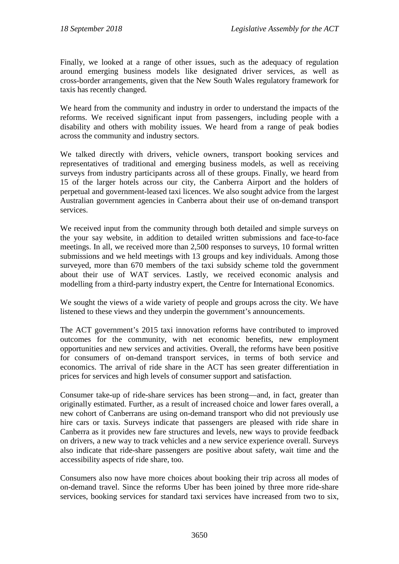Finally, we looked at a range of other issues, such as the adequacy of regulation around emerging business models like designated driver services, as well as cross-border arrangements, given that the New South Wales regulatory framework for taxis has recently changed.

We heard from the community and industry in order to understand the impacts of the reforms. We received significant input from passengers, including people with a disability and others with mobility issues. We heard from a range of peak bodies across the community and industry sectors.

We talked directly with drivers, vehicle owners, transport booking services and representatives of traditional and emerging business models, as well as receiving surveys from industry participants across all of these groups. Finally, we heard from 15 of the larger hotels across our city, the Canberra Airport and the holders of perpetual and government-leased taxi licences. We also sought advice from the largest Australian government agencies in Canberra about their use of on-demand transport services.

We received input from the community through both detailed and simple surveys on the your say website, in addition to detailed written submissions and face-to-face meetings. In all, we received more than 2,500 responses to surveys, 10 formal written submissions and we held meetings with 13 groups and key individuals. Among those surveyed, more than 670 members of the taxi subsidy scheme told the government about their use of WAT services. Lastly, we received economic analysis and modelling from a third-party industry expert, the Centre for International Economics.

We sought the views of a wide variety of people and groups across the city. We have listened to these views and they underpin the government's announcements.

The ACT government's 2015 taxi innovation reforms have contributed to improved outcomes for the community, with net economic benefits, new employment opportunities and new services and activities. Overall, the reforms have been positive for consumers of on-demand transport services, in terms of both service and economics. The arrival of ride share in the ACT has seen greater differentiation in prices for services and high levels of consumer support and satisfaction.

Consumer take-up of ride-share services has been strong—and, in fact, greater than originally estimated. Further, as a result of increased choice and lower fares overall, a new cohort of Canberrans are using on-demand transport who did not previously use hire cars or taxis. Surveys indicate that passengers are pleased with ride share in Canberra as it provides new fare structures and levels, new ways to provide feedback on drivers, a new way to track vehicles and a new service experience overall. Surveys also indicate that ride-share passengers are positive about safety, wait time and the accessibility aspects of ride share, too.

Consumers also now have more choices about booking their trip across all modes of on-demand travel. Since the reforms Uber has been joined by three more ride-share services, booking services for standard taxi services have increased from two to six,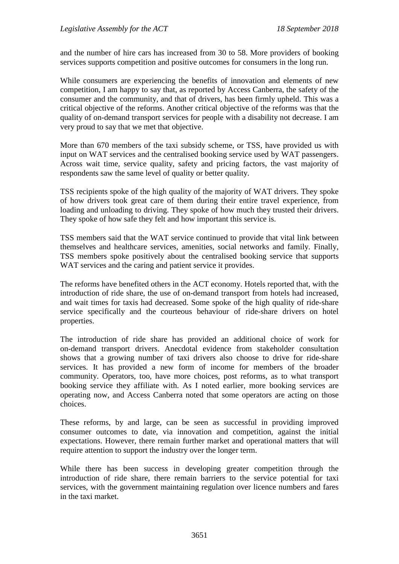and the number of hire cars has increased from 30 to 58. More providers of booking services supports competition and positive outcomes for consumers in the long run.

While consumers are experiencing the benefits of innovation and elements of new competition, I am happy to say that, as reported by Access Canberra, the safety of the consumer and the community, and that of drivers, has been firmly upheld. This was a critical objective of the reforms. Another critical objective of the reforms was that the quality of on-demand transport services for people with a disability not decrease. I am very proud to say that we met that objective.

More than 670 members of the taxi subsidy scheme, or TSS, have provided us with input on WAT services and the centralised booking service used by WAT passengers. Across wait time, service quality, safety and pricing factors, the vast majority of respondents saw the same level of quality or better quality.

TSS recipients spoke of the high quality of the majority of WAT drivers. They spoke of how drivers took great care of them during their entire travel experience, from loading and unloading to driving. They spoke of how much they trusted their drivers. They spoke of how safe they felt and how important this service is.

TSS members said that the WAT service continued to provide that vital link between themselves and healthcare services, amenities, social networks and family. Finally, TSS members spoke positively about the centralised booking service that supports WAT services and the caring and patient service it provides.

The reforms have benefited others in the ACT economy. Hotels reported that, with the introduction of ride share, the use of on-demand transport from hotels had increased, and wait times for taxis had decreased. Some spoke of the high quality of ride-share service specifically and the courteous behaviour of ride-share drivers on hotel properties.

The introduction of ride share has provided an additional choice of work for on-demand transport drivers. Anecdotal evidence from stakeholder consultation shows that a growing number of taxi drivers also choose to drive for ride-share services. It has provided a new form of income for members of the broader community. Operators, too, have more choices, post reforms, as to what transport booking service they affiliate with. As I noted earlier, more booking services are operating now, and Access Canberra noted that some operators are acting on those choices.

These reforms, by and large, can be seen as successful in providing improved consumer outcomes to date, via innovation and competition, against the initial expectations. However, there remain further market and operational matters that will require attention to support the industry over the longer term.

While there has been success in developing greater competition through the introduction of ride share, there remain barriers to the service potential for taxi services, with the government maintaining regulation over licence numbers and fares in the taxi market.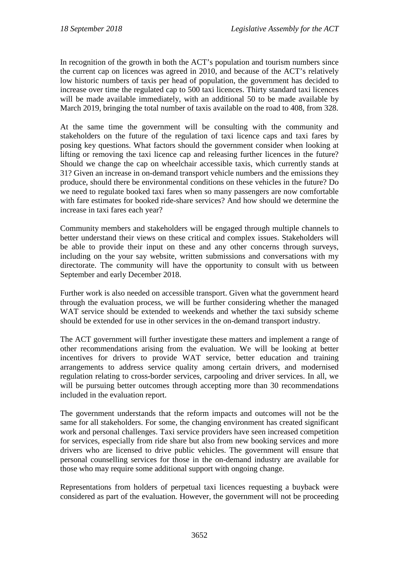In recognition of the growth in both the ACT's population and tourism numbers since the current cap on licences was agreed in 2010, and because of the ACT's relatively low historic numbers of taxis per head of population, the government has decided to increase over time the regulated cap to 500 taxi licences. Thirty standard taxi licences will be made available immediately, with an additional 50 to be made available by March 2019, bringing the total number of taxis available on the road to 408, from 328.

At the same time the government will be consulting with the community and stakeholders on the future of the regulation of taxi licence caps and taxi fares by posing key questions. What factors should the government consider when looking at lifting or removing the taxi licence cap and releasing further licences in the future? Should we change the cap on wheelchair accessible taxis, which currently stands at 31? Given an increase in on-demand transport vehicle numbers and the emissions they produce, should there be environmental conditions on these vehicles in the future? Do we need to regulate booked taxi fares when so many passengers are now comfortable with fare estimates for booked ride-share services? And how should we determine the increase in taxi fares each year?

Community members and stakeholders will be engaged through multiple channels to better understand their views on these critical and complex issues. Stakeholders will be able to provide their input on these and any other concerns through surveys, including on the your say website, written submissions and conversations with my directorate. The community will have the opportunity to consult with us between September and early December 2018.

Further work is also needed on accessible transport. Given what the government heard through the evaluation process, we will be further considering whether the managed WAT service should be extended to weekends and whether the taxi subsidy scheme should be extended for use in other services in the on-demand transport industry.

The ACT government will further investigate these matters and implement a range of other recommendations arising from the evaluation. We will be looking at better incentives for drivers to provide WAT service, better education and training arrangements to address service quality among certain drivers, and modernised regulation relating to cross-border services, carpooling and driver services. In all, we will be pursuing better outcomes through accepting more than 30 recommendations included in the evaluation report.

The government understands that the reform impacts and outcomes will not be the same for all stakeholders. For some, the changing environment has created significant work and personal challenges. Taxi service providers have seen increased competition for services, especially from ride share but also from new booking services and more drivers who are licensed to drive public vehicles. The government will ensure that personal counselling services for those in the on-demand industry are available for those who may require some additional support with ongoing change.

Representations from holders of perpetual taxi licences requesting a buyback were considered as part of the evaluation. However, the government will not be proceeding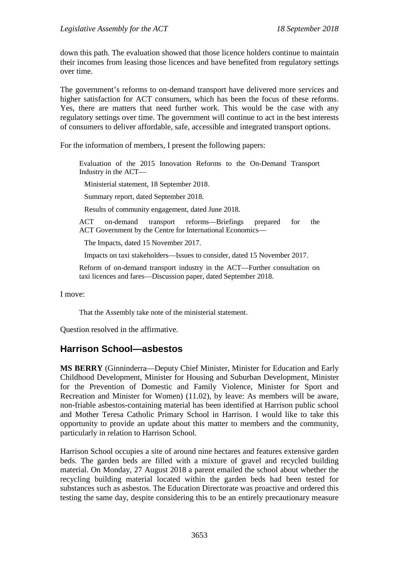down this path. The evaluation showed that those licence holders continue to maintain their incomes from leasing those licences and have benefited from regulatory settings over time.

The government's reforms to on-demand transport have delivered more services and higher satisfaction for ACT consumers, which has been the focus of these reforms. Yes, there are matters that need further work. This would be the case with any regulatory settings over time. The government will continue to act in the best interests of consumers to deliver affordable, safe, accessible and integrated transport options.

For the information of members, I present the following papers:

Evaluation of the 2015 Innovation Reforms to the On-Demand Transport Industry in the ACT—

Ministerial statement, 18 September 2018.

Summary report, dated September 2018.

Results of community engagement, dated June 2018.

ACT on-demand transport reforms—Briefings prepared for the ACT Government by the Centre for International Economics—

The Impacts, dated 15 November 2017.

Impacts on taxi stakeholders—Issues to consider, dated 15 November 2017.

Reform of on-demand transport industry in the ACT—Further consultation on taxi licences and fares—Discussion paper, dated September 2018.

I move:

That the Assembly take note of the ministerial statement.

Question resolved in the affirmative.

#### <span id="page-23-0"></span>**Harrison School—asbestos**

**MS BERRY** (Ginninderra—Deputy Chief Minister, Minister for Education and Early Childhood Development, Minister for Housing and Suburban Development, Minister for the Prevention of Domestic and Family Violence, Minister for Sport and Recreation and Minister for Women) (11.02), by leave: As members will be aware, non-friable asbestos-containing material has been identified at Harrison public school and Mother Teresa Catholic Primary School in Harrison. I would like to take this opportunity to provide an update about this matter to members and the community, particularly in relation to Harrison School.

Harrison School occupies a site of around nine hectares and features extensive garden beds. The garden beds are filled with a mixture of gravel and recycled building material. On Monday, 27 August 2018 a parent emailed the school about whether the recycling building material located within the garden beds had been tested for substances such as asbestos. The Education Directorate was proactive and ordered this testing the same day, despite considering this to be an entirely precautionary measure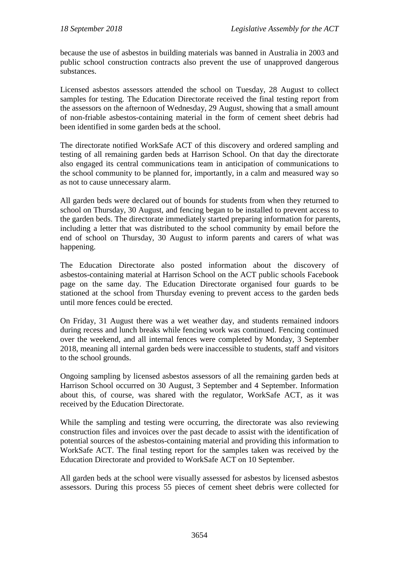because the use of asbestos in building materials was banned in Australia in 2003 and public school construction contracts also prevent the use of unapproved dangerous substances.

Licensed asbestos assessors attended the school on Tuesday, 28 August to collect samples for testing. The Education Directorate received the final testing report from the assessors on the afternoon of Wednesday, 29 August, showing that a small amount of non-friable asbestos-containing material in the form of cement sheet debris had been identified in some garden beds at the school.

The directorate notified WorkSafe ACT of this discovery and ordered sampling and testing of all remaining garden beds at Harrison School. On that day the directorate also engaged its central communications team in anticipation of communications to the school community to be planned for, importantly, in a calm and measured way so as not to cause unnecessary alarm.

All garden beds were declared out of bounds for students from when they returned to school on Thursday, 30 August, and fencing began to be installed to prevent access to the garden beds. The directorate immediately started preparing information for parents, including a letter that was distributed to the school community by email before the end of school on Thursday, 30 August to inform parents and carers of what was happening.

The Education Directorate also posted information about the discovery of asbestos-containing material at Harrison School on the ACT public schools Facebook page on the same day. The Education Directorate organised four guards to be stationed at the school from Thursday evening to prevent access to the garden beds until more fences could be erected.

On Friday, 31 August there was a wet weather day, and students remained indoors during recess and lunch breaks while fencing work was continued. Fencing continued over the weekend, and all internal fences were completed by Monday, 3 September 2018, meaning all internal garden beds were inaccessible to students, staff and visitors to the school grounds.

Ongoing sampling by licensed asbestos assessors of all the remaining garden beds at Harrison School occurred on 30 August, 3 September and 4 September. Information about this, of course, was shared with the regulator, WorkSafe ACT, as it was received by the Education Directorate.

While the sampling and testing were occurring, the directorate was also reviewing construction files and invoices over the past decade to assist with the identification of potential sources of the asbestos-containing material and providing this information to WorkSafe ACT. The final testing report for the samples taken was received by the Education Directorate and provided to WorkSafe ACT on 10 September.

All garden beds at the school were visually assessed for asbestos by licensed asbestos assessors. During this process 55 pieces of cement sheet debris were collected for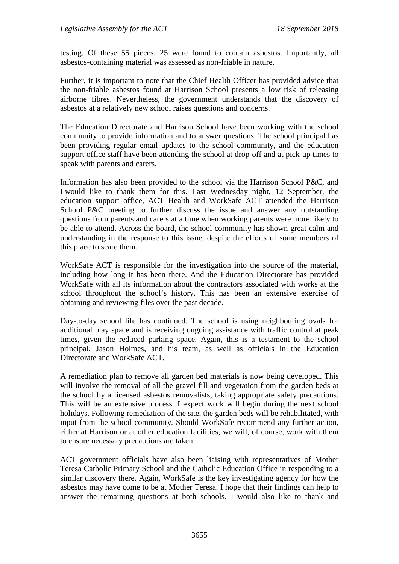testing. Of these 55 pieces, 25 were found to contain asbestos. Importantly, all asbestos-containing material was assessed as non-friable in nature.

Further, it is important to note that the Chief Health Officer has provided advice that the non-friable asbestos found at Harrison School presents a low risk of releasing airborne fibres. Nevertheless, the government understands that the discovery of asbestos at a relatively new school raises questions and concerns.

The Education Directorate and Harrison School have been working with the school community to provide information and to answer questions. The school principal has been providing regular email updates to the school community, and the education support office staff have been attending the school at drop-off and at pick-up times to speak with parents and carers.

Information has also been provided to the school via the Harrison School P&C, and I would like to thank them for this. Last Wednesday night, 12 September, the education support office, ACT Health and WorkSafe ACT attended the Harrison School P&C meeting to further discuss the issue and answer any outstanding questions from parents and carers at a time when working parents were more likely to be able to attend. Across the board, the school community has shown great calm and understanding in the response to this issue, despite the efforts of some members of this place to scare them.

WorkSafe ACT is responsible for the investigation into the source of the material, including how long it has been there. And the Education Directorate has provided WorkSafe with all its information about the contractors associated with works at the school throughout the school's history. This has been an extensive exercise of obtaining and reviewing files over the past decade.

Day-to-day school life has continued. The school is using neighbouring ovals for additional play space and is receiving ongoing assistance with traffic control at peak times, given the reduced parking space. Again, this is a testament to the school principal, Jason Holmes, and his team, as well as officials in the Education Directorate and WorkSafe ACT.

A remediation plan to remove all garden bed materials is now being developed. This will involve the removal of all the gravel fill and vegetation from the garden beds at the school by a licensed asbestos removalists, taking appropriate safety precautions. This will be an extensive process. I expect work will begin during the next school holidays. Following remediation of the site, the garden beds will be rehabilitated, with input from the school community. Should WorkSafe recommend any further action, either at Harrison or at other education facilities, we will, of course, work with them to ensure necessary precautions are taken.

ACT government officials have also been liaising with representatives of Mother Teresa Catholic Primary School and the Catholic Education Office in responding to a similar discovery there. Again, WorkSafe is the key investigating agency for how the asbestos may have come to be at Mother Teresa. I hope that their findings can help to answer the remaining questions at both schools. I would also like to thank and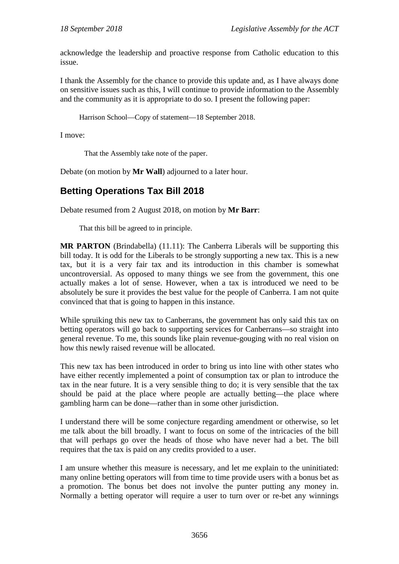acknowledge the leadership and proactive response from Catholic education to this issue.

I thank the Assembly for the chance to provide this update and, as I have always done on sensitive issues such as this, I will continue to provide information to the Assembly and the community as it is appropriate to do so. I present the following paper:

Harrison School—Copy of statement—18 September 2018.

I move:

That the Assembly take note of the paper.

Debate (on motion by **Mr Wall**) adjourned to a later hour.

# <span id="page-26-0"></span>**Betting Operations Tax Bill 2018**

Debate resumed from 2 August 2018, on motion by **Mr Barr**:

That this bill be agreed to in principle.

**MR PARTON** (Brindabella) (11.11): The Canberra Liberals will be supporting this bill today. It is odd for the Liberals to be strongly supporting a new tax. This is a new tax, but it is a very fair tax and its introduction in this chamber is somewhat uncontroversial. As opposed to many things we see from the government, this one actually makes a lot of sense. However, when a tax is introduced we need to be absolutely be sure it provides the best value for the people of Canberra. I am not quite convinced that that is going to happen in this instance.

While spruiking this new tax to Canberrans, the government has only said this tax on betting operators will go back to supporting services for Canberrans—so straight into general revenue. To me, this sounds like plain revenue-gouging with no real vision on how this newly raised revenue will be allocated.

This new tax has been introduced in order to bring us into line with other states who have either recently implemented a point of consumption tax or plan to introduce the tax in the near future. It is a very sensible thing to do; it is very sensible that the tax should be paid at the place where people are actually betting—the place where gambling harm can be done—rather than in some other jurisdiction.

I understand there will be some conjecture regarding amendment or otherwise, so let me talk about the bill broadly. I want to focus on some of the intricacies of the bill that will perhaps go over the heads of those who have never had a bet. The bill requires that the tax is paid on any credits provided to a user.

I am unsure whether this measure is necessary, and let me explain to the uninitiated: many online betting operators will from time to time provide users with a bonus bet as a promotion. The bonus bet does not involve the punter putting any money in. Normally a betting operator will require a user to turn over or re-bet any winnings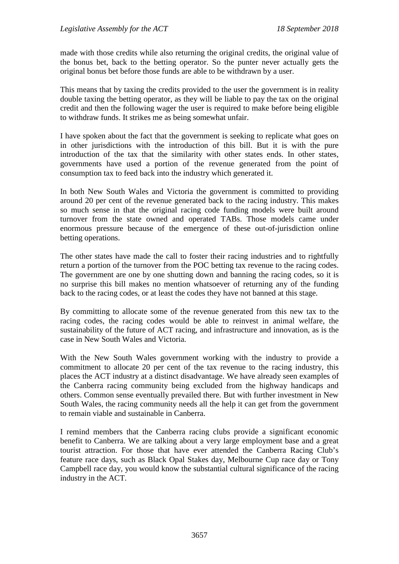made with those credits while also returning the original credits, the original value of the bonus bet, back to the betting operator. So the punter never actually gets the original bonus bet before those funds are able to be withdrawn by a user.

This means that by taxing the credits provided to the user the government is in reality double taxing the betting operator, as they will be liable to pay the tax on the original credit and then the following wager the user is required to make before being eligible to withdraw funds. It strikes me as being somewhat unfair.

I have spoken about the fact that the government is seeking to replicate what goes on in other jurisdictions with the introduction of this bill. But it is with the pure introduction of the tax that the similarity with other states ends. In other states, governments have used a portion of the revenue generated from the point of consumption tax to feed back into the industry which generated it.

In both New South Wales and Victoria the government is committed to providing around 20 per cent of the revenue generated back to the racing industry. This makes so much sense in that the original racing code funding models were built around turnover from the state owned and operated TABs. Those models came under enormous pressure because of the emergence of these out-of-jurisdiction online betting operations.

The other states have made the call to foster their racing industries and to rightfully return a portion of the turnover from the POC betting tax revenue to the racing codes. The government are one by one shutting down and banning the racing codes, so it is no surprise this bill makes no mention whatsoever of returning any of the funding back to the racing codes, or at least the codes they have not banned at this stage.

By committing to allocate some of the revenue generated from this new tax to the racing codes, the racing codes would be able to reinvest in animal welfare, the sustainability of the future of ACT racing, and infrastructure and innovation, as is the case in New South Wales and Victoria.

With the New South Wales government working with the industry to provide a commitment to allocate 20 per cent of the tax revenue to the racing industry, this places the ACT industry at a distinct disadvantage. We have already seen examples of the Canberra racing community being excluded from the highway handicaps and others. Common sense eventually prevailed there. But with further investment in New South Wales, the racing community needs all the help it can get from the government to remain viable and sustainable in Canberra.

I remind members that the Canberra racing clubs provide a significant economic benefit to Canberra. We are talking about a very large employment base and a great tourist attraction. For those that have ever attended the Canberra Racing Club's feature race days, such as Black Opal Stakes day, Melbourne Cup race day or Tony Campbell race day, you would know the substantial cultural significance of the racing industry in the ACT.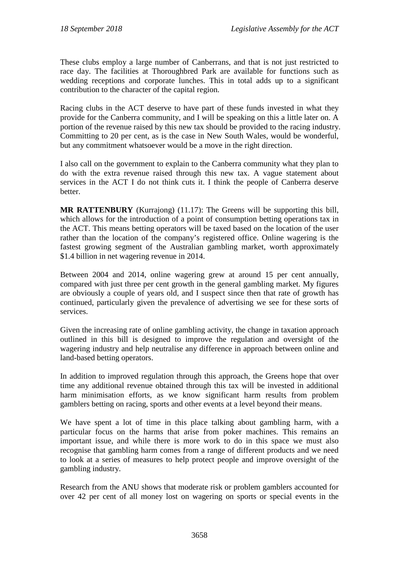These clubs employ a large number of Canberrans, and that is not just restricted to race day. The facilities at Thoroughbred Park are available for functions such as wedding receptions and corporate lunches. This in total adds up to a significant contribution to the character of the capital region.

Racing clubs in the ACT deserve to have part of these funds invested in what they provide for the Canberra community, and I will be speaking on this a little later on. A portion of the revenue raised by this new tax should be provided to the racing industry. Committing to 20 per cent, as is the case in New South Wales, would be wonderful, but any commitment whatsoever would be a move in the right direction.

I also call on the government to explain to the Canberra community what they plan to do with the extra revenue raised through this new tax. A vague statement about services in the ACT I do not think cuts it. I think the people of Canberra deserve better.

**MR RATTENBURY** (Kurrajong) (11.17): The Greens will be supporting this bill, which allows for the introduction of a point of consumption betting operations tax in the ACT. This means betting operators will be taxed based on the location of the user rather than the location of the company's registered office. Online wagering is the fastest growing segment of the Australian gambling market, worth approximately \$1.4 billion in net wagering revenue in 2014.

Between 2004 and 2014, online wagering grew at around 15 per cent annually, compared with just three per cent growth in the general gambling market. My figures are obviously a couple of years old, and I suspect since then that rate of growth has continued, particularly given the prevalence of advertising we see for these sorts of services.

Given the increasing rate of online gambling activity, the change in taxation approach outlined in this bill is designed to improve the regulation and oversight of the wagering industry and help neutralise any difference in approach between online and land-based betting operators.

In addition to improved regulation through this approach, the Greens hope that over time any additional revenue obtained through this tax will be invested in additional harm minimisation efforts, as we know significant harm results from problem gamblers betting on racing, sports and other events at a level beyond their means.

We have spent a lot of time in this place talking about gambling harm, with a particular focus on the harms that arise from poker machines. This remains an important issue, and while there is more work to do in this space we must also recognise that gambling harm comes from a range of different products and we need to look at a series of measures to help protect people and improve oversight of the gambling industry.

Research from the ANU shows that moderate risk or problem gamblers accounted for over 42 per cent of all money lost on wagering on sports or special events in the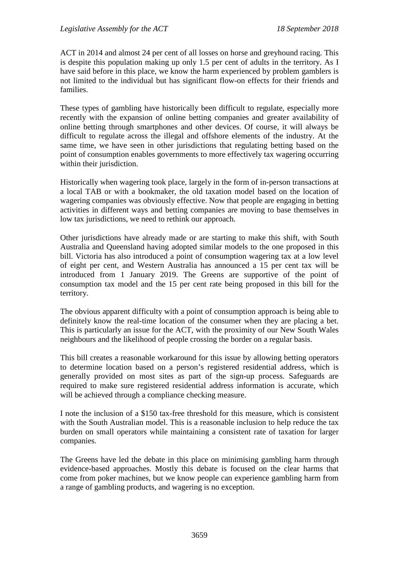ACT in 2014 and almost 24 per cent of all losses on horse and greyhound racing. This is despite this population making up only 1.5 per cent of adults in the territory. As I have said before in this place, we know the harm experienced by problem gamblers is not limited to the individual but has significant flow-on effects for their friends and families.

These types of gambling have historically been difficult to regulate, especially more recently with the expansion of online betting companies and greater availability of online betting through smartphones and other devices. Of course, it will always be difficult to regulate across the illegal and offshore elements of the industry. At the same time, we have seen in other jurisdictions that regulating betting based on the point of consumption enables governments to more effectively tax wagering occurring within their jurisdiction.

Historically when wagering took place, largely in the form of in-person transactions at a local TAB or with a bookmaker, the old taxation model based on the location of wagering companies was obviously effective. Now that people are engaging in betting activities in different ways and betting companies are moving to base themselves in low tax jurisdictions, we need to rethink our approach.

Other jurisdictions have already made or are starting to make this shift, with South Australia and Queensland having adopted similar models to the one proposed in this bill. Victoria has also introduced a point of consumption wagering tax at a low level of eight per cent, and Western Australia has announced a 15 per cent tax will be introduced from 1 January 2019. The Greens are supportive of the point of consumption tax model and the 15 per cent rate being proposed in this bill for the territory.

The obvious apparent difficulty with a point of consumption approach is being able to definitely know the real-time location of the consumer when they are placing a bet. This is particularly an issue for the ACT, with the proximity of our New South Wales neighbours and the likelihood of people crossing the border on a regular basis.

This bill creates a reasonable workaround for this issue by allowing betting operators to determine location based on a person's registered residential address, which is generally provided on most sites as part of the sign-up process. Safeguards are required to make sure registered residential address information is accurate, which will be achieved through a compliance checking measure.

I note the inclusion of a \$150 tax-free threshold for this measure, which is consistent with the South Australian model. This is a reasonable inclusion to help reduce the tax burden on small operators while maintaining a consistent rate of taxation for larger companies.

The Greens have led the debate in this place on minimising gambling harm through evidence-based approaches. Mostly this debate is focused on the clear harms that come from poker machines, but we know people can experience gambling harm from a range of gambling products, and wagering is no exception.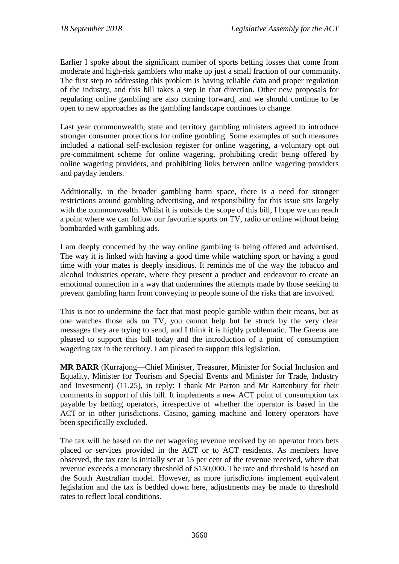Earlier I spoke about the significant number of sports betting losses that come from moderate and high-risk gamblers who make up just a small fraction of our community. The first step to addressing this problem is having reliable data and proper regulation of the industry, and this bill takes a step in that direction. Other new proposals for regulating online gambling are also coming forward, and we should continue to be open to new approaches as the gambling landscape continues to change.

Last year commonwealth, state and territory gambling ministers agreed to introduce stronger consumer protections for online gambling. Some examples of such measures included a national self-exclusion register for online wagering, a voluntary opt out pre-commitment scheme for online wagering, prohibiting credit being offered by online wagering providers, and prohibiting links between online wagering providers and payday lenders.

Additionally, in the broader gambling harm space, there is a need for stronger restrictions around gambling advertising, and responsibility for this issue sits largely with the commonwealth. Whilst it is outside the scope of this bill. I hope we can reach a point where we can follow our favourite sports on TV, radio or online without being bombarded with gambling ads.

I am deeply concerned by the way online gambling is being offered and advertised. The way it is linked with having a good time while watching sport or having a good time with your mates is deeply insidious. It reminds me of the way the tobacco and alcohol industries operate, where they present a product and endeavour to create an emotional connection in a way that undermines the attempts made by those seeking to prevent gambling harm from conveying to people some of the risks that are involved.

This is not to undermine the fact that most people gamble within their means, but as one watches those ads on TV, you cannot help but be struck by the very clear messages they are trying to send, and I think it is highly problematic. The Greens are pleased to support this bill today and the introduction of a point of consumption wagering tax in the territory. I am pleased to support this legislation.

**MR BARR** (Kurrajong—Chief Minister, Treasurer, Minister for Social Inclusion and Equality, Minister for Tourism and Special Events and Minister for Trade, Industry and Investment) (11.25), in reply: I thank Mr Parton and Mr Rattenbury for their comments in support of this bill. It implements a new ACT point of consumption tax payable by betting operators, irrespective of whether the operator is based in the ACT or in other jurisdictions. Casino, gaming machine and lottery operators have been specifically excluded.

The tax will be based on the net wagering revenue received by an operator from bets placed or services provided in the ACT or to ACT residents. As members have observed, the tax rate is initially set at 15 per cent of the revenue received, where that revenue exceeds a monetary threshold of \$150,000. The rate and threshold is based on the South Australian model. However, as more jurisdictions implement equivalent legislation and the tax is bedded down here, adjustments may be made to threshold rates to reflect local conditions.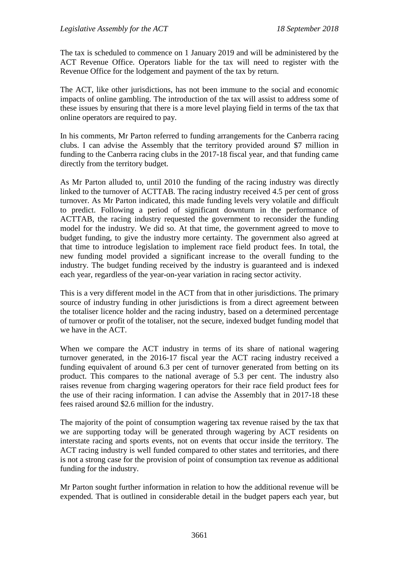The tax is scheduled to commence on 1 January 2019 and will be administered by the ACT Revenue Office. Operators liable for the tax will need to register with the Revenue Office for the lodgement and payment of the tax by return.

The ACT, like other jurisdictions, has not been immune to the social and economic impacts of online gambling. The introduction of the tax will assist to address some of these issues by ensuring that there is a more level playing field in terms of the tax that online operators are required to pay.

In his comments, Mr Parton referred to funding arrangements for the Canberra racing clubs. I can advise the Assembly that the territory provided around \$7 million in funding to the Canberra racing clubs in the 2017-18 fiscal year, and that funding came directly from the territory budget.

As Mr Parton alluded to, until 2010 the funding of the racing industry was directly linked to the turnover of ACTTAB. The racing industry received 4.5 per cent of gross turnover. As Mr Parton indicated, this made funding levels very volatile and difficult to predict. Following a period of significant downturn in the performance of ACTTAB, the racing industry requested the government to reconsider the funding model for the industry. We did so. At that time, the government agreed to move to budget funding, to give the industry more certainty. The government also agreed at that time to introduce legislation to implement race field product fees. In total, the new funding model provided a significant increase to the overall funding to the industry. The budget funding received by the industry is guaranteed and is indexed each year, regardless of the year-on-year variation in racing sector activity.

This is a very different model in the ACT from that in other jurisdictions. The primary source of industry funding in other jurisdictions is from a direct agreement between the totaliser licence holder and the racing industry, based on a determined percentage of turnover or profit of the totaliser, not the secure, indexed budget funding model that we have in the ACT.

When we compare the ACT industry in terms of its share of national wagering turnover generated, in the 2016-17 fiscal year the ACT racing industry received a funding equivalent of around 6.3 per cent of turnover generated from betting on its product. This compares to the national average of 5.3 per cent. The industry also raises revenue from charging wagering operators for their race field product fees for the use of their racing information. I can advise the Assembly that in 2017-18 these fees raised around \$2.6 million for the industry.

The majority of the point of consumption wagering tax revenue raised by the tax that we are supporting today will be generated through wagering by ACT residents on interstate racing and sports events, not on events that occur inside the territory. The ACT racing industry is well funded compared to other states and territories, and there is not a strong case for the provision of point of consumption tax revenue as additional funding for the industry.

Mr Parton sought further information in relation to how the additional revenue will be expended. That is outlined in considerable detail in the budget papers each year, but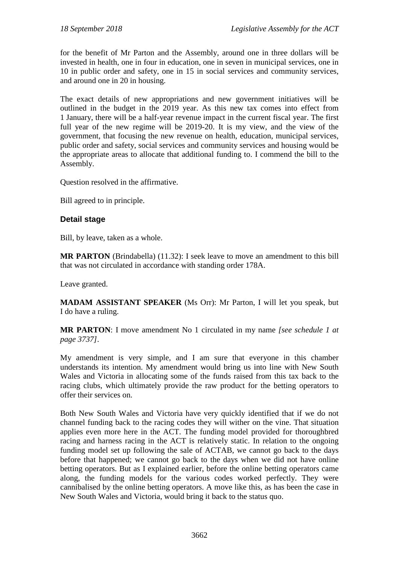for the benefit of Mr Parton and the Assembly, around one in three dollars will be invested in health, one in four in education, one in seven in municipal services, one in 10 in public order and safety, one in 15 in social services and community services, and around one in 20 in housing.

The exact details of new appropriations and new government initiatives will be outlined in the budget in the 2019 year. As this new tax comes into effect from 1 January, there will be a half-year revenue impact in the current fiscal year. The first full year of the new regime will be 2019-20. It is my view, and the view of the government, that focusing the new revenue on health, education, municipal services, public order and safety, social services and community services and housing would be the appropriate areas to allocate that additional funding to. I commend the bill to the Assembly.

Question resolved in the affirmative.

Bill agreed to in principle.

#### **Detail stage**

Bill, by leave, taken as a whole.

**MR PARTON** (Brindabella) (11.32): I seek leave to move an amendment to this bill that was not circulated in accordance with standing order 178A.

Leave granted.

**MADAM ASSISTANT SPEAKER** (Ms Orr): Mr Parton, I will let you speak, but I do have a ruling.

**MR PARTON**: I move amendment No 1 circulated in my name *[see schedule 1 at page 3737]*.

My amendment is very simple, and I am sure that everyone in this chamber understands its intention. My amendment would bring us into line with New South Wales and Victoria in allocating some of the funds raised from this tax back to the racing clubs, which ultimately provide the raw product for the betting operators to offer their services on.

Both New South Wales and Victoria have very quickly identified that if we do not channel funding back to the racing codes they will wither on the vine. That situation applies even more here in the ACT. The funding model provided for thoroughbred racing and harness racing in the ACT is relatively static. In relation to the ongoing funding model set up following the sale of ACTAB, we cannot go back to the days before that happened; we cannot go back to the days when we did not have online betting operators. But as I explained earlier, before the online betting operators came along, the funding models for the various codes worked perfectly. They were cannibalised by the online betting operators. A move like this, as has been the case in New South Wales and Victoria, would bring it back to the status quo.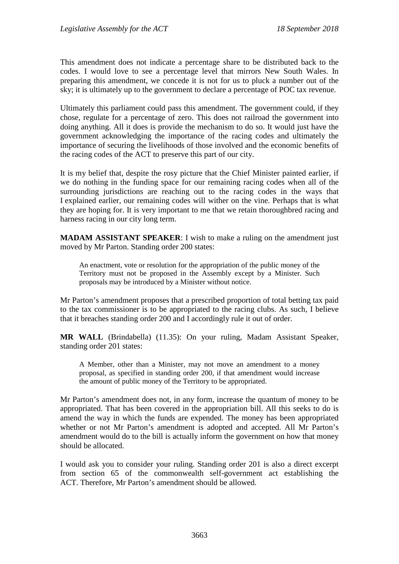This amendment does not indicate a percentage share to be distributed back to the codes. I would love to see a percentage level that mirrors New South Wales. In preparing this amendment, we concede it is not for us to pluck a number out of the sky; it is ultimately up to the government to declare a percentage of POC tax revenue.

Ultimately this parliament could pass this amendment. The government could, if they chose, regulate for a percentage of zero. This does not railroad the government into doing anything. All it does is provide the mechanism to do so. It would just have the government acknowledging the importance of the racing codes and ultimately the importance of securing the livelihoods of those involved and the economic benefits of the racing codes of the ACT to preserve this part of our city.

It is my belief that, despite the rosy picture that the Chief Minister painted earlier, if we do nothing in the funding space for our remaining racing codes when all of the surrounding jurisdictions are reaching out to the racing codes in the ways that I explained earlier, our remaining codes will wither on the vine. Perhaps that is what they are hoping for. It is very important to me that we retain thoroughbred racing and harness racing in our city long term.

**MADAM ASSISTANT SPEAKER**: I wish to make a ruling on the amendment just moved by Mr Parton. Standing order 200 states:

An enactment, vote or resolution for the appropriation of the public money of the Territory must not be proposed in the Assembly except by a Minister. Such proposals may be introduced by a Minister without notice.

Mr Parton's amendment proposes that a prescribed proportion of total betting tax paid to the tax commissioner is to be appropriated to the racing clubs. As such, I believe that it breaches standing order 200 and I accordingly rule it out of order.

**MR WALL** (Brindabella) (11.35): On your ruling, Madam Assistant Speaker, standing order 201 states:

A Member, other than a Minister, may not move an amendment to a money proposal, as specified in standing order 200, if that amendment would increase the amount of public money of the Territory to be appropriated.

Mr Parton's amendment does not, in any form, increase the quantum of money to be appropriated. That has been covered in the appropriation bill. All this seeks to do is amend the way in which the funds are expended. The money has been appropriated whether or not Mr Parton's amendment is adopted and accepted. All Mr Parton's amendment would do to the bill is actually inform the government on how that money should be allocated.

I would ask you to consider your ruling. Standing order 201 is also a direct excerpt from section 65 of the commonwealth self-government act establishing the ACT. Therefore, Mr Parton's amendment should be allowed.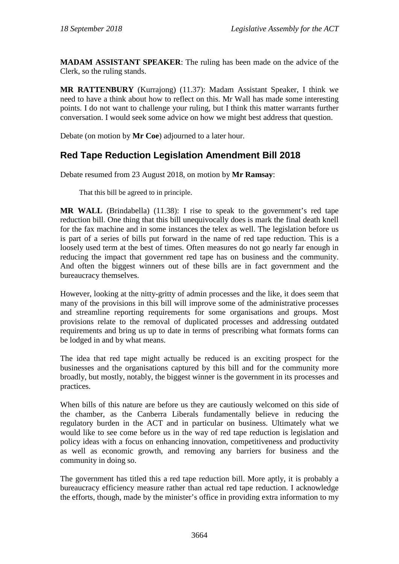**MADAM ASSISTANT SPEAKER**: The ruling has been made on the advice of the Clerk, so the ruling stands.

**MR RATTENBURY** (Kurrajong) (11.37): Madam Assistant Speaker, I think we need to have a think about how to reflect on this. Mr Wall has made some interesting points. I do not want to challenge your ruling, but I think this matter warrants further conversation. I would seek some advice on how we might best address that question.

Debate (on motion by **Mr Coe**) adjourned to a later hour.

# <span id="page-34-0"></span>**Red Tape Reduction Legislation Amendment Bill 2018**

Debate resumed from 23 August 2018, on motion by **Mr Ramsay**:

That this bill be agreed to in principle.

**MR WALL** (Brindabella) (11.38): I rise to speak to the government's red tape reduction bill. One thing that this bill unequivocally does is mark the final death knell for the fax machine and in some instances the telex as well. The legislation before us is part of a series of bills put forward in the name of red tape reduction. This is a loosely used term at the best of times. Often measures do not go nearly far enough in reducing the impact that government red tape has on business and the community. And often the biggest winners out of these bills are in fact government and the bureaucracy themselves.

However, looking at the nitty-gritty of admin processes and the like, it does seem that many of the provisions in this bill will improve some of the administrative processes and streamline reporting requirements for some organisations and groups. Most provisions relate to the removal of duplicated processes and addressing outdated requirements and bring us up to date in terms of prescribing what formats forms can be lodged in and by what means.

The idea that red tape might actually be reduced is an exciting prospect for the businesses and the organisations captured by this bill and for the community more broadly, but mostly, notably, the biggest winner is the government in its processes and practices.

When bills of this nature are before us they are cautiously welcomed on this side of the chamber, as the Canberra Liberals fundamentally believe in reducing the regulatory burden in the ACT and in particular on business. Ultimately what we would like to see come before us in the way of red tape reduction is legislation and policy ideas with a focus on enhancing innovation, competitiveness and productivity as well as economic growth, and removing any barriers for business and the community in doing so.

The government has titled this a red tape reduction bill. More aptly, it is probably a bureaucracy efficiency measure rather than actual red tape reduction. I acknowledge the efforts, though, made by the minister's office in providing extra information to my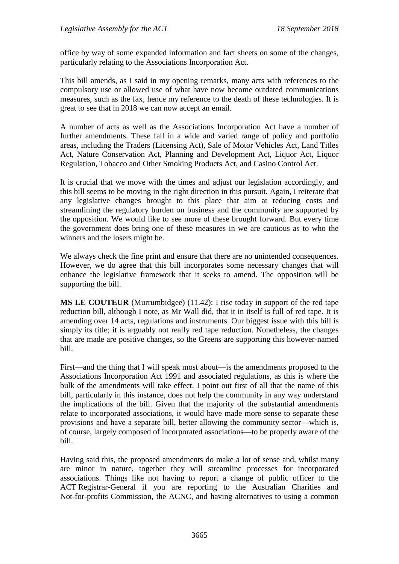office by way of some expanded information and fact sheets on some of the changes, particularly relating to the Associations Incorporation Act.

This bill amends, as I said in my opening remarks, many acts with references to the compulsory use or allowed use of what have now become outdated communications measures, such as the fax, hence my reference to the death of these technologies. It is great to see that in 2018 we can now accept an email.

A number of acts as well as the Associations Incorporation Act have a number of further amendments. These fall in a wide and varied range of policy and portfolio areas, including the Traders (Licensing Act), Sale of Motor Vehicles Act, Land Titles Act, Nature Conservation Act, Planning and Development Act, Liquor Act, Liquor Regulation, Tobacco and Other Smoking Products Act, and Casino Control Act.

It is crucial that we move with the times and adjust our legislation accordingly, and this bill seems to be moving in the right direction in this pursuit. Again, I reiterate that any legislative changes brought to this place that aim at reducing costs and streamlining the regulatory burden on business and the community are supported by the opposition. We would like to see more of these brought forward. But every time the government does bring one of these measures in we are cautious as to who the winners and the losers might be.

We always check the fine print and ensure that there are no unintended consequences. However, we do agree that this bill incorporates some necessary changes that will enhance the legislative framework that it seeks to amend. The opposition will be supporting the bill.

**MS LE COUTEUR** (Murrumbidgee) (11.42): I rise today in support of the red tape reduction bill, although I note, as Mr Wall did, that it in itself is full of red tape. It is amending over 14 acts, regulations and instruments. Our biggest issue with this bill is simply its title; it is arguably not really red tape reduction. Nonetheless, the changes that are made are positive changes, so the Greens are supporting this however-named bill.

First—and the thing that I will speak most about—is the amendments proposed to the Associations Incorporation Act 1991 and associated regulations, as this is where the bulk of the amendments will take effect. I point out first of all that the name of this bill, particularly in this instance, does not help the community in any way understand the implications of the bill. Given that the majority of the substantial amendments relate to incorporated associations, it would have made more sense to separate these provisions and have a separate bill, better allowing the community sector—which is, of course, largely composed of incorporated associations—to be properly aware of the bill.

Having said this, the proposed amendments do make a lot of sense and, whilst many are minor in nature, together they will streamline processes for incorporated associations. Things like not having to report a change of public officer to the ACT Registrar-General if you are reporting to the Australian Charities and Not-for-profits Commission, the ACNC, and having alternatives to using a common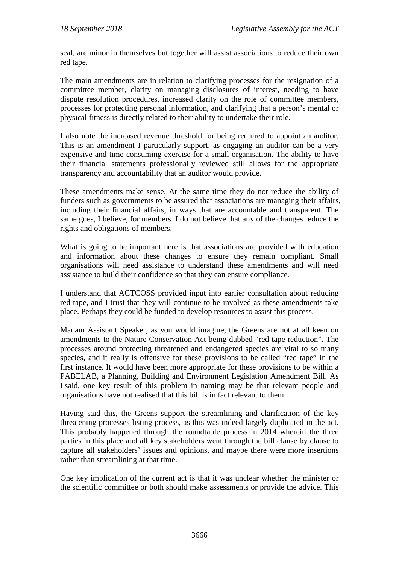seal, are minor in themselves but together will assist associations to reduce their own red tape.

The main amendments are in relation to clarifying processes for the resignation of a committee member, clarity on managing disclosures of interest, needing to have dispute resolution procedures, increased clarity on the role of committee members, processes for protecting personal information, and clarifying that a person's mental or physical fitness is directly related to their ability to undertake their role.

I also note the increased revenue threshold for being required to appoint an auditor. This is an amendment I particularly support, as engaging an auditor can be a very expensive and time-consuming exercise for a small organisation. The ability to have their financial statements professionally reviewed still allows for the appropriate transparency and accountability that an auditor would provide.

These amendments make sense. At the same time they do not reduce the ability of funders such as governments to be assured that associations are managing their affairs, including their financial affairs, in ways that are accountable and transparent. The same goes, I believe, for members. I do not believe that any of the changes reduce the rights and obligations of members.

What is going to be important here is that associations are provided with education and information about these changes to ensure they remain compliant. Small organisations will need assistance to understand these amendments and will need assistance to build their confidence so that they can ensure compliance.

I understand that ACTCOSS provided input into earlier consultation about reducing red tape, and I trust that they will continue to be involved as these amendments take place. Perhaps they could be funded to develop resources to assist this process.

Madam Assistant Speaker, as you would imagine, the Greens are not at all keen on amendments to the Nature Conservation Act being dubbed "red tape reduction". The processes around protecting threatened and endangered species are vital to so many species, and it really is offensive for these provisions to be called "red tape" in the first instance. It would have been more appropriate for these provisions to be within a PABELAB, a Planning, Building and Environment Legislation Amendment Bill. As I said, one key result of this problem in naming may be that relevant people and organisations have not realised that this bill is in fact relevant to them.

Having said this, the Greens support the streamlining and clarification of the key threatening processes listing process, as this was indeed largely duplicated in the act. This probably happened through the roundtable process in 2014 wherein the three parties in this place and all key stakeholders went through the bill clause by clause to capture all stakeholders' issues and opinions, and maybe there were more insertions rather than streamlining at that time.

One key implication of the current act is that it was unclear whether the minister or the scientific committee or both should make assessments or provide the advice. This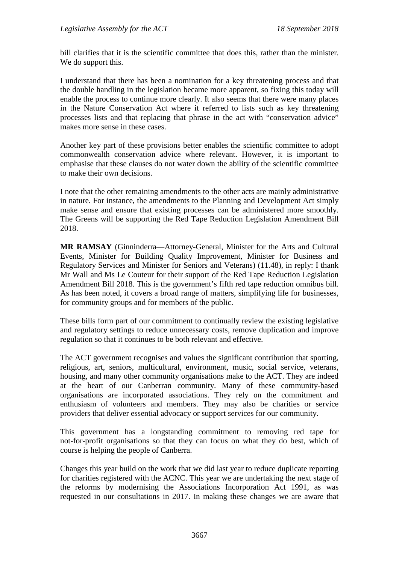bill clarifies that it is the scientific committee that does this, rather than the minister. We do support this.

I understand that there has been a nomination for a key threatening process and that the double handling in the legislation became more apparent, so fixing this today will enable the process to continue more clearly. It also seems that there were many places in the Nature Conservation Act where it referred to lists such as key threatening processes lists and that replacing that phrase in the act with "conservation advice" makes more sense in these cases.

Another key part of these provisions better enables the scientific committee to adopt commonwealth conservation advice where relevant. However, it is important to emphasise that these clauses do not water down the ability of the scientific committee to make their own decisions.

I note that the other remaining amendments to the other acts are mainly administrative in nature. For instance, the amendments to the Planning and Development Act simply make sense and ensure that existing processes can be administered more smoothly. The Greens will be supporting the Red Tape Reduction Legislation Amendment Bill 2018.

**MR RAMSAY** (Ginninderra—Attorney-General, Minister for the Arts and Cultural Events, Minister for Building Quality Improvement, Minister for Business and Regulatory Services and Minister for Seniors and Veterans) (11.48), in reply: I thank Mr Wall and Ms Le Couteur for their support of the Red Tape Reduction Legislation Amendment Bill 2018. This is the government's fifth red tape reduction omnibus bill. As has been noted, it covers a broad range of matters, simplifying life for businesses, for community groups and for members of the public.

These bills form part of our commitment to continually review the existing legislative and regulatory settings to reduce unnecessary costs, remove duplication and improve regulation so that it continues to be both relevant and effective.

The ACT government recognises and values the significant contribution that sporting, religious, art, seniors, multicultural, environment, music, social service, veterans, housing, and many other community organisations make to the ACT. They are indeed at the heart of our Canberran community. Many of these community-based organisations are incorporated associations. They rely on the commitment and enthusiasm of volunteers and members. They may also be charities or service providers that deliver essential advocacy or support services for our community.

This government has a longstanding commitment to removing red tape for not-for-profit organisations so that they can focus on what they do best, which of course is helping the people of Canberra.

Changes this year build on the work that we did last year to reduce duplicate reporting for charities registered with the ACNC. This year we are undertaking the next stage of the reforms by modernising the Associations Incorporation Act 1991, as was requested in our consultations in 2017. In making these changes we are aware that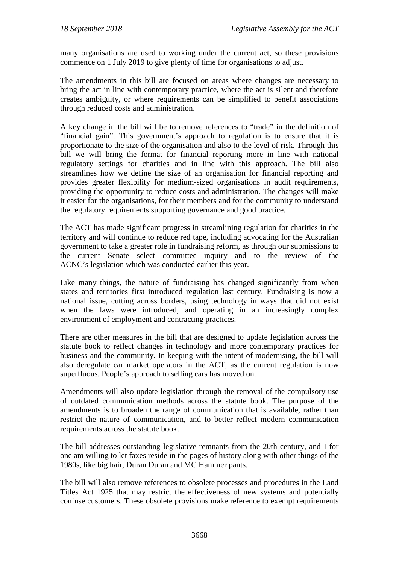many organisations are used to working under the current act, so these provisions commence on 1 July 2019 to give plenty of time for organisations to adjust.

The amendments in this bill are focused on areas where changes are necessary to bring the act in line with contemporary practice, where the act is silent and therefore creates ambiguity, or where requirements can be simplified to benefit associations through reduced costs and administration.

A key change in the bill will be to remove references to "trade" in the definition of "financial gain". This government's approach to regulation is to ensure that it is proportionate to the size of the organisation and also to the level of risk. Through this bill we will bring the format for financial reporting more in line with national regulatory settings for charities and in line with this approach. The bill also streamlines how we define the size of an organisation for financial reporting and provides greater flexibility for medium-sized organisations in audit requirements, providing the opportunity to reduce costs and administration. The changes will make it easier for the organisations, for their members and for the community to understand the regulatory requirements supporting governance and good practice.

The ACT has made significant progress in streamlining regulation for charities in the territory and will continue to reduce red tape, including advocating for the Australian government to take a greater role in fundraising reform, as through our submissions to the current Senate select committee inquiry and to the review of the ACNC's legislation which was conducted earlier this year.

Like many things, the nature of fundraising has changed significantly from when states and territories first introduced regulation last century. Fundraising is now a national issue, cutting across borders, using technology in ways that did not exist when the laws were introduced, and operating in an increasingly complex environment of employment and contracting practices.

There are other measures in the bill that are designed to update legislation across the statute book to reflect changes in technology and more contemporary practices for business and the community. In keeping with the intent of modernising, the bill will also deregulate car market operators in the ACT, as the current regulation is now superfluous. People's approach to selling cars has moved on.

Amendments will also update legislation through the removal of the compulsory use of outdated communication methods across the statute book. The purpose of the amendments is to broaden the range of communication that is available, rather than restrict the nature of communication, and to better reflect modern communication requirements across the statute book.

The bill addresses outstanding legislative remnants from the 20th century, and I for one am willing to let faxes reside in the pages of history along with other things of the 1980s, like big hair, Duran Duran and MC Hammer pants.

The bill will also remove references to obsolete processes and procedures in the Land Titles Act 1925 that may restrict the effectiveness of new systems and potentially confuse customers. These obsolete provisions make reference to exempt requirements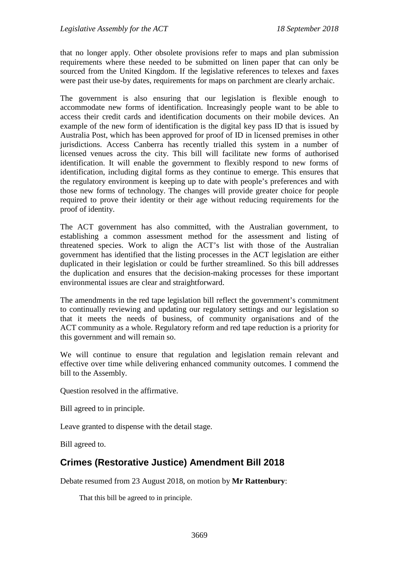that no longer apply. Other obsolete provisions refer to maps and plan submission requirements where these needed to be submitted on linen paper that can only be sourced from the United Kingdom. If the legislative references to telexes and faxes were past their use-by dates, requirements for maps on parchment are clearly archaic.

The government is also ensuring that our legislation is flexible enough to accommodate new forms of identification. Increasingly people want to be able to access their credit cards and identification documents on their mobile devices. An example of the new form of identification is the digital key pass ID that is issued by Australia Post, which has been approved for proof of ID in licensed premises in other jurisdictions. Access Canberra has recently trialled this system in a number of licensed venues across the city. This bill will facilitate new forms of authorised identification. It will enable the government to flexibly respond to new forms of identification, including digital forms as they continue to emerge. This ensures that the regulatory environment is keeping up to date with people's preferences and with those new forms of technology. The changes will provide greater choice for people required to prove their identity or their age without reducing requirements for the proof of identity.

The ACT government has also committed, with the Australian government, to establishing a common assessment method for the assessment and listing of threatened species. Work to align the ACT's list with those of the Australian government has identified that the listing processes in the ACT legislation are either duplicated in their legislation or could be further streamlined. So this bill addresses the duplication and ensures that the decision-making processes for these important environmental issues are clear and straightforward.

The amendments in the red tape legislation bill reflect the government's commitment to continually reviewing and updating our regulatory settings and our legislation so that it meets the needs of business, of community organisations and of the ACT community as a whole. Regulatory reform and red tape reduction is a priority for this government and will remain so.

We will continue to ensure that regulation and legislation remain relevant and effective over time while delivering enhanced community outcomes. I commend the bill to the Assembly.

Question resolved in the affirmative.

Bill agreed to in principle.

Leave granted to dispense with the detail stage.

Bill agreed to.

# **Crimes (Restorative Justice) Amendment Bill 2018**

Debate resumed from 23 August 2018, on motion by **Mr Rattenbury**:

That this bill be agreed to in principle.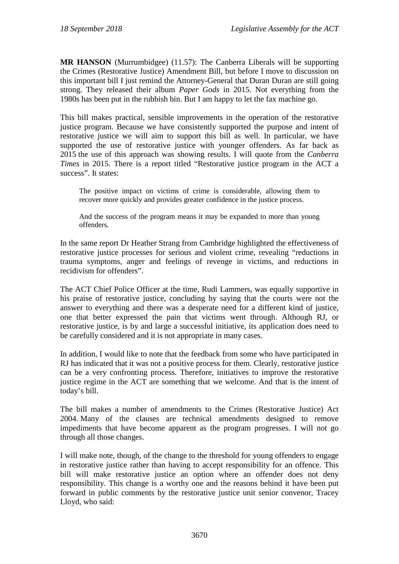**MR HANSON** (Murrumbidgee) (11.57): The Canberra Liberals will be supporting the Crimes (Restorative Justice) Amendment Bill, but before I move to discussion on this important bill I just remind the Attorney-General that Duran Duran are still going strong. They released their album *Paper Gods* in 2015. Not everything from the 1980s has been put in the rubbish bin. But I am happy to let the fax machine go.

This bill makes practical, sensible improvements in the operation of the restorative justice program. Because we have consistently supported the purpose and intent of restorative justice we will aim to support this bill as well. In particular, we have supported the use of restorative justice with younger offenders. As far back as 2015 the use of this approach was showing results. I will quote from the *Canberra Times* in 2015. There is a report titled "Restorative justice program in the ACT a success". It states:

The positive impact on victims of crime is considerable, allowing them to recover more quickly and provides greater confidence in the justice process.

And the success of the program means it may be expanded to more than young offenders.

In the same report Dr Heather Strang from Cambridge highlighted the effectiveness of restorative justice processes for serious and violent crime, revealing "reductions in trauma symptoms, anger and feelings of revenge in victims, and reductions in recidivism for offenders".

The ACT Chief Police Officer at the time, Rudi Lammers, was equally supportive in his praise of restorative justice, concluding by saying that the courts were not the answer to everything and there was a desperate need for a different kind of justice, one that better expressed the pain that victims went through. Although RJ, or restorative justice, is by and large a successful initiative, its application does need to be carefully considered and it is not appropriate in many cases.

In addition, I would like to note that the feedback from some who have participated in RJ has indicated that it was not a positive process for them. Clearly, restorative justice can be a very confronting process. Therefore, initiatives to improve the restorative justice regime in the ACT are something that we welcome. And that is the intent of today's bill.

The bill makes a number of amendments to the Crimes (Restorative Justice) Act 2004. Many of the clauses are technical amendments designed to remove impediments that have become apparent as the program progresses. I will not go through all those changes.

I will make note, though, of the change to the threshold for young offenders to engage in restorative justice rather than having to accept responsibility for an offence. This bill will make restorative justice an option where an offender does not deny responsibility. This change is a worthy one and the reasons behind it have been put forward in public comments by the restorative justice unit senior convenor, Tracey Lloyd, who said: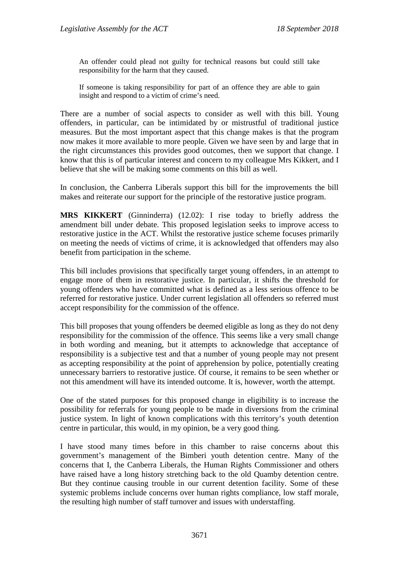An offender could plead not guilty for technical reasons but could still take responsibility for the harm that they caused.

If someone is taking responsibility for part of an offence they are able to gain insight and respond to a victim of crime's need.

There are a number of social aspects to consider as well with this bill. Young offenders, in particular, can be intimidated by or mistrustful of traditional justice measures. But the most important aspect that this change makes is that the program now makes it more available to more people. Given we have seen by and large that in the right circumstances this provides good outcomes, then we support that change. I know that this is of particular interest and concern to my colleague Mrs Kikkert, and I believe that she will be making some comments on this bill as well.

In conclusion, the Canberra Liberals support this bill for the improvements the bill makes and reiterate our support for the principle of the restorative justice program.

**MRS KIKKERT** (Ginninderra) (12.02): I rise today to briefly address the amendment bill under debate. This proposed legislation seeks to improve access to restorative justice in the ACT. Whilst the restorative justice scheme focuses primarily on meeting the needs of victims of crime, it is acknowledged that offenders may also benefit from participation in the scheme.

This bill includes provisions that specifically target young offenders, in an attempt to engage more of them in restorative justice. In particular, it shifts the threshold for young offenders who have committed what is defined as a less serious offence to be referred for restorative justice. Under current legislation all offenders so referred must accept responsibility for the commission of the offence.

This bill proposes that young offenders be deemed eligible as long as they do not deny responsibility for the commission of the offence. This seems like a very small change in both wording and meaning, but it attempts to acknowledge that acceptance of responsibility is a subjective test and that a number of young people may not present as accepting responsibility at the point of apprehension by police, potentially creating unnecessary barriers to restorative justice. Of course, it remains to be seen whether or not this amendment will have its intended outcome. It is, however, worth the attempt.

One of the stated purposes for this proposed change in eligibility is to increase the possibility for referrals for young people to be made in diversions from the criminal justice system. In light of known complications with this territory's youth detention centre in particular, this would, in my opinion, be a very good thing.

I have stood many times before in this chamber to raise concerns about this government's management of the Bimberi youth detention centre. Many of the concerns that I, the Canberra Liberals, the Human Rights Commissioner and others have raised have a long history stretching back to the old Quamby detention centre. But they continue causing trouble in our current detention facility. Some of these systemic problems include concerns over human rights compliance, low staff morale, the resulting high number of staff turnover and issues with understaffing.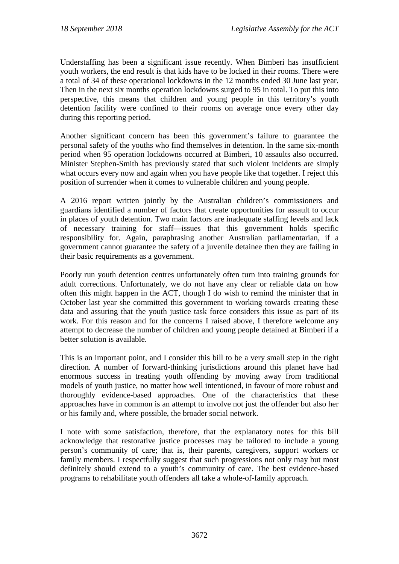Understaffing has been a significant issue recently. When Bimberi has insufficient youth workers, the end result is that kids have to be locked in their rooms. There were a total of 34 of these operational lockdowns in the 12 months ended 30 June last year. Then in the next six months operation lockdowns surged to 95 in total. To put this into perspective, this means that children and young people in this territory's youth detention facility were confined to their rooms on average once every other day during this reporting period.

Another significant concern has been this government's failure to guarantee the personal safety of the youths who find themselves in detention. In the same six-month period when 95 operation lockdowns occurred at Bimberi, 10 assaults also occurred. Minister Stephen-Smith has previously stated that such violent incidents are simply what occurs every now and again when you have people like that together. I reject this position of surrender when it comes to vulnerable children and young people.

A 2016 report written jointly by the Australian children's commissioners and guardians identified a number of factors that create opportunities for assault to occur in places of youth detention. Two main factors are inadequate staffing levels and lack of necessary training for staff—issues that this government holds specific responsibility for. Again, paraphrasing another Australian parliamentarian, if a government cannot guarantee the safety of a juvenile detainee then they are failing in their basic requirements as a government.

Poorly run youth detention centres unfortunately often turn into training grounds for adult corrections. Unfortunately, we do not have any clear or reliable data on how often this might happen in the ACT, though I do wish to remind the minister that in October last year she committed this government to working towards creating these data and assuring that the youth justice task force considers this issue as part of its work. For this reason and for the concerns I raised above, I therefore welcome any attempt to decrease the number of children and young people detained at Bimberi if a better solution is available.

This is an important point, and I consider this bill to be a very small step in the right direction. A number of forward-thinking jurisdictions around this planet have had enormous success in treating youth offending by moving away from traditional models of youth justice, no matter how well intentioned, in favour of more robust and thoroughly evidence-based approaches. One of the characteristics that these approaches have in common is an attempt to involve not just the offender but also her or his family and, where possible, the broader social network.

I note with some satisfaction, therefore, that the explanatory notes for this bill acknowledge that restorative justice processes may be tailored to include a young person's community of care; that is, their parents, caregivers, support workers or family members. I respectfully suggest that such progressions not only may but most definitely should extend to a youth's community of care. The best evidence-based programs to rehabilitate youth offenders all take a whole-of-family approach.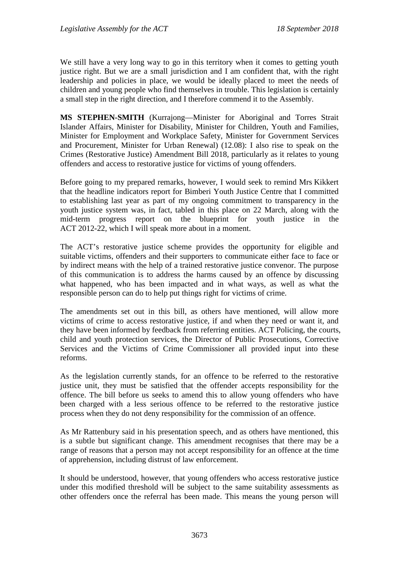We still have a very long way to go in this territory when it comes to getting youth justice right. But we are a small jurisdiction and I am confident that, with the right leadership and policies in place, we would be ideally placed to meet the needs of children and young people who find themselves in trouble. This legislation is certainly a small step in the right direction, and I therefore commend it to the Assembly.

**MS STEPHEN-SMITH** (Kurrajong—Minister for Aboriginal and Torres Strait Islander Affairs, Minister for Disability, Minister for Children, Youth and Families, Minister for Employment and Workplace Safety, Minister for Government Services and Procurement, Minister for Urban Renewal) (12.08): I also rise to speak on the Crimes (Restorative Justice) Amendment Bill 2018, particularly as it relates to young offenders and access to restorative justice for victims of young offenders.

Before going to my prepared remarks, however, I would seek to remind Mrs Kikkert that the headline indicators report for Bimberi Youth Justice Centre that I committed to establishing last year as part of my ongoing commitment to transparency in the youth justice system was, in fact, tabled in this place on 22 March, along with the mid-term progress report on the blueprint for youth justice in the ACT 2012-22, which I will speak more about in a moment.

The ACT's restorative justice scheme provides the opportunity for eligible and suitable victims, offenders and their supporters to communicate either face to face or by indirect means with the help of a trained restorative justice convenor. The purpose of this communication is to address the harms caused by an offence by discussing what happened, who has been impacted and in what ways, as well as what the responsible person can do to help put things right for victims of crime.

The amendments set out in this bill, as others have mentioned, will allow more victims of crime to access restorative justice, if and when they need or want it, and they have been informed by feedback from referring entities. ACT Policing, the courts, child and youth protection services, the Director of Public Prosecutions, Corrective Services and the Victims of Crime Commissioner all provided input into these reforms.

As the legislation currently stands, for an offence to be referred to the restorative justice unit, they must be satisfied that the offender accepts responsibility for the offence. The bill before us seeks to amend this to allow young offenders who have been charged with a less serious offence to be referred to the restorative justice process when they do not deny responsibility for the commission of an offence.

As Mr Rattenbury said in his presentation speech, and as others have mentioned, this is a subtle but significant change. This amendment recognises that there may be a range of reasons that a person may not accept responsibility for an offence at the time of apprehension, including distrust of law enforcement.

It should be understood, however, that young offenders who access restorative justice under this modified threshold will be subject to the same suitability assessments as other offenders once the referral has been made. This means the young person will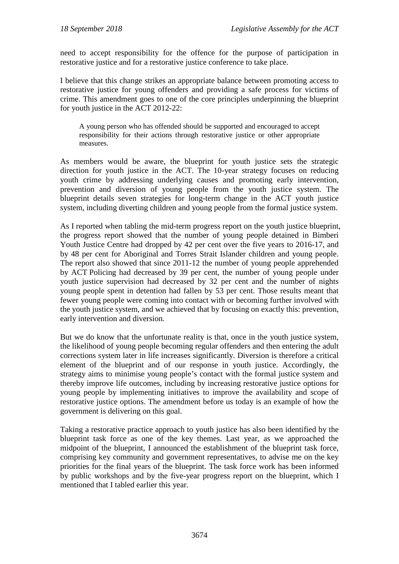need to accept responsibility for the offence for the purpose of participation in restorative justice and for a restorative justice conference to take place.

I believe that this change strikes an appropriate balance between promoting access to restorative justice for young offenders and providing a safe process for victims of crime. This amendment goes to one of the core principles underpinning the blueprint for youth justice in the ACT 2012-22:

A young person who has offended should be supported and encouraged to accept responsibility for their actions through restorative justice or other appropriate measures.

As members would be aware, the blueprint for youth justice sets the strategic direction for youth justice in the ACT. The 10-year strategy focuses on reducing youth crime by addressing underlying causes and promoting early intervention, prevention and diversion of young people from the youth justice system. The blueprint details seven strategies for long-term change in the ACT youth justice system, including diverting children and young people from the formal justice system.

As I reported when tabling the mid-term progress report on the youth justice blueprint, the progress report showed that the number of young people detained in Bimberi Youth Justice Centre had dropped by 42 per cent over the five years to 2016-17, and by 48 per cent for Aboriginal and Torres Strait Islander children and young people. The report also showed that since 2011-12 the number of young people apprehended by ACT Policing had decreased by 39 per cent, the number of young people under youth justice supervision had decreased by 32 per cent and the number of nights young people spent in detention had fallen by 53 per cent. Those results meant that fewer young people were coming into contact with or becoming further involved with the youth justice system, and we achieved that by focusing on exactly this: prevention, early intervention and diversion.

But we do know that the unfortunate reality is that, once in the youth justice system, the likelihood of young people becoming regular offenders and then entering the adult corrections system later in life increases significantly. Diversion is therefore a critical element of the blueprint and of our response in youth justice. Accordingly, the strategy aims to minimise young people's contact with the formal justice system and thereby improve life outcomes, including by increasing restorative justice options for young people by implementing initiatives to improve the availability and scope of restorative justice options. The amendment before us today is an example of how the government is delivering on this goal.

Taking a restorative practice approach to youth justice has also been identified by the blueprint task force as one of the key themes. Last year, as we approached the midpoint of the blueprint, I announced the establishment of the blueprint task force, comprising key community and government representatives, to advise me on the key priorities for the final years of the blueprint. The task force work has been informed by public workshops and by the five-year progress report on the blueprint, which I mentioned that I tabled earlier this year.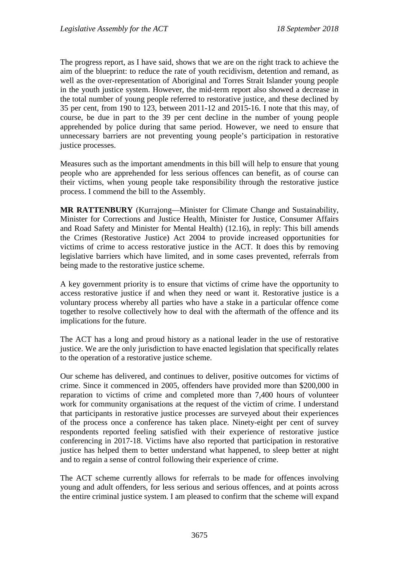The progress report, as I have said, shows that we are on the right track to achieve the aim of the blueprint: to reduce the rate of youth recidivism, detention and remand, as well as the over-representation of Aboriginal and Torres Strait Islander young people in the youth justice system. However, the mid-term report also showed a decrease in the total number of young people referred to restorative justice, and these declined by 35 per cent, from 190 to 123, between 2011-12 and 2015-16. I note that this may, of course, be due in part to the 39 per cent decline in the number of young people apprehended by police during that same period. However, we need to ensure that unnecessary barriers are not preventing young people's participation in restorative justice processes.

Measures such as the important amendments in this bill will help to ensure that young people who are apprehended for less serious offences can benefit, as of course can their victims, when young people take responsibility through the restorative justice process. I commend the bill to the Assembly.

**MR RATTENBURY** (Kurrajong—Minister for Climate Change and Sustainability, Minister for Corrections and Justice Health, Minister for Justice, Consumer Affairs and Road Safety and Minister for Mental Health) (12.16), in reply: This bill amends the Crimes (Restorative Justice) Act 2004 to provide increased opportunities for victims of crime to access restorative justice in the ACT. It does this by removing legislative barriers which have limited, and in some cases prevented, referrals from being made to the restorative justice scheme.

A key government priority is to ensure that victims of crime have the opportunity to access restorative justice if and when they need or want it. Restorative justice is a voluntary process whereby all parties who have a stake in a particular offence come together to resolve collectively how to deal with the aftermath of the offence and its implications for the future.

The ACT has a long and proud history as a national leader in the use of restorative justice. We are the only jurisdiction to have enacted legislation that specifically relates to the operation of a restorative justice scheme.

Our scheme has delivered, and continues to deliver, positive outcomes for victims of crime. Since it commenced in 2005, offenders have provided more than \$200,000 in reparation to victims of crime and completed more than 7,400 hours of volunteer work for community organisations at the request of the victim of crime. I understand that participants in restorative justice processes are surveyed about their experiences of the process once a conference has taken place. Ninety-eight per cent of survey respondents reported feeling satisfied with their experience of restorative justice conferencing in 2017-18. Victims have also reported that participation in restorative justice has helped them to better understand what happened, to sleep better at night and to regain a sense of control following their experience of crime.

The ACT scheme currently allows for referrals to be made for offences involving young and adult offenders, for less serious and serious offences, and at points across the entire criminal justice system. I am pleased to confirm that the scheme will expand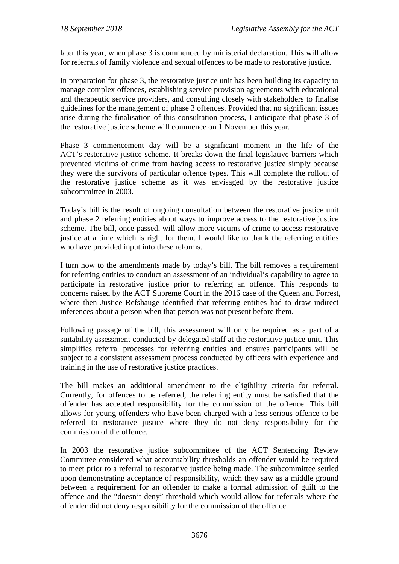later this year, when phase 3 is commenced by ministerial declaration. This will allow for referrals of family violence and sexual offences to be made to restorative justice.

In preparation for phase 3, the restorative justice unit has been building its capacity to manage complex offences, establishing service provision agreements with educational and therapeutic service providers, and consulting closely with stakeholders to finalise guidelines for the management of phase 3 offences. Provided that no significant issues arise during the finalisation of this consultation process, I anticipate that phase 3 of the restorative justice scheme will commence on 1 November this year.

Phase 3 commencement day will be a significant moment in the life of the ACT's restorative justice scheme. It breaks down the final legislative barriers which prevented victims of crime from having access to restorative justice simply because they were the survivors of particular offence types. This will complete the rollout of the restorative justice scheme as it was envisaged by the restorative justice subcommittee in 2003.

Today's bill is the result of ongoing consultation between the restorative justice unit and phase 2 referring entities about ways to improve access to the restorative justice scheme. The bill, once passed, will allow more victims of crime to access restorative justice at a time which is right for them. I would like to thank the referring entities who have provided input into these reforms.

I turn now to the amendments made by today's bill. The bill removes a requirement for referring entities to conduct an assessment of an individual's capability to agree to participate in restorative justice prior to referring an offence. This responds to concerns raised by the ACT Supreme Court in the 2016 case of the Queen and Forrest, where then Justice Refshauge identified that referring entities had to draw indirect inferences about a person when that person was not present before them.

Following passage of the bill, this assessment will only be required as a part of a suitability assessment conducted by delegated staff at the restorative justice unit. This simplifies referral processes for referring entities and ensures participants will be subject to a consistent assessment process conducted by officers with experience and training in the use of restorative justice practices.

The bill makes an additional amendment to the eligibility criteria for referral. Currently, for offences to be referred, the referring entity must be satisfied that the offender has accepted responsibility for the commission of the offence. This bill allows for young offenders who have been charged with a less serious offence to be referred to restorative justice where they do not deny responsibility for the commission of the offence.

In 2003 the restorative justice subcommittee of the ACT Sentencing Review Committee considered what accountability thresholds an offender would be required to meet prior to a referral to restorative justice being made. The subcommittee settled upon demonstrating acceptance of responsibility, which they saw as a middle ground between a requirement for an offender to make a formal admission of guilt to the offence and the "doesn't deny" threshold which would allow for referrals where the offender did not deny responsibility for the commission of the offence.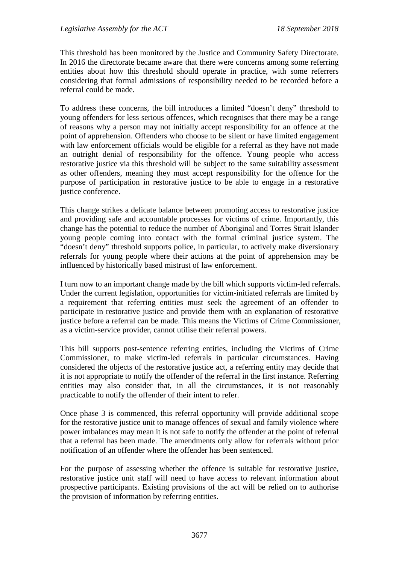This threshold has been monitored by the Justice and Community Safety Directorate. In 2016 the directorate became aware that there were concerns among some referring entities about how this threshold should operate in practice, with some referrers considering that formal admissions of responsibility needed to be recorded before a referral could be made.

To address these concerns, the bill introduces a limited "doesn't deny" threshold to young offenders for less serious offences, which recognises that there may be a range of reasons why a person may not initially accept responsibility for an offence at the point of apprehension. Offenders who choose to be silent or have limited engagement with law enforcement officials would be eligible for a referral as they have not made an outright denial of responsibility for the offence. Young people who access restorative justice via this threshold will be subject to the same suitability assessment as other offenders, meaning they must accept responsibility for the offence for the purpose of participation in restorative justice to be able to engage in a restorative justice conference.

This change strikes a delicate balance between promoting access to restorative justice and providing safe and accountable processes for victims of crime. Importantly, this change has the potential to reduce the number of Aboriginal and Torres Strait Islander young people coming into contact with the formal criminal justice system. The "doesn't deny" threshold supports police, in particular, to actively make diversionary referrals for young people where their actions at the point of apprehension may be influenced by historically based mistrust of law enforcement.

I turn now to an important change made by the bill which supports victim-led referrals. Under the current legislation, opportunities for victim-initiated referrals are limited by a requirement that referring entities must seek the agreement of an offender to participate in restorative justice and provide them with an explanation of restorative justice before a referral can be made. This means the Victims of Crime Commissioner, as a victim-service provider, cannot utilise their referral powers.

This bill supports post-sentence referring entities, including the Victims of Crime Commissioner, to make victim-led referrals in particular circumstances. Having considered the objects of the restorative justice act, a referring entity may decide that it is not appropriate to notify the offender of the referral in the first instance. Referring entities may also consider that, in all the circumstances, it is not reasonably practicable to notify the offender of their intent to refer.

Once phase 3 is commenced, this referral opportunity will provide additional scope for the restorative justice unit to manage offences of sexual and family violence where power imbalances may mean it is not safe to notify the offender at the point of referral that a referral has been made. The amendments only allow for referrals without prior notification of an offender where the offender has been sentenced.

For the purpose of assessing whether the offence is suitable for restorative justice, restorative justice unit staff will need to have access to relevant information about prospective participants. Existing provisions of the act will be relied on to authorise the provision of information by referring entities.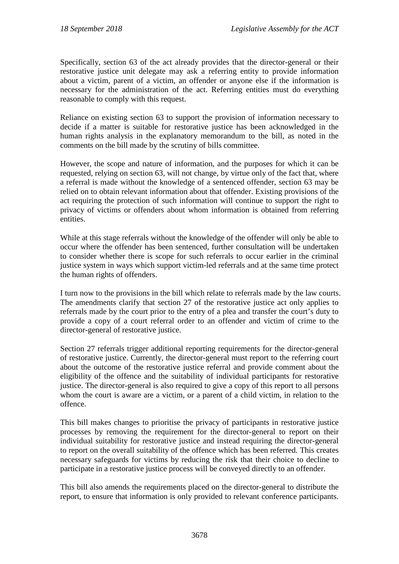Specifically, section 63 of the act already provides that the director-general or their restorative justice unit delegate may ask a referring entity to provide information about a victim, parent of a victim, an offender or anyone else if the information is necessary for the administration of the act. Referring entities must do everything reasonable to comply with this request.

Reliance on existing section 63 to support the provision of information necessary to decide if a matter is suitable for restorative justice has been acknowledged in the human rights analysis in the explanatory memorandum to the bill, as noted in the comments on the bill made by the scrutiny of bills committee.

However, the scope and nature of information, and the purposes for which it can be requested, relying on section 63, will not change, by virtue only of the fact that, where a referral is made without the knowledge of a sentenced offender, section 63 may be relied on to obtain relevant information about that offender. Existing provisions of the act requiring the protection of such information will continue to support the right to privacy of victims or offenders about whom information is obtained from referring entities.

While at this stage referrals without the knowledge of the offender will only be able to occur where the offender has been sentenced, further consultation will be undertaken to consider whether there is scope for such referrals to occur earlier in the criminal justice system in ways which support victim-led referrals and at the same time protect the human rights of offenders.

I turn now to the provisions in the bill which relate to referrals made by the law courts. The amendments clarify that section 27 of the restorative justice act only applies to referrals made by the court prior to the entry of a plea and transfer the court's duty to provide a copy of a court referral order to an offender and victim of crime to the director-general of restorative justice.

Section 27 referrals trigger additional reporting requirements for the director-general of restorative justice. Currently, the director-general must report to the referring court about the outcome of the restorative justice referral and provide comment about the eligibility of the offence and the suitability of individual participants for restorative justice. The director-general is also required to give a copy of this report to all persons whom the court is aware are a victim, or a parent of a child victim, in relation to the offence.

This bill makes changes to prioritise the privacy of participants in restorative justice processes by removing the requirement for the director-general to report on their individual suitability for restorative justice and instead requiring the director-general to report on the overall suitability of the offence which has been referred. This creates necessary safeguards for victims by reducing the risk that their choice to decline to participate in a restorative justice process will be conveyed directly to an offender.

This bill also amends the requirements placed on the director-general to distribute the report, to ensure that information is only provided to relevant conference participants.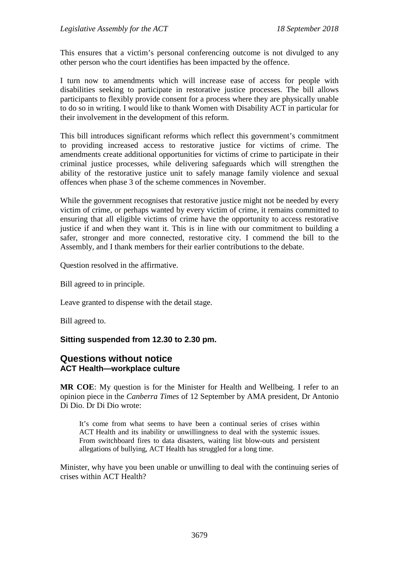This ensures that a victim's personal conferencing outcome is not divulged to any other person who the court identifies has been impacted by the offence.

I turn now to amendments which will increase ease of access for people with disabilities seeking to participate in restorative justice processes. The bill allows participants to flexibly provide consent for a process where they are physically unable to do so in writing. I would like to thank Women with Disability ACT in particular for their involvement in the development of this reform.

This bill introduces significant reforms which reflect this government's commitment to providing increased access to restorative justice for victims of crime. The amendments create additional opportunities for victims of crime to participate in their criminal justice processes, while delivering safeguards which will strengthen the ability of the restorative justice unit to safely manage family violence and sexual offences when phase 3 of the scheme commences in November.

While the government recognises that restorative justice might not be needed by every victim of crime, or perhaps wanted by every victim of crime, it remains committed to ensuring that all eligible victims of crime have the opportunity to access restorative justice if and when they want it. This is in line with our commitment to building a safer, stronger and more connected, restorative city. I commend the bill to the Assembly, and I thank members for their earlier contributions to the debate.

Question resolved in the affirmative.

Bill agreed to in principle.

Leave granted to dispense with the detail stage.

Bill agreed to.

### **Sitting suspended from 12.30 to 2.30 pm.**

# **Questions without notice ACT Health—workplace culture**

**MR COE**: My question is for the Minister for Health and Wellbeing. I refer to an opinion piece in the *Canberra Times* of 12 September by AMA president, Dr Antonio Di Dio. Dr Di Dio wrote:

It's come from what seems to have been a continual series of crises within ACT Health and its inability or unwillingness to deal with the systemic issues. From switchboard fires to data disasters, waiting list blow-outs and persistent allegations of bullying, ACT Health has struggled for a long time.

Minister, why have you been unable or unwilling to deal with the continuing series of crises within ACT Health?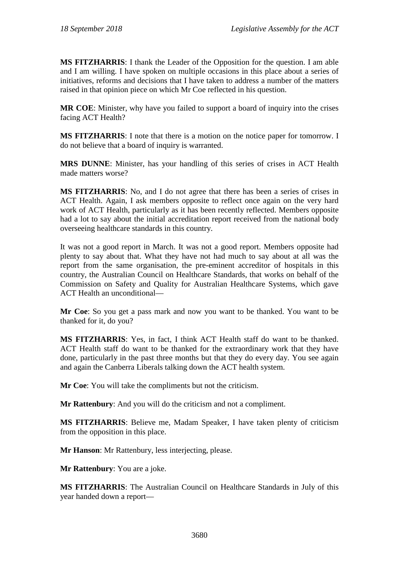**MS FITZHARRIS**: I thank the Leader of the Opposition for the question. I am able and I am willing. I have spoken on multiple occasions in this place about a series of initiatives, reforms and decisions that I have taken to address a number of the matters raised in that opinion piece on which Mr Coe reflected in his question.

**MR COE**: Minister, why have you failed to support a board of inquiry into the crises facing ACT Health?

**MS FITZHARRIS**: I note that there is a motion on the notice paper for tomorrow. I do not believe that a board of inquiry is warranted.

**MRS DUNNE**: Minister, has your handling of this series of crises in ACT Health made matters worse?

**MS FITZHARRIS**: No, and I do not agree that there has been a series of crises in ACT Health. Again, I ask members opposite to reflect once again on the very hard work of ACT Health, particularly as it has been recently reflected. Members opposite had a lot to say about the initial accreditation report received from the national body overseeing healthcare standards in this country.

It was not a good report in March. It was not a good report. Members opposite had plenty to say about that. What they have not had much to say about at all was the report from the same organisation, the pre-eminent accreditor of hospitals in this country, the Australian Council on Healthcare Standards, that works on behalf of the Commission on Safety and Quality for Australian Healthcare Systems, which gave ACT Health an unconditional—

**Mr Coe**: So you get a pass mark and now you want to be thanked. You want to be thanked for it, do you?

**MS FITZHARRIS**: Yes, in fact, I think ACT Health staff do want to be thanked. ACT Health staff do want to be thanked for the extraordinary work that they have done, particularly in the past three months but that they do every day. You see again and again the Canberra Liberals talking down the ACT health system.

**Mr Coe**: You will take the compliments but not the criticism.

**Mr Rattenbury**: And you will do the criticism and not a compliment.

**MS FITZHARRIS**: Believe me, Madam Speaker, I have taken plenty of criticism from the opposition in this place.

**Mr Hanson**: Mr Rattenbury, less interjecting, please.

**Mr Rattenbury**: You are a joke.

**MS FITZHARRIS**: The Australian Council on Healthcare Standards in July of this year handed down a report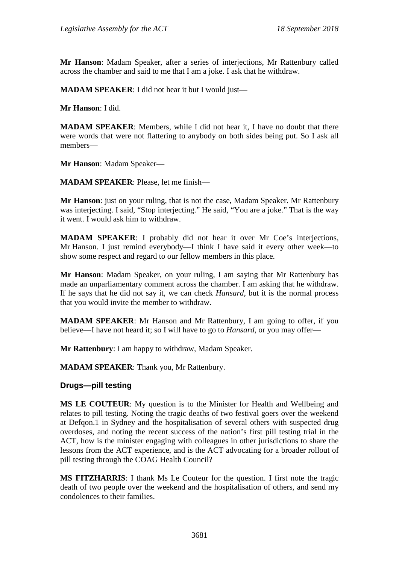**Mr Hanson**: Madam Speaker, after a series of interjections, Mr Rattenbury called across the chamber and said to me that I am a joke. I ask that he withdraw.

**MADAM SPEAKER**: I did not hear it but I would just—

**Mr Hanson**: I did.

**MADAM SPEAKER**: Members, while I did not hear it, I have no doubt that there were words that were not flattering to anybody on both sides being put. So I ask all members—

**Mr Hanson**: Madam Speaker—

**MADAM SPEAKER**: Please, let me finish—

**Mr Hanson**: just on your ruling, that is not the case, Madam Speaker. Mr Rattenbury was interjecting. I said, "Stop interjecting." He said, "You are a joke." That is the way it went. I would ask him to withdraw.

**MADAM SPEAKER**: I probably did not hear it over Mr Coe's interjections, Mr Hanson. I just remind everybody—I think I have said it every other week—to show some respect and regard to our fellow members in this place.

**Mr Hanson**: Madam Speaker, on your ruling, I am saying that Mr Rattenbury has made an unparliamentary comment across the chamber. I am asking that he withdraw. If he says that he did not say it, we can check *Hansard*, but it is the normal process that you would invite the member to withdraw.

**MADAM SPEAKER**: Mr Hanson and Mr Rattenbury, I am going to offer, if you believe—I have not heard it; so I will have to go to *Hansard*, or you may offer—

**Mr Rattenbury**: I am happy to withdraw, Madam Speaker.

**MADAM SPEAKER**: Thank you, Mr Rattenbury.

### **Drugs—pill testing**

**MS LE COUTEUR**: My question is to the Minister for Health and Wellbeing and relates to pill testing. Noting the tragic deaths of two festival goers over the weekend at Defqon.1 in Sydney and the hospitalisation of several others with suspected drug overdoses, and noting the recent success of the nation's first pill testing trial in the ACT, how is the minister engaging with colleagues in other jurisdictions to share the lessons from the ACT experience, and is the ACT advocating for a broader rollout of pill testing through the COAG Health Council?

**MS FITZHARRIS**: I thank Ms Le Couteur for the question. I first note the tragic death of two people over the weekend and the hospitalisation of others, and send my condolences to their families.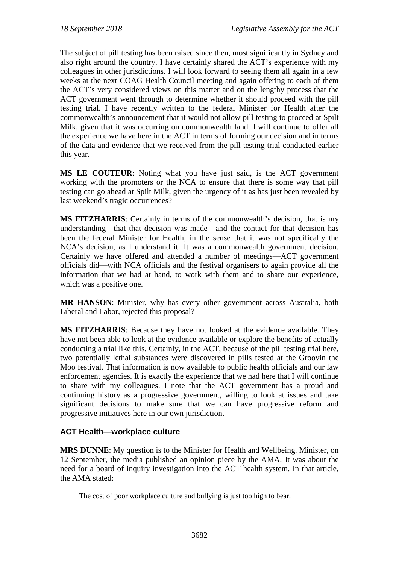The subject of pill testing has been raised since then, most significantly in Sydney and also right around the country. I have certainly shared the ACT's experience with my colleagues in other jurisdictions. I will look forward to seeing them all again in a few weeks at the next COAG Health Council meeting and again offering to each of them the ACT's very considered views on this matter and on the lengthy process that the ACT government went through to determine whether it should proceed with the pill testing trial. I have recently written to the federal Minister for Health after the commonwealth's announcement that it would not allow pill testing to proceed at Spilt Milk, given that it was occurring on commonwealth land. I will continue to offer all the experience we have here in the ACT in terms of forming our decision and in terms of the data and evidence that we received from the pill testing trial conducted earlier this year.

**MS LE COUTEUR**: Noting what you have just said, is the ACT government working with the promoters or the NCA to ensure that there is some way that pill testing can go ahead at Spilt Milk, given the urgency of it as has just been revealed by last weekend's tragic occurrences?

**MS FITZHARRIS**: Certainly in terms of the commonwealth's decision, that is my understanding—that that decision was made—and the contact for that decision has been the federal Minister for Health, in the sense that it was not specifically the NCA's decision, as I understand it. It was a commonwealth government decision. Certainly we have offered and attended a number of meetings—ACT government officials did—with NCA officials and the festival organisers to again provide all the information that we had at hand, to work with them and to share our experience, which was a positive one.

**MR HANSON**: Minister, why has every other government across Australia, both Liberal and Labor, rejected this proposal?

**MS FITZHARRIS**: Because they have not looked at the evidence available. They have not been able to look at the evidence available or explore the benefits of actually conducting a trial like this. Certainly, in the ACT, because of the pill testing trial here, two potentially lethal substances were discovered in pills tested at the Groovin the Moo festival. That information is now available to public health officials and our law enforcement agencies. It is exactly the experience that we had here that I will continue to share with my colleagues. I note that the ACT government has a proud and continuing history as a progressive government, willing to look at issues and take significant decisions to make sure that we can have progressive reform and progressive initiatives here in our own jurisdiction.

# **ACT Health—workplace culture**

**MRS DUNNE**: My question is to the Minister for Health and Wellbeing. Minister, on 12 September, the media published an opinion piece by the AMA. It was about the need for a board of inquiry investigation into the ACT health system. In that article, the AMA stated:

The cost of poor workplace culture and bullying is just too high to bear.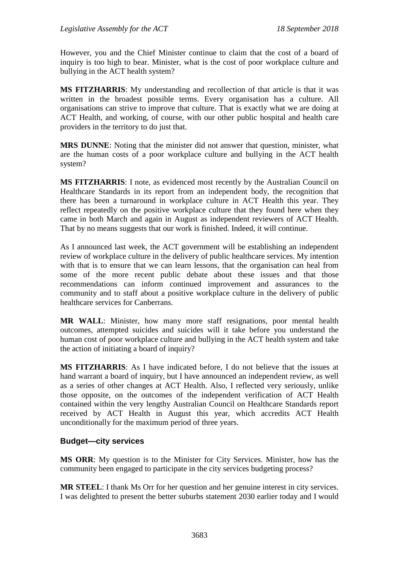However, you and the Chief Minister continue to claim that the cost of a board of inquiry is too high to bear. Minister, what is the cost of poor workplace culture and bullying in the ACT health system?

**MS FITZHARRIS**: My understanding and recollection of that article is that it was written in the broadest possible terms. Every organisation has a culture. All organisations can strive to improve that culture. That is exactly what we are doing at ACT Health, and working, of course, with our other public hospital and health care providers in the territory to do just that.

**MRS DUNNE**: Noting that the minister did not answer that question, minister, what are the human costs of a poor workplace culture and bullying in the ACT health system?

**MS FITZHARRIS**: I note, as evidenced most recently by the Australian Council on Healthcare Standards in its report from an independent body, the recognition that there has been a turnaround in workplace culture in ACT Health this year. They reflect repeatedly on the positive workplace culture that they found here when they came in both March and again in August as independent reviewers of ACT Health. That by no means suggests that our work is finished. Indeed, it will continue.

As I announced last week, the ACT government will be establishing an independent review of workplace culture in the delivery of public healthcare services. My intention with that is to ensure that we can learn lessons, that the organisation can heal from some of the more recent public debate about these issues and that those recommendations can inform continued improvement and assurances to the community and to staff about a positive workplace culture in the delivery of public healthcare services for Canberrans.

**MR WALL**: Minister, how many more staff resignations, poor mental health outcomes, attempted suicides and suicides will it take before you understand the human cost of poor workplace culture and bullying in the ACT health system and take the action of initiating a board of inquiry?

**MS FITZHARRIS**: As I have indicated before, I do not believe that the issues at hand warrant a board of inquiry, but I have announced an independent review, as well as a series of other changes at ACT Health. Also, I reflected very seriously, unlike those opposite, on the outcomes of the independent verification of ACT Health contained within the very lengthy Australian Council on Healthcare Standards report received by ACT Health in August this year, which accredits ACT Health unconditionally for the maximum period of three years.

### **Budget—city services**

**MS ORR**: My question is to the Minister for City Services. Minister, how has the community been engaged to participate in the city services budgeting process?

**MR STEEL**: I thank Ms Orr for her question and her genuine interest in city services. I was delighted to present the better suburbs statement 2030 earlier today and I would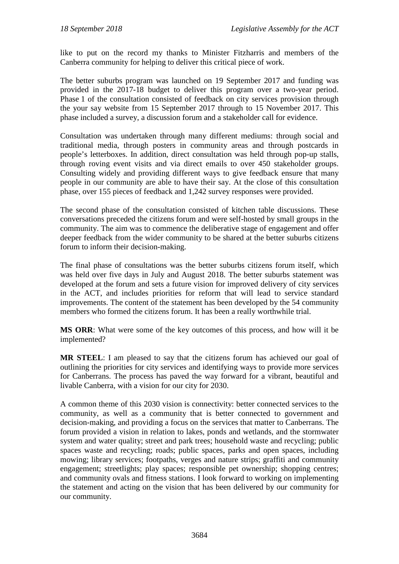like to put on the record my thanks to Minister Fitzharris and members of the Canberra community for helping to deliver this critical piece of work.

The better suburbs program was launched on 19 September 2017 and funding was provided in the 2017-18 budget to deliver this program over a two-year period. Phase 1 of the consultation consisted of feedback on city services provision through the your say website from 15 September 2017 through to 15 November 2017. This phase included a survey, a discussion forum and a stakeholder call for evidence.

Consultation was undertaken through many different mediums: through social and traditional media, through posters in community areas and through postcards in people's letterboxes. In addition, direct consultation was held through pop-up stalls, through roving event visits and via direct emails to over 450 stakeholder groups. Consulting widely and providing different ways to give feedback ensure that many people in our community are able to have their say. At the close of this consultation phase, over 155 pieces of feedback and 1,242 survey responses were provided.

The second phase of the consultation consisted of kitchen table discussions. These conversations preceded the citizens forum and were self-hosted by small groups in the community. The aim was to commence the deliberative stage of engagement and offer deeper feedback from the wider community to be shared at the better suburbs citizens forum to inform their decision-making.

The final phase of consultations was the better suburbs citizens forum itself, which was held over five days in July and August 2018. The better suburbs statement was developed at the forum and sets a future vision for improved delivery of city services in the ACT, and includes priorities for reform that will lead to service standard improvements. The content of the statement has been developed by the 54 community members who formed the citizens forum. It has been a really worthwhile trial.

**MS ORR**: What were some of the key outcomes of this process, and how will it be implemented?

**MR STEEL**: I am pleased to say that the citizens forum has achieved our goal of outlining the priorities for city services and identifying ways to provide more services for Canberrans. The process has paved the way forward for a vibrant, beautiful and livable Canberra, with a vision for our city for 2030.

A common theme of this 2030 vision is connectivity: better connected services to the community, as well as a community that is better connected to government and decision-making, and providing a focus on the services that matter to Canberrans. The forum provided a vision in relation to lakes, ponds and wetlands, and the stormwater system and water quality; street and park trees; household waste and recycling; public spaces waste and recycling; roads; public spaces, parks and open spaces, including mowing; library services; footpaths, verges and nature strips; graffiti and community engagement; streetlights; play spaces; responsible pet ownership; shopping centres; and community ovals and fitness stations. I look forward to working on implementing the statement and acting on the vision that has been delivered by our community for our community.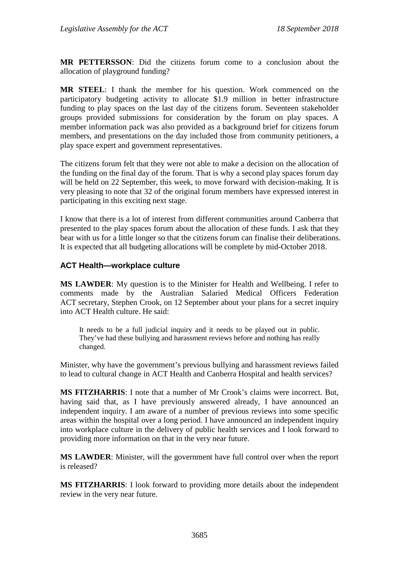**MR PETTERSSON**: Did the citizens forum come to a conclusion about the allocation of playground funding?

**MR STEEL**: I thank the member for his question. Work commenced on the participatory budgeting activity to allocate \$1.9 million in better infrastructure funding to play spaces on the last day of the citizens forum. Seventeen stakeholder groups provided submissions for consideration by the forum on play spaces. A member information pack was also provided as a background brief for citizens forum members, and presentations on the day included those from community petitioners, a play space expert and government representatives.

The citizens forum felt that they were not able to make a decision on the allocation of the funding on the final day of the forum. That is why a second play spaces forum day will be held on 22 September, this week, to move forward with decision-making. It is very pleasing to note that 32 of the original forum members have expressed interest in participating in this exciting next stage.

I know that there is a lot of interest from different communities around Canberra that presented to the play spaces forum about the allocation of these funds. I ask that they bear with us for a little longer so that the citizens forum can finalise their deliberations. It is expected that all budgeting allocations will be complete by mid-October 2018.

### **ACT Health—workplace culture**

**MS LAWDER**: My question is to the Minister for Health and Wellbeing. I refer to comments made by the Australian Salaried Medical Officers Federation ACT secretary, Stephen Crook, on 12 September about your plans for a secret inquiry into ACT Health culture. He said:

It needs to be a full judicial inquiry and it needs to be played out in public. They've had these bullying and harassment reviews before and nothing has really changed.

Minister, why have the government's previous bullying and harassment reviews failed to lead to cultural change in ACT Health and Canberra Hospital and health services?

**MS FITZHARRIS**: I note that a number of Mr Crook's claims were incorrect. But, having said that, as I have previously answered already, I have announced an independent inquiry. I am aware of a number of previous reviews into some specific areas within the hospital over a long period. I have announced an independent inquiry into workplace culture in the delivery of public health services and I look forward to providing more information on that in the very near future.

**MS LAWDER**: Minister, will the government have full control over when the report is released?

**MS FITZHARRIS**: I look forward to providing more details about the independent review in the very near future.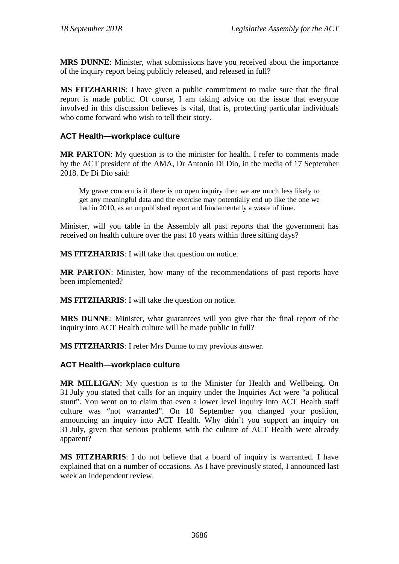**MRS DUNNE**: Minister, what submissions have you received about the importance of the inquiry report being publicly released, and released in full?

**MS FITZHARRIS**: I have given a public commitment to make sure that the final report is made public. Of course, I am taking advice on the issue that everyone involved in this discussion believes is vital, that is, protecting particular individuals who come forward who wish to tell their story.

# **ACT Health—workplace culture**

**MR PARTON**: My question is to the minister for health. I refer to comments made by the ACT president of the AMA, Dr Antonio Di Dio, in the media of 17 September 2018. Dr Di Dio said:

My grave concern is if there is no open inquiry then we are much less likely to get any meaningful data and the exercise may potentially end up like the one we had in 2010, as an unpublished report and fundamentally a waste of time.

Minister, will you table in the Assembly all past reports that the government has received on health culture over the past 10 years within three sitting days?

**MS FITZHARRIS**: I will take that question on notice.

**MR PARTON**: Minister, how many of the recommendations of past reports have been implemented?

**MS FITZHARRIS**: I will take the question on notice.

**MRS DUNNE**: Minister, what guarantees will you give that the final report of the inquiry into ACT Health culture will be made public in full?

**MS FITZHARRIS**: I refer Mrs Dunne to my previous answer.

### **ACT Health—workplace culture**

**MR MILLIGAN**: My question is to the Minister for Health and Wellbeing. On 31 July you stated that calls for an inquiry under the Inquiries Act were "a political stunt". You went on to claim that even a lower level inquiry into ACT Health staff culture was "not warranted". On 10 September you changed your position, announcing an inquiry into ACT Health. Why didn't you support an inquiry on 31 July, given that serious problems with the culture of ACT Health were already apparent?

**MS FITZHARRIS**: I do not believe that a board of inquiry is warranted. I have explained that on a number of occasions. As I have previously stated, I announced last week an independent review.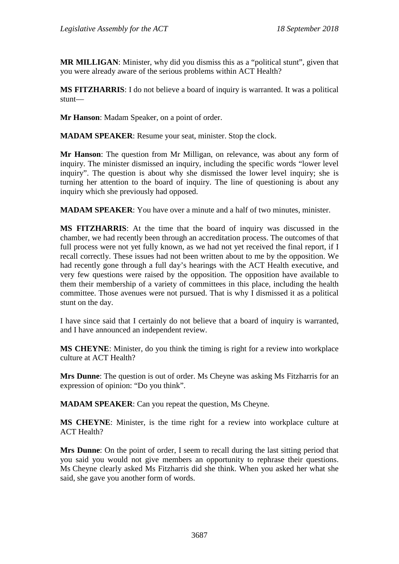**MR MILLIGAN**: Minister, why did you dismiss this as a "political stunt", given that you were already aware of the serious problems within ACT Health?

**MS FITZHARRIS**: I do not believe a board of inquiry is warranted. It was a political stunt—

**Mr Hanson**: Madam Speaker, on a point of order.

**MADAM SPEAKER**: Resume your seat, minister. Stop the clock.

**Mr Hanson**: The question from Mr Milligan, on relevance, was about any form of inquiry. The minister dismissed an inquiry, including the specific words "lower level inquiry". The question is about why she dismissed the lower level inquiry; she is turning her attention to the board of inquiry. The line of questioning is about any inquiry which she previously had opposed.

**MADAM SPEAKER**: You have over a minute and a half of two minutes, minister.

**MS FITZHARRIS**: At the time that the board of inquiry was discussed in the chamber, we had recently been through an accreditation process. The outcomes of that full process were not yet fully known, as we had not yet received the final report, if I recall correctly. These issues had not been written about to me by the opposition. We had recently gone through a full day's hearings with the ACT Health executive, and very few questions were raised by the opposition. The opposition have available to them their membership of a variety of committees in this place, including the health committee. Those avenues were not pursued. That is why I dismissed it as a political stunt on the day.

I have since said that I certainly do not believe that a board of inquiry is warranted, and I have announced an independent review.

**MS CHEYNE**: Minister, do you think the timing is right for a review into workplace culture at ACT Health?

**Mrs Dunne**: The question is out of order. Ms Cheyne was asking Ms Fitzharris for an expression of opinion: "Do you think".

**MADAM SPEAKER**: Can you repeat the question, Ms Cheyne.

**MS CHEYNE**: Minister, is the time right for a review into workplace culture at ACT Health?

**Mrs Dunne**: On the point of order, I seem to recall during the last sitting period that you said you would not give members an opportunity to rephrase their questions. Ms Cheyne clearly asked Ms Fitzharris did she think. When you asked her what she said, she gave you another form of words.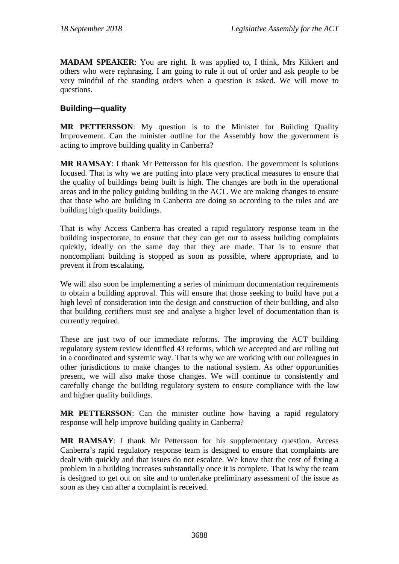**MADAM SPEAKER**: You are right. It was applied to, I think, Mrs Kikkert and others who were rephrasing. I am going to rule it out of order and ask people to be very mindful of the standing orders when a question is asked. We will move to questions.

# **Building—quality**

**MR PETTERSSON**: My question is to the Minister for Building Quality Improvement. Can the minister outline for the Assembly how the government is acting to improve building quality in Canberra?

**MR RAMSAY**: I thank Mr Pettersson for his question. The government is solutions focused. That is why we are putting into place very practical measures to ensure that the quality of buildings being built is high. The changes are both in the operational areas and in the policy guiding building in the ACT. We are making changes to ensure that those who are building in Canberra are doing so according to the rules and are building high quality buildings.

That is why Access Canberra has created a rapid regulatory response team in the building inspectorate, to ensure that they can get out to assess building complaints quickly, ideally on the same day that they are made. That is to ensure that noncompliant building is stopped as soon as possible, where appropriate, and to prevent it from escalating.

We will also soon be implementing a series of minimum documentation requirements to obtain a building approval. This will ensure that those seeking to build have put a high level of consideration into the design and construction of their building, and also that building certifiers must see and analyse a higher level of documentation than is currently required.

These are just two of our immediate reforms. The improving the ACT building regulatory system review identified 43 reforms, which we accepted and are rolling out in a coordinated and systemic way. That is why we are working with our colleagues in other jurisdictions to make changes to the national system. As other opportunities present, we will also make those changes. We will continue to consistently and carefully change the building regulatory system to ensure compliance with the law and higher quality buildings.

**MR PETTERSSON**: Can the minister outline how having a rapid regulatory response will help improve building quality in Canberra?

**MR RAMSAY**: I thank Mr Pettersson for his supplementary question. Access Canberra's rapid regulatory response team is designed to ensure that complaints are dealt with quickly and that issues do not escalate. We know that the cost of fixing a problem in a building increases substantially once it is complete. That is why the team is designed to get out on site and to undertake preliminary assessment of the issue as soon as they can after a complaint is received.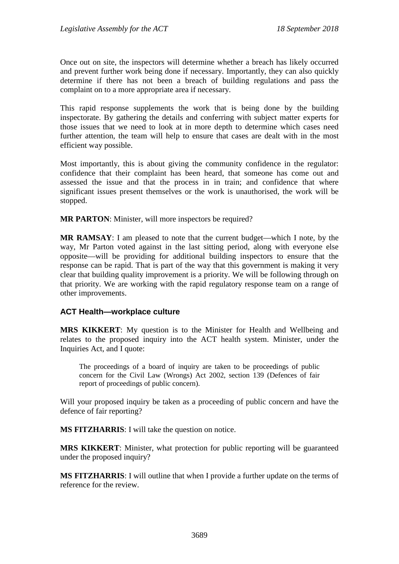Once out on site, the inspectors will determine whether a breach has likely occurred and prevent further work being done if necessary. Importantly, they can also quickly determine if there has not been a breach of building regulations and pass the complaint on to a more appropriate area if necessary.

This rapid response supplements the work that is being done by the building inspectorate. By gathering the details and conferring with subject matter experts for those issues that we need to look at in more depth to determine which cases need further attention, the team will help to ensure that cases are dealt with in the most efficient way possible.

Most importantly, this is about giving the community confidence in the regulator: confidence that their complaint has been heard, that someone has come out and assessed the issue and that the process in in train; and confidence that where significant issues present themselves or the work is unauthorised, the work will be stopped.

**MR PARTON:** Minister, will more inspectors be required?

**MR RAMSAY**: I am pleased to note that the current budget—which I note, by the way, Mr Parton voted against in the last sitting period, along with everyone else opposite—will be providing for additional building inspectors to ensure that the response can be rapid. That is part of the way that this government is making it very clear that building quality improvement is a priority. We will be following through on that priority. We are working with the rapid regulatory response team on a range of other improvements.

### **ACT Health—workplace culture**

**MRS KIKKERT**: My question is to the Minister for Health and Wellbeing and relates to the proposed inquiry into the ACT health system. Minister, under the Inquiries Act, and I quote:

The proceedings of a board of inquiry are taken to be proceedings of public concern for the Civil Law (Wrongs) Act 2002, section 139 (Defences of fair report of proceedings of public concern).

Will your proposed inquiry be taken as a proceeding of public concern and have the defence of fair reporting?

**MS FITZHARRIS**: I will take the question on notice.

**MRS KIKKERT**: Minister, what protection for public reporting will be guaranteed under the proposed inquiry?

**MS FITZHARRIS**: I will outline that when I provide a further update on the terms of reference for the review.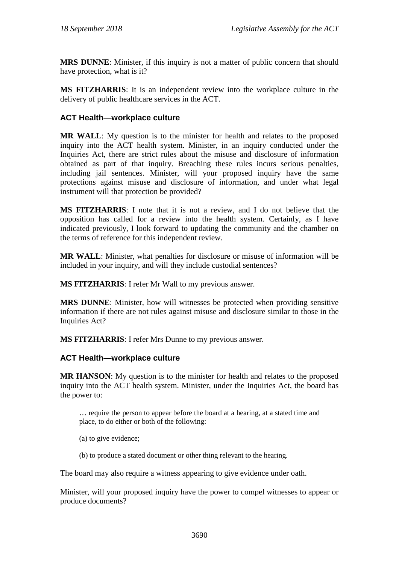**MRS DUNNE**: Minister, if this inquiry is not a matter of public concern that should have protection, what is it?

**MS FITZHARRIS**: It is an independent review into the workplace culture in the delivery of public healthcare services in the ACT.

### **ACT Health—workplace culture**

**MR WALL**: My question is to the minister for health and relates to the proposed inquiry into the ACT health system. Minister, in an inquiry conducted under the Inquiries Act, there are strict rules about the misuse and disclosure of information obtained as part of that inquiry. Breaching these rules incurs serious penalties, including jail sentences. Minister, will your proposed inquiry have the same protections against misuse and disclosure of information, and under what legal instrument will that protection be provided?

**MS FITZHARRIS**: I note that it is not a review, and I do not believe that the opposition has called for a review into the health system. Certainly, as I have indicated previously, I look forward to updating the community and the chamber on the terms of reference for this independent review.

**MR WALL**: Minister, what penalties for disclosure or misuse of information will be included in your inquiry, and will they include custodial sentences?

**MS FITZHARRIS**: I refer Mr Wall to my previous answer.

**MRS DUNNE**: Minister, how will witnesses be protected when providing sensitive information if there are not rules against misuse and disclosure similar to those in the Inquiries Act?

**MS FITZHARRIS**: I refer Mrs Dunne to my previous answer.

### **ACT Health—workplace culture**

**MR HANSON**: My question is to the minister for health and relates to the proposed inquiry into the ACT health system. Minister, under the Inquiries Act, the board has the power to:

… require the person to appear before the board at a hearing, at a stated time and place, to do either or both of the following:

- (a) to give evidence;
- (b) to produce a stated document or other thing relevant to the hearing.

The board may also require a witness appearing to give evidence under oath.

Minister, will your proposed inquiry have the power to compel witnesses to appear or produce documents?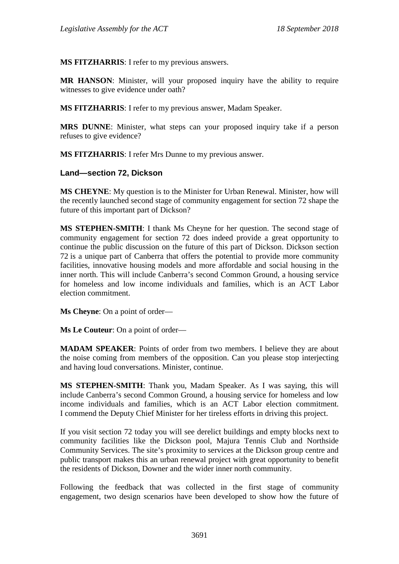**MS FITZHARRIS**: I refer to my previous answers.

**MR HANSON**: Minister, will your proposed inquiry have the ability to require witnesses to give evidence under oath?

**MS FITZHARRIS**: I refer to my previous answer, Madam Speaker.

**MRS DUNNE**: Minister, what steps can your proposed inquiry take if a person refuses to give evidence?

**MS FITZHARRIS**: I refer Mrs Dunne to my previous answer.

### **Land—section 72, Dickson**

**MS CHEYNE**: My question is to the Minister for Urban Renewal. Minister, how will the recently launched second stage of community engagement for section 72 shape the future of this important part of Dickson?

**MS STEPHEN-SMITH**: I thank Ms Cheyne for her question. The second stage of community engagement for section 72 does indeed provide a great opportunity to continue the public discussion on the future of this part of Dickson. Dickson section 72 is a unique part of Canberra that offers the potential to provide more community facilities, innovative housing models and more affordable and social housing in the inner north. This will include Canberra's second Common Ground, a housing service for homeless and low income individuals and families, which is an ACT Labor election commitment.

**Ms Cheyne**: On a point of order—

**Ms Le Couteur**: On a point of order—

**MADAM SPEAKER:** Points of order from two members. I believe they are about the noise coming from members of the opposition. Can you please stop interjecting and having loud conversations. Minister, continue.

**MS STEPHEN-SMITH**: Thank you, Madam Speaker. As I was saying, this will include Canberra's second Common Ground, a housing service for homeless and low income individuals and families, which is an ACT Labor election commitment. I commend the Deputy Chief Minister for her tireless efforts in driving this project.

If you visit section 72 today you will see derelict buildings and empty blocks next to community facilities like the Dickson pool, Majura Tennis Club and Northside Community Services. The site's proximity to services at the Dickson group centre and public transport makes this an urban renewal project with great opportunity to benefit the residents of Dickson, Downer and the wider inner north community.

Following the feedback that was collected in the first stage of community engagement, two design scenarios have been developed to show how the future of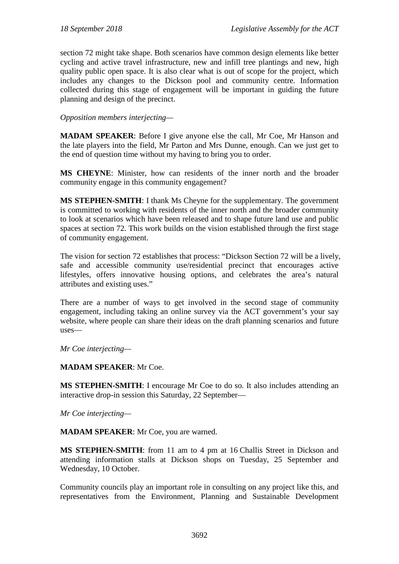section 72 might take shape. Both scenarios have common design elements like better cycling and active travel infrastructure, new and infill tree plantings and new, high quality public open space. It is also clear what is out of scope for the project, which includes any changes to the Dickson pool and community centre. Information collected during this stage of engagement will be important in guiding the future planning and design of the precinct.

*Opposition members interjecting—*

**MADAM SPEAKER**: Before I give anyone else the call, Mr Coe, Mr Hanson and the late players into the field, Mr Parton and Mrs Dunne, enough. Can we just get to the end of question time without my having to bring you to order.

**MS CHEYNE**: Minister, how can residents of the inner north and the broader community engage in this community engagement?

**MS STEPHEN-SMITH**: I thank Ms Cheyne for the supplementary. The government is committed to working with residents of the inner north and the broader community to look at scenarios which have been released and to shape future land use and public spaces at section 72. This work builds on the vision established through the first stage of community engagement.

The vision for section 72 establishes that process: "Dickson Section 72 will be a lively, safe and accessible community use/residential precinct that encourages active lifestyles, offers innovative housing options, and celebrates the area's natural attributes and existing uses."

There are a number of ways to get involved in the second stage of community engagement, including taking an online survey via the ACT government's your say website, where people can share their ideas on the draft planning scenarios and future uses—

*Mr Coe interjecting—*

**MADAM SPEAKER**: Mr Coe.

**MS STEPHEN-SMITH**: I encourage Mr Coe to do so. It also includes attending an interactive drop-in session this Saturday, 22 September—

*Mr Coe interjecting—*

**MADAM SPEAKER**: Mr Coe, you are warned.

**MS STEPHEN-SMITH**: from 11 am to 4 pm at 16 Challis Street in Dickson and attending information stalls at Dickson shops on Tuesday, 25 September and Wednesday, 10 October.

Community councils play an important role in consulting on any project like this, and representatives from the Environment, Planning and Sustainable Development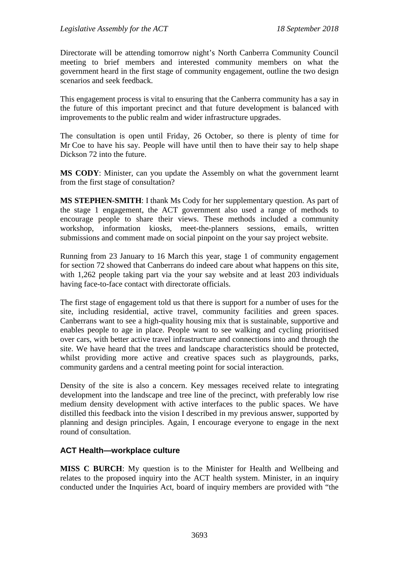Directorate will be attending tomorrow night's North Canberra Community Council meeting to brief members and interested community members on what the government heard in the first stage of community engagement, outline the two design scenarios and seek feedback.

This engagement process is vital to ensuring that the Canberra community has a say in the future of this important precinct and that future development is balanced with improvements to the public realm and wider infrastructure upgrades.

The consultation is open until Friday, 26 October, so there is plenty of time for Mr Coe to have his say. People will have until then to have their say to help shape Dickson 72 into the future.

**MS CODY**: Minister, can you update the Assembly on what the government learnt from the first stage of consultation?

**MS STEPHEN-SMITH**: I thank Ms Cody for her supplementary question. As part of the stage 1 engagement, the ACT government also used a range of methods to encourage people to share their views. These methods included a community workshop, information kiosks, meet-the-planners sessions, emails, written submissions and comment made on social pinpoint on the your say project website.

Running from 23 January to 16 March this year, stage 1 of community engagement for section 72 showed that Canberrans do indeed care about what happens on this site, with 1,262 people taking part via the your say website and at least 203 individuals having face-to-face contact with directorate officials.

The first stage of engagement told us that there is support for a number of uses for the site, including residential, active travel, community facilities and green spaces. Canberrans want to see a high-quality housing mix that is sustainable, supportive and enables people to age in place. People want to see walking and cycling prioritised over cars, with better active travel infrastructure and connections into and through the site. We have heard that the trees and landscape characteristics should be protected, whilst providing more active and creative spaces such as playgrounds, parks, community gardens and a central meeting point for social interaction.

Density of the site is also a concern. Key messages received relate to integrating development into the landscape and tree line of the precinct, with preferably low rise medium density development with active interfaces to the public spaces. We have distilled this feedback into the vision I described in my previous answer, supported by planning and design principles. Again, I encourage everyone to engage in the next round of consultation.

### **ACT Health—workplace culture**

**MISS C BURCH**: My question is to the Minister for Health and Wellbeing and relates to the proposed inquiry into the ACT health system. Minister, in an inquiry conducted under the Inquiries Act, board of inquiry members are provided with "the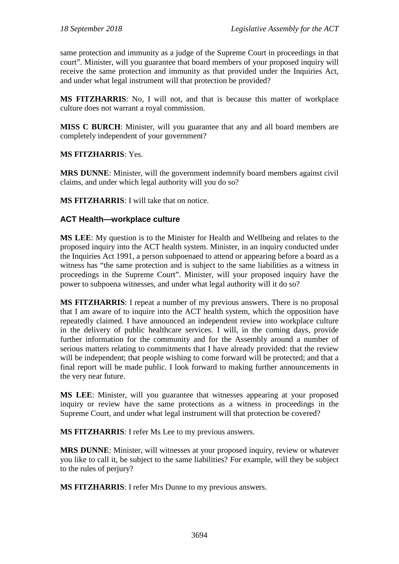same protection and immunity as a judge of the Supreme Court in proceedings in that court". Minister, will you guarantee that board members of your proposed inquiry will receive the same protection and immunity as that provided under the Inquiries Act, and under what legal instrument will that protection be provided?

**MS FITZHARRIS**: No, I will not, and that is because this matter of workplace culture does not warrant a royal commission.

**MISS C BURCH**: Minister, will you guarantee that any and all board members are completely independent of your government?

**MS FITZHARRIS**: Yes.

**MRS DUNNE**: Minister, will the government indemnify board members against civil claims, and under which legal authority will you do so?

**MS FITZHARRIS**: I will take that on notice.

# **ACT Health—workplace culture**

**MS LEE**: My question is to the Minister for Health and Wellbeing and relates to the proposed inquiry into the ACT health system. Minister, in an inquiry conducted under the Inquiries Act 1991, a person subpoenaed to attend or appearing before a board as a witness has "the same protection and is subject to the same liabilities as a witness in proceedings in the Supreme Court". Minister, will your proposed inquiry have the power to subpoena witnesses, and under what legal authority will it do so?

**MS FITZHARRIS**: I repeat a number of my previous answers. There is no proposal that I am aware of to inquire into the ACT health system, which the opposition have repeatedly claimed. I have announced an independent review into workplace culture in the delivery of public healthcare services. I will, in the coming days, provide further information for the community and for the Assembly around a number of serious matters relating to commitments that I have already provided: that the review will be independent; that people wishing to come forward will be protected; and that a final report will be made public. I look forward to making further announcements in the very near future.

**MS LEE**: Minister, will you guarantee that witnesses appearing at your proposed inquiry or review have the same protections as a witness in proceedings in the Supreme Court, and under what legal instrument will that protection be covered?

**MS FITZHARRIS**: I refer Ms Lee to my previous answers.

**MRS DUNNE**: Minister, will witnesses at your proposed inquiry, review or whatever you like to call it, be subject to the same liabilities? For example, will they be subject to the rules of perjury?

**MS FITZHARRIS**: I refer Mrs Dunne to my previous answers.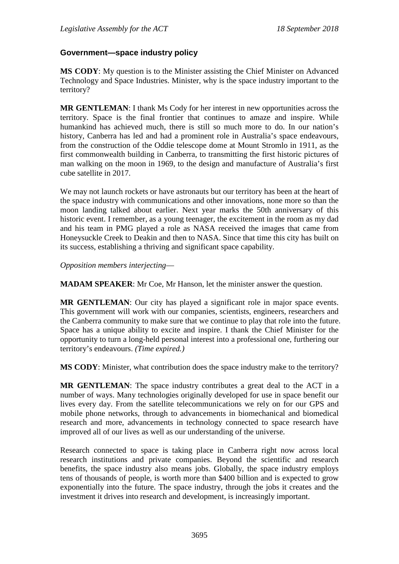# **Government—space industry policy**

**MS CODY**: My question is to the Minister assisting the Chief Minister on Advanced Technology and Space Industries. Minister, why is the space industry important to the territory?

**MR GENTLEMAN**: I thank Ms Cody for her interest in new opportunities across the territory. Space is the final frontier that continues to amaze and inspire. While humankind has achieved much, there is still so much more to do. In our nation's history, Canberra has led and had a prominent role in Australia's space endeavours, from the construction of the Oddie telescope dome at Mount Stromlo in 1911, as the first commonwealth building in Canberra, to transmitting the first historic pictures of man walking on the moon in 1969, to the design and manufacture of Australia's first cube satellite in 2017.

We may not launch rockets or have astronauts but our territory has been at the heart of the space industry with communications and other innovations, none more so than the moon landing talked about earlier. Next year marks the 50th anniversary of this historic event. I remember, as a young teenager, the excitement in the room as my dad and his team in PMG played a role as NASA received the images that came from Honeysuckle Creek to Deakin and then to NASA. Since that time this city has built on its success, establishing a thriving and significant space capability.

*Opposition members interjecting*—

**MADAM SPEAKER**: Mr Coe, Mr Hanson, let the minister answer the question.

**MR GENTLEMAN**: Our city has played a significant role in major space events. This government will work with our companies, scientists, engineers, researchers and the Canberra community to make sure that we continue to play that role into the future. Space has a unique ability to excite and inspire. I thank the Chief Minister for the opportunity to turn a long-held personal interest into a professional one, furthering our territory's endeavours. *(Time expired.)*

**MS CODY**: Minister, what contribution does the space industry make to the territory?

**MR GENTLEMAN**: The space industry contributes a great deal to the ACT in a number of ways. Many technologies originally developed for use in space benefit our lives every day. From the satellite telecommunications we rely on for our GPS and mobile phone networks, through to advancements in biomechanical and biomedical research and more, advancements in technology connected to space research have improved all of our lives as well as our understanding of the universe.

Research connected to space is taking place in Canberra right now across local research institutions and private companies. Beyond the scientific and research benefits, the space industry also means jobs. Globally, the space industry employs tens of thousands of people, is worth more than \$400 billion and is expected to grow exponentially into the future. The space industry, through the jobs it creates and the investment it drives into research and development, is increasingly important.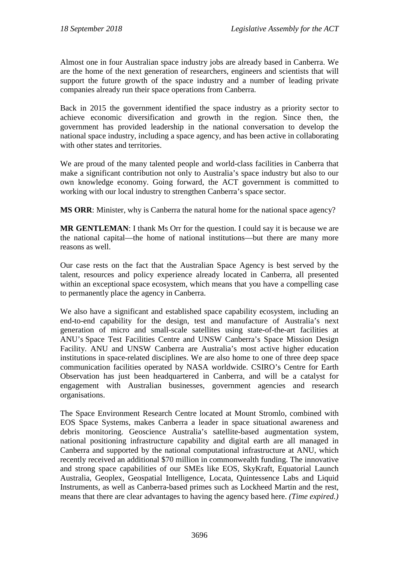Almost one in four Australian space industry jobs are already based in Canberra. We are the home of the next generation of researchers, engineers and scientists that will support the future growth of the space industry and a number of leading private companies already run their space operations from Canberra.

Back in 2015 the government identified the space industry as a priority sector to achieve economic diversification and growth in the region. Since then, the government has provided leadership in the national conversation to develop the national space industry, including a space agency, and has been active in collaborating with other states and territories.

We are proud of the many talented people and world-class facilities in Canberra that make a significant contribution not only to Australia's space industry but also to our own knowledge economy. Going forward, the ACT government is committed to working with our local industry to strengthen Canberra's space sector.

**MS ORR**: Minister, why is Canberra the natural home for the national space agency?

**MR GENTLEMAN:** I thank Ms Orr for the question. I could say it is because we are the national capital—the home of national institutions—but there are many more reasons as well.

Our case rests on the fact that the Australian Space Agency is best served by the talent, resources and policy experience already located in Canberra, all presented within an exceptional space ecosystem, which means that you have a compelling case to permanently place the agency in Canberra.

We also have a significant and established space capability ecosystem, including an end-to-end capability for the design, test and manufacture of Australia's next generation of micro and small-scale satellites using state-of-the-art facilities at ANU's Space Test Facilities Centre and UNSW Canberra's Space Mission Design Facility. ANU and UNSW Canberra are Australia's most active higher education institutions in space-related disciplines. We are also home to one of three deep space communication facilities operated by NASA worldwide. CSIRO's Centre for Earth Observation has just been headquartered in Canberra, and will be a catalyst for engagement with Australian businesses, government agencies and research organisations.

The Space Environment Research Centre located at Mount Stromlo, combined with EOS Space Systems, makes Canberra a leader in space situational awareness and debris monitoring. Geoscience Australia's satellite-based augmentation system, national positioning infrastructure capability and digital earth are all managed in Canberra and supported by the national computational infrastructure at ANU, which recently received an additional \$70 million in commonwealth funding. The innovative and strong space capabilities of our SMEs like EOS, SkyKraft, Equatorial Launch Australia, Geoplex, Geospatial Intelligence, Locata, Quintessence Labs and Liquid Instruments, as well as Canberra-based primes such as Lockheed Martin and the rest, means that there are clear advantages to having the agency based here. *(Time expired.)*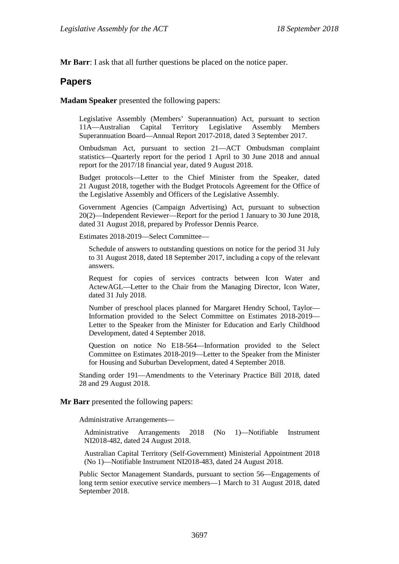**Mr Barr**: I ask that all further questions be placed on the notice paper.

### **Papers**

**Madam Speaker** presented the following papers:

Legislative Assembly (Members' Superannuation) Act, pursuant to section 11A—Australian Capital Territory Legislative Assembly Members Superannuation Board—Annual Report 2017-2018, dated 3 September 2017.

Ombudsman Act, pursuant to section 21—ACT Ombudsman complaint statistics—Quarterly report for the period 1 April to 30 June 2018 and annual report for the 2017/18 financial year, dated 9 August 2018.

Budget protocols—Letter to the Chief Minister from the Speaker, dated 21 August 2018, together with the Budget Protocols Agreement for the Office of the Legislative Assembly and Officers of the Legislative Assembly.

Government Agencies (Campaign Advertising) Act, pursuant to subsection 20(2)—Independent Reviewer—Report for the period 1 January to 30 June 2018, dated 31 August 2018, prepared by Professor Dennis Pearce.

Estimates 2018-2019—Select Committee—

Schedule of answers to outstanding questions on notice for the period 31 July to 31 August 2018, dated 18 September 2017, including a copy of the relevant answers.

Request for copies of services contracts between Icon Water and ActewAGL—Letter to the Chair from the Managing Director, Icon Water, dated 31 July 2018.

Number of preschool places planned for Margaret Hendry School, Taylor— Information provided to the Select Committee on Estimates 2018-2019— Letter to the Speaker from the Minister for Education and Early Childhood Development, dated 4 September 2018.

Question on notice No E18-564—Information provided to the Select Committee on Estimates 2018-2019—Letter to the Speaker from the Minister for Housing and Suburban Development, dated 4 September 2018.

Standing order 191—Amendments to the Veterinary Practice Bill 2018, dated 28 and 29 August 2018.

#### **Mr Barr** presented the following papers:

Administrative Arrangements—

Administrative Arrangements 2018 (No 1)—Notifiable Instrument NI2018-482, dated 24 August 2018.

Australian Capital Territory (Self-Government) Ministerial Appointment 2018 (No 1)—Notifiable Instrument NI2018-483, dated 24 August 2018.

Public Sector Management Standards, pursuant to section 56—Engagements of long term senior executive service members—1 March to 31 August 2018, dated September 2018.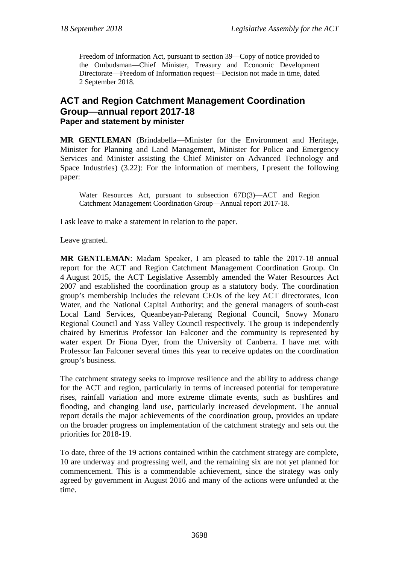Freedom of Information Act, pursuant to section 39—Copy of notice provided to the Ombudsman—Chief Minister, Treasury and Economic Development Directorate—Freedom of Information request—Decision not made in time, dated 2 September 2018.

# **ACT and Region Catchment Management Coordination Group—annual report 2017-18 Paper and statement by minister**

**MR GENTLEMAN** (Brindabella—Minister for the Environment and Heritage, Minister for Planning and Land Management, Minister for Police and Emergency Services and Minister assisting the Chief Minister on Advanced Technology and Space Industries) (3.22): For the information of members, I present the following paper:

Water Resources Act, pursuant to subsection 67D(3)—ACT and Region Catchment Management Coordination Group—Annual report 2017-18.

I ask leave to make a statement in relation to the paper.

Leave granted.

**MR GENTLEMAN**: Madam Speaker, I am pleased to table the 2017-18 annual report for the ACT and Region Catchment Management Coordination Group. On 4 August 2015, the ACT Legislative Assembly amended the Water Resources Act 2007 and established the coordination group as a statutory body. The coordination group's membership includes the relevant CEOs of the key ACT directorates, Icon Water, and the National Capital Authority; and the general managers of south-east Local Land Services, Queanbeyan-Palerang Regional Council, Snowy Monaro Regional Council and Yass Valley Council respectively. The group is independently chaired by Emeritus Professor Ian Falconer and the community is represented by water expert Dr Fiona Dyer, from the University of Canberra. I have met with Professor Ian Falconer several times this year to receive updates on the coordination group's business.

The catchment strategy seeks to improve resilience and the ability to address change for the ACT and region, particularly in terms of increased potential for temperature rises, rainfall variation and more extreme climate events, such as bushfires and flooding, and changing land use, particularly increased development. The annual report details the major achievements of the coordination group, provides an update on the broader progress on implementation of the catchment strategy and sets out the priorities for 2018-19.

To date, three of the 19 actions contained within the catchment strategy are complete, 10 are underway and progressing well, and the remaining six are not yet planned for commencement. This is a commendable achievement, since the strategy was only agreed by government in August 2016 and many of the actions were unfunded at the time.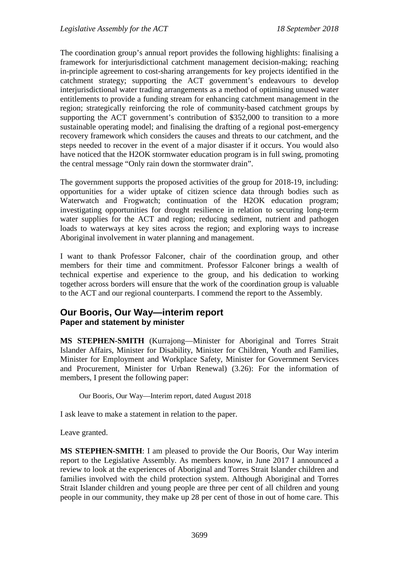The coordination group's annual report provides the following highlights: finalising a framework for interjurisdictional catchment management decision-making; reaching in-principle agreement to cost-sharing arrangements for key projects identified in the catchment strategy; supporting the ACT government's endeavours to develop interjurisdictional water trading arrangements as a method of optimising unused water entitlements to provide a funding stream for enhancing catchment management in the region; strategically reinforcing the role of community-based catchment groups by supporting the ACT government's contribution of \$352,000 to transition to a more sustainable operating model; and finalising the drafting of a regional post-emergency recovery framework which considers the causes and threats to our catchment, and the steps needed to recover in the event of a major disaster if it occurs. You would also have noticed that the H2OK stormwater education program is in full swing, promoting the central message "Only rain down the stormwater drain".

The government supports the proposed activities of the group for 2018-19, including: opportunities for a wider uptake of citizen science data through bodies such as Waterwatch and Frogwatch; continuation of the H2OK education program; investigating opportunities for drought resilience in relation to securing long-term water supplies for the ACT and region; reducing sediment, nutrient and pathogen loads to waterways at key sites across the region; and exploring ways to increase Aboriginal involvement in water planning and management.

I want to thank Professor Falconer, chair of the coordination group, and other members for their time and commitment. Professor Falconer brings a wealth of technical expertise and experience to the group, and his dedication to working together across borders will ensure that the work of the coordination group is valuable to the ACT and our regional counterparts. I commend the report to the Assembly.

# **Our Booris, Our Way—interim report Paper and statement by minister**

**MS STEPHEN-SMITH** (Kurrajong—Minister for Aboriginal and Torres Strait Islander Affairs, Minister for Disability, Minister for Children, Youth and Families, Minister for Employment and Workplace Safety, Minister for Government Services and Procurement, Minister for Urban Renewal) (3.26): For the information of members, I present the following paper:

Our Booris, Our Way—Interim report, dated August 2018

I ask leave to make a statement in relation to the paper.

Leave granted.

**MS STEPHEN-SMITH**: I am pleased to provide the Our Booris, Our Way interim report to the Legislative Assembly. As members know, in June 2017 I announced a review to look at the experiences of Aboriginal and Torres Strait Islander children and families involved with the child protection system. Although Aboriginal and Torres Strait Islander children and young people are three per cent of all children and young people in our community, they make up 28 per cent of those in out of home care. This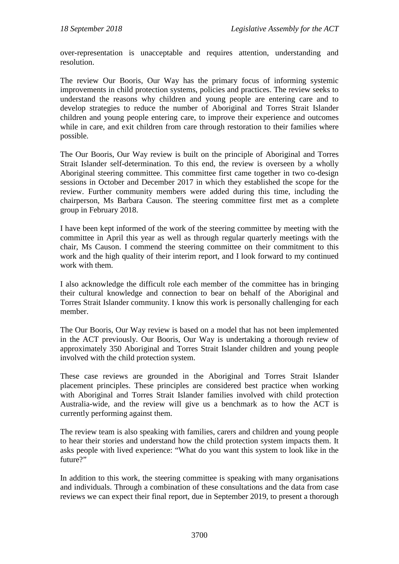over-representation is unacceptable and requires attention, understanding and resolution.

The review Our Booris, Our Way has the primary focus of informing systemic improvements in child protection systems, policies and practices. The review seeks to understand the reasons why children and young people are entering care and to develop strategies to reduce the number of Aboriginal and Torres Strait Islander children and young people entering care, to improve their experience and outcomes while in care, and exit children from care through restoration to their families where possible.

The Our Booris, Our Way review is built on the principle of Aboriginal and Torres Strait Islander self-determination. To this end, the review is overseen by a wholly Aboriginal steering committee. This committee first came together in two co-design sessions in October and December 2017 in which they established the scope for the review. Further community members were added during this time, including the chairperson, Ms Barbara Causon. The steering committee first met as a complete group in February 2018.

I have been kept informed of the work of the steering committee by meeting with the committee in April this year as well as through regular quarterly meetings with the chair, Ms Causon. I commend the steering committee on their commitment to this work and the high quality of their interim report, and I look forward to my continued work with them.

I also acknowledge the difficult role each member of the committee has in bringing their cultural knowledge and connection to bear on behalf of the Aboriginal and Torres Strait Islander community. I know this work is personally challenging for each member.

The Our Booris, Our Way review is based on a model that has not been implemented in the ACT previously. Our Booris, Our Way is undertaking a thorough review of approximately 350 Aboriginal and Torres Strait Islander children and young people involved with the child protection system.

These case reviews are grounded in the Aboriginal and Torres Strait Islander placement principles. These principles are considered best practice when working with Aboriginal and Torres Strait Islander families involved with child protection Australia-wide, and the review will give us a benchmark as to how the ACT is currently performing against them.

The review team is also speaking with families, carers and children and young people to hear their stories and understand how the child protection system impacts them. It asks people with lived experience: "What do you want this system to look like in the future?"

In addition to this work, the steering committee is speaking with many organisations and individuals. Through a combination of these consultations and the data from case reviews we can expect their final report, due in September 2019, to present a thorough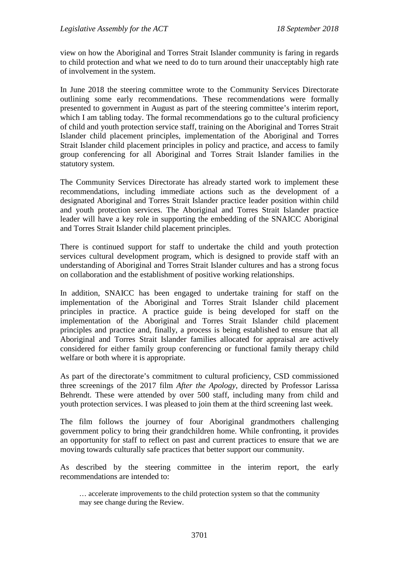view on how the Aboriginal and Torres Strait Islander community is faring in regards to child protection and what we need to do to turn around their unacceptably high rate of involvement in the system.

In June 2018 the steering committee wrote to the Community Services Directorate outlining some early recommendations. These recommendations were formally presented to government in August as part of the steering committee's interim report, which I am tabling today. The formal recommendations go to the cultural proficiency of child and youth protection service staff, training on the Aboriginal and Torres Strait Islander child placement principles, implementation of the Aboriginal and Torres Strait Islander child placement principles in policy and practice, and access to family group conferencing for all Aboriginal and Torres Strait Islander families in the statutory system.

The Community Services Directorate has already started work to implement these recommendations, including immediate actions such as the development of a designated Aboriginal and Torres Strait Islander practice leader position within child and youth protection services. The Aboriginal and Torres Strait Islander practice leader will have a key role in supporting the embedding of the SNAICC Aboriginal and Torres Strait Islander child placement principles.

There is continued support for staff to undertake the child and youth protection services cultural development program, which is designed to provide staff with an understanding of Aboriginal and Torres Strait Islander cultures and has a strong focus on collaboration and the establishment of positive working relationships.

In addition, SNAICC has been engaged to undertake training for staff on the implementation of the Aboriginal and Torres Strait Islander child placement principles in practice. A practice guide is being developed for staff on the implementation of the Aboriginal and Torres Strait Islander child placement principles and practice and, finally, a process is being established to ensure that all Aboriginal and Torres Strait Islander families allocated for appraisal are actively considered for either family group conferencing or functional family therapy child welfare or both where it is appropriate.

As part of the directorate's commitment to cultural proficiency, CSD commissioned three screenings of the 2017 film *After the Apology*, directed by Professor Larissa Behrendt. These were attended by over 500 staff, including many from child and youth protection services. I was pleased to join them at the third screening last week.

The film follows the journey of four Aboriginal grandmothers challenging government policy to bring their grandchildren home. While confronting, it provides an opportunity for staff to reflect on past and current practices to ensure that we are moving towards culturally safe practices that better support our community.

As described by the steering committee in the interim report, the early recommendations are intended to:

<sup>…</sup> accelerate improvements to the child protection system so that the community may see change during the Review.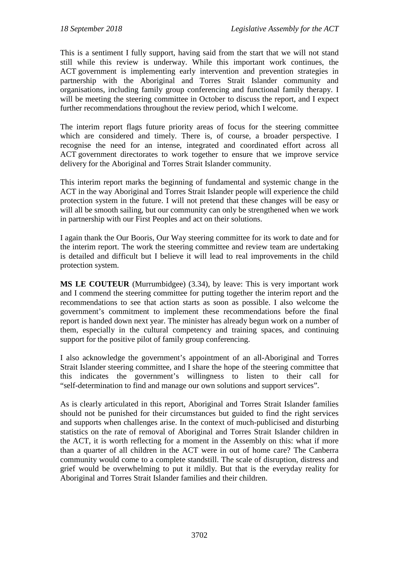This is a sentiment I fully support, having said from the start that we will not stand still while this review is underway. While this important work continues, the ACT government is implementing early intervention and prevention strategies in partnership with the Aboriginal and Torres Strait Islander community and organisations, including family group conferencing and functional family therapy. I will be meeting the steering committee in October to discuss the report, and I expect further recommendations throughout the review period, which I welcome.

The interim report flags future priority areas of focus for the steering committee which are considered and timely. There is, of course, a broader perspective. I recognise the need for an intense, integrated and coordinated effort across all ACT government directorates to work together to ensure that we improve service delivery for the Aboriginal and Torres Strait Islander community.

This interim report marks the beginning of fundamental and systemic change in the ACT in the way Aboriginal and Torres Strait Islander people will experience the child protection system in the future. I will not pretend that these changes will be easy or will all be smooth sailing, but our community can only be strengthened when we work in partnership with our First Peoples and act on their solutions.

I again thank the Our Booris, Our Way steering committee for its work to date and for the interim report. The work the steering committee and review team are undertaking is detailed and difficult but I believe it will lead to real improvements in the child protection system.

**MS LE COUTEUR** (Murrumbidgee) (3.34), by leave: This is very important work and I commend the steering committee for putting together the interim report and the recommendations to see that action starts as soon as possible. I also welcome the government's commitment to implement these recommendations before the final report is handed down next year. The minister has already begun work on a number of them, especially in the cultural competency and training spaces, and continuing support for the positive pilot of family group conferencing.

I also acknowledge the government's appointment of an all-Aboriginal and Torres Strait Islander steering committee, and I share the hope of the steering committee that this indicates the government's willingness to listen to their call for "self-determination to find and manage our own solutions and support services".

As is clearly articulated in this report, Aboriginal and Torres Strait Islander families should not be punished for their circumstances but guided to find the right services and supports when challenges arise. In the context of much-publicised and disturbing statistics on the rate of removal of Aboriginal and Torres Strait Islander children in the ACT, it is worth reflecting for a moment in the Assembly on this: what if more than a quarter of all children in the ACT were in out of home care? The Canberra community would come to a complete standstill. The scale of disruption, distress and grief would be overwhelming to put it mildly. But that is the everyday reality for Aboriginal and Torres Strait Islander families and their children.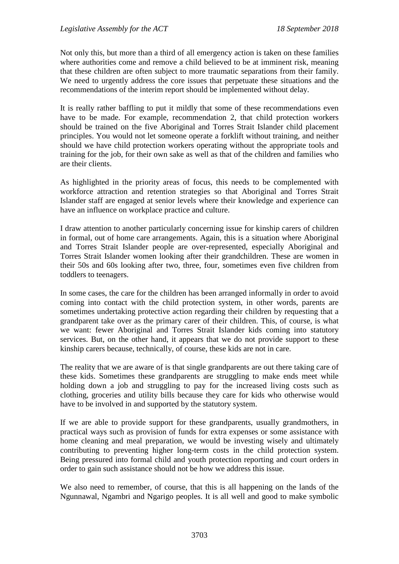Not only this, but more than a third of all emergency action is taken on these families where authorities come and remove a child believed to be at imminent risk, meaning that these children are often subject to more traumatic separations from their family. We need to urgently address the core issues that perpetuate these situations and the recommendations of the interim report should be implemented without delay.

It is really rather baffling to put it mildly that some of these recommendations even have to be made. For example, recommendation 2, that child protection workers should be trained on the five Aboriginal and Torres Strait Islander child placement principles. You would not let someone operate a forklift without training, and neither should we have child protection workers operating without the appropriate tools and training for the job, for their own sake as well as that of the children and families who are their clients.

As highlighted in the priority areas of focus, this needs to be complemented with workforce attraction and retention strategies so that Aboriginal and Torres Strait Islander staff are engaged at senior levels where their knowledge and experience can have an influence on workplace practice and culture.

I draw attention to another particularly concerning issue for kinship carers of children in formal, out of home care arrangements. Again, this is a situation where Aboriginal and Torres Strait Islander people are over-represented, especially Aboriginal and Torres Strait Islander women looking after their grandchildren. These are women in their 50s and 60s looking after two, three, four, sometimes even five children from toddlers to teenagers.

In some cases, the care for the children has been arranged informally in order to avoid coming into contact with the child protection system, in other words, parents are sometimes undertaking protective action regarding their children by requesting that a grandparent take over as the primary carer of their children. This, of course, is what we want: fewer Aboriginal and Torres Strait Islander kids coming into statutory services. But, on the other hand, it appears that we do not provide support to these kinship carers because, technically, of course, these kids are not in care.

The reality that we are aware of is that single grandparents are out there taking care of these kids. Sometimes these grandparents are struggling to make ends meet while holding down a job and struggling to pay for the increased living costs such as clothing, groceries and utility bills because they care for kids who otherwise would have to be involved in and supported by the statutory system.

If we are able to provide support for these grandparents, usually grandmothers, in practical ways such as provision of funds for extra expenses or some assistance with home cleaning and meal preparation, we would be investing wisely and ultimately contributing to preventing higher long-term costs in the child protection system. Being pressured into formal child and youth protection reporting and court orders in order to gain such assistance should not be how we address this issue.

We also need to remember, of course, that this is all happening on the lands of the Ngunnawal, Ngambri and Ngarigo peoples. It is all well and good to make symbolic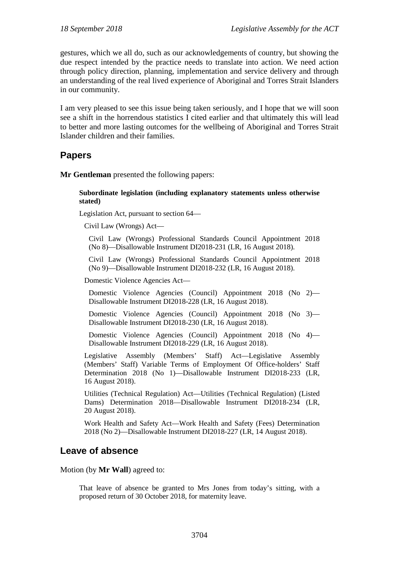gestures, which we all do, such as our acknowledgements of country, but showing the due respect intended by the practice needs to translate into action. We need action through policy direction, planning, implementation and service delivery and through an understanding of the real lived experience of Aboriginal and Torres Strait Islanders in our community.

I am very pleased to see this issue being taken seriously, and I hope that we will soon see a shift in the horrendous statistics I cited earlier and that ultimately this will lead to better and more lasting outcomes for the wellbeing of Aboriginal and Torres Strait Islander children and their families.

# **Papers**

**Mr Gentleman** presented the following papers:

#### **Subordinate legislation (including explanatory statements unless otherwise stated)**

Legislation Act, pursuant to section 64—

Civil Law (Wrongs) Act—

Civil Law (Wrongs) Professional Standards Council Appointment 2018 (No 8)—Disallowable Instrument DI2018-231 (LR, 16 August 2018).

Civil Law (Wrongs) Professional Standards Council Appointment 2018 (No 9)—Disallowable Instrument DI2018-232 (LR, 16 August 2018).

Domestic Violence Agencies Act—

Domestic Violence Agencies (Council) Appointment 2018 (No 2)— Disallowable Instrument DI2018-228 (LR, 16 August 2018).

Domestic Violence Agencies (Council) Appointment 2018 (No 3)— Disallowable Instrument DI2018-230 (LR, 16 August 2018).

Domestic Violence Agencies (Council) Appointment 2018 (No 4)— Disallowable Instrument DI2018-229 (LR, 16 August 2018).

Legislative Assembly (Members' Staff) Act—Legislative Assembly (Members' Staff) Variable Terms of Employment Of Office-holders' Staff Determination 2018 (No 1)—Disallowable Instrument DI2018-233 (LR, 16 August 2018).

Utilities (Technical Regulation) Act—Utilities (Technical Regulation) (Listed Dams) Determination 2018—Disallowable Instrument DI2018-234 (LR, 20 August 2018).

Work Health and Safety Act—Work Health and Safety (Fees) Determination 2018 (No 2)—Disallowable Instrument DI2018-227 (LR, 14 August 2018).

# **Leave of absence**

Motion (by **Mr Wall**) agreed to:

That leave of absence be granted to Mrs Jones from today's sitting, with a proposed return of 30 October 2018, for maternity leave.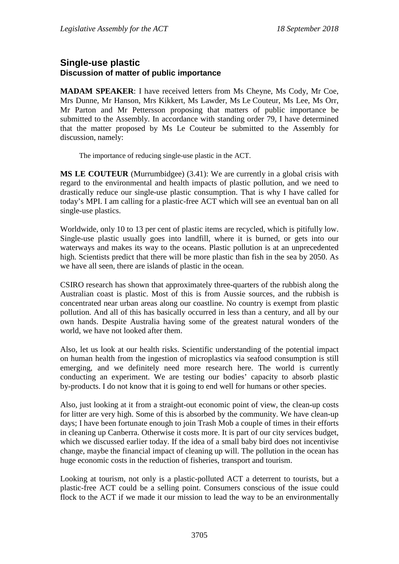## **Single-use plastic Discussion of matter of public importance**

**MADAM SPEAKER**: I have received letters from Ms Cheyne, Ms Cody, Mr Coe, Mrs Dunne, Mr Hanson, Mrs Kikkert, Ms Lawder, Ms Le Couteur, Ms Lee, Ms Orr, Mr Parton and Mr Pettersson proposing that matters of public importance be submitted to the Assembly. In accordance with standing order 79, I have determined that the matter proposed by Ms Le Couteur be submitted to the Assembly for discussion, namely:

The importance of reducing single-use plastic in the ACT.

**MS LE COUTEUR** (Murrumbidgee) (3.41): We are currently in a global crisis with regard to the environmental and health impacts of plastic pollution, and we need to drastically reduce our single-use plastic consumption. That is why I have called for today's MPI. I am calling for a plastic-free ACT which will see an eventual ban on all single-use plastics.

Worldwide, only 10 to 13 per cent of plastic items are recycled, which is pitifully low. Single-use plastic usually goes into landfill, where it is burned, or gets into our waterways and makes its way to the oceans. Plastic pollution is at an unprecedented high. Scientists predict that there will be more plastic than fish in the sea by 2050. As we have all seen, there are islands of plastic in the ocean.

CSIRO research has shown that approximately three-quarters of the rubbish along the Australian coast is plastic. Most of this is from Aussie sources, and the rubbish is concentrated near urban areas along our coastline. No country is exempt from plastic pollution. And all of this has basically occurred in less than a century, and all by our own hands. Despite Australia having some of the greatest natural wonders of the world, we have not looked after them.

Also, let us look at our health risks. Scientific understanding of the potential impact on human health from the ingestion of microplastics via seafood consumption is still emerging, and we definitely need more research here. The world is currently conducting an experiment. We are testing our bodies' capacity to absorb plastic by-products. I do not know that it is going to end well for humans or other species.

Also, just looking at it from a straight-out economic point of view, the clean-up costs for litter are very high. Some of this is absorbed by the community. We have clean-up days; I have been fortunate enough to join Trash Mob a couple of times in their efforts in cleaning up Canberra. Otherwise it costs more. It is part of our city services budget, which we discussed earlier today. If the idea of a small baby bird does not incentivise change, maybe the financial impact of cleaning up will. The pollution in the ocean has huge economic costs in the reduction of fisheries, transport and tourism.

Looking at tourism, not only is a plastic-polluted ACT a deterrent to tourists, but a plastic-free ACT could be a selling point. Consumers conscious of the issue could flock to the ACT if we made it our mission to lead the way to be an environmentally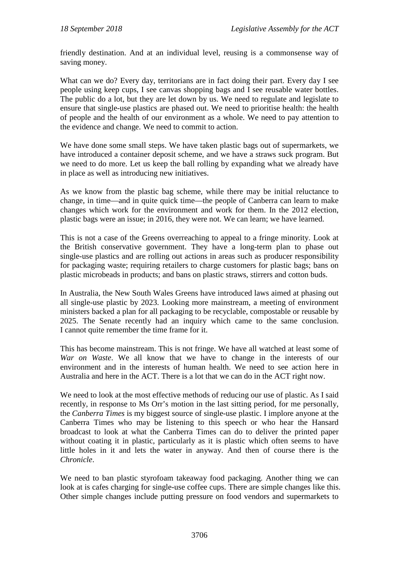friendly destination. And at an individual level, reusing is a commonsense way of saving money.

What can we do? Every day, territorians are in fact doing their part. Every day I see people using keep cups, I see canvas shopping bags and I see reusable water bottles. The public do a lot, but they are let down by us. We need to regulate and legislate to ensure that single-use plastics are phased out. We need to prioritise health: the health of people and the health of our environment as a whole. We need to pay attention to the evidence and change. We need to commit to action.

We have done some small steps. We have taken plastic bags out of supermarkets, we have introduced a container deposit scheme, and we have a straws suck program. But we need to do more. Let us keep the ball rolling by expanding what we already have in place as well as introducing new initiatives.

As we know from the plastic bag scheme, while there may be initial reluctance to change, in time—and in quite quick time—the people of Canberra can learn to make changes which work for the environment and work for them. In the 2012 election, plastic bags were an issue; in 2016, they were not. We can learn; we have learned.

This is not a case of the Greens overreaching to appeal to a fringe minority. Look at the British conservative government. They have a long-term plan to phase out single-use plastics and are rolling out actions in areas such as producer responsibility for packaging waste; requiring retailers to charge customers for plastic bags; bans on plastic microbeads in products; and bans on plastic straws, stirrers and cotton buds.

In Australia, the New South Wales Greens have introduced laws aimed at phasing out all single-use plastic by 2023. Looking more mainstream, a meeting of environment ministers backed a plan for all packaging to be recyclable, compostable or reusable by 2025. The Senate recently had an inquiry which came to the same conclusion. I cannot quite remember the time frame for it.

This has become mainstream. This is not fringe. We have all watched at least some of *War on Waste*. We all know that we have to change in the interests of our environment and in the interests of human health. We need to see action here in Australia and here in the ACT. There is a lot that we can do in the ACT right now.

We need to look at the most effective methods of reducing our use of plastic. As I said recently, in response to Ms Orr's motion in the last sitting period, for me personally, the *Canberra Times* is my biggest source of single-use plastic. I implore anyone at the Canberra Times who may be listening to this speech or who hear the Hansard broadcast to look at what the Canberra Times can do to deliver the printed paper without coating it in plastic, particularly as it is plastic which often seems to have little holes in it and lets the water in anyway. And then of course there is the *Chronicle*.

We need to ban plastic styrofoam takeaway food packaging. Another thing we can look at is cafes charging for single-use coffee cups. There are simple changes like this. Other simple changes include putting pressure on food vendors and supermarkets to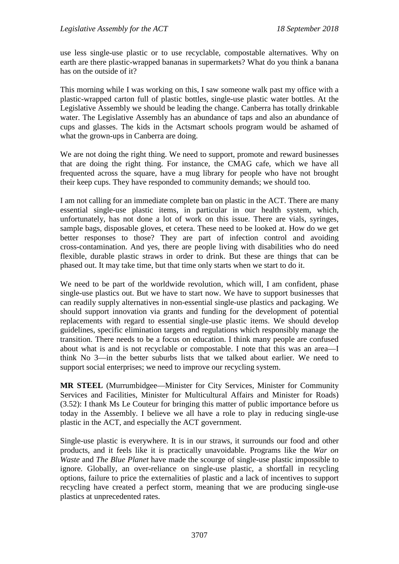use less single-use plastic or to use recyclable, compostable alternatives. Why on earth are there plastic-wrapped bananas in supermarkets? What do you think a banana has on the outside of it?

This morning while I was working on this, I saw someone walk past my office with a plastic-wrapped carton full of plastic bottles, single-use plastic water bottles. At the Legislative Assembly we should be leading the change. Canberra has totally drinkable water. The Legislative Assembly has an abundance of taps and also an abundance of cups and glasses. The kids in the Actsmart schools program would be ashamed of what the grown-ups in Canberra are doing.

We are not doing the right thing. We need to support, promote and reward businesses that are doing the right thing. For instance, the CMAG cafe, which we have all frequented across the square, have a mug library for people who have not brought their keep cups. They have responded to community demands; we should too.

I am not calling for an immediate complete ban on plastic in the ACT. There are many essential single-use plastic items, in particular in our health system, which, unfortunately, has not done a lot of work on this issue. There are vials, syringes, sample bags, disposable gloves, et cetera. These need to be looked at. How do we get better responses to those? They are part of infection control and avoiding cross-contamination. And yes, there are people living with disabilities who do need flexible, durable plastic straws in order to drink. But these are things that can be phased out. It may take time, but that time only starts when we start to do it.

We need to be part of the worldwide revolution, which will, I am confident, phase single-use plastics out. But we have to start now. We have to support businesses that can readily supply alternatives in non-essential single-use plastics and packaging. We should support innovation via grants and funding for the development of potential replacements with regard to essential single-use plastic items. We should develop guidelines, specific elimination targets and regulations which responsibly manage the transition. There needs to be a focus on education. I think many people are confused about what is and is not recyclable or compostable. I note that this was an area—I think No 3—in the better suburbs lists that we talked about earlier. We need to support social enterprises; we need to improve our recycling system.

**MR STEEL** (Murrumbidgee—Minister for City Services, Minister for Community Services and Facilities, Minister for Multicultural Affairs and Minister for Roads) (3.52): I thank Ms Le Couteur for bringing this matter of public importance before us today in the Assembly. I believe we all have a role to play in reducing single-use plastic in the ACT, and especially the ACT government.

Single-use plastic is everywhere. It is in our straws, it surrounds our food and other products, and it feels like it is practically unavoidable. Programs like the *War on Waste* and *The Blue Planet* have made the scourge of single-use plastic impossible to ignore. Globally, an over-reliance on single-use plastic, a shortfall in recycling options, failure to price the externalities of plastic and a lack of incentives to support recycling have created a perfect storm, meaning that we are producing single-use plastics at unprecedented rates.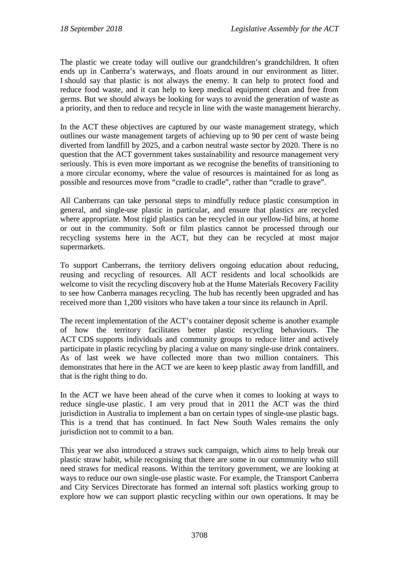The plastic we create today will outlive our grandchildren's grandchildren. It often ends up in Canberra's waterways, and floats around in our environment as litter. I should say that plastic is not always the enemy. It can help to protect food and reduce food waste, and it can help to keep medical equipment clean and free from germs. But we should always be looking for ways to avoid the generation of waste as a priority, and then to reduce and recycle in line with the waste management hierarchy.

In the ACT these objectives are captured by our waste management strategy, which outlines our waste management targets of achieving up to 90 per cent of waste being diverted from landfill by 2025, and a carbon neutral waste sector by 2020. There is no question that the ACT government takes sustainability and resource management very seriously. This is even more important as we recognise the benefits of transitioning to a more circular economy, where the value of resources is maintained for as long as possible and resources move from "cradle to cradle", rather than "cradle to grave".

All Canberrans can take personal steps to mindfully reduce plastic consumption in general, and single-use plastic in particular, and ensure that plastics are recycled where appropriate. Most rigid plastics can be recycled in our yellow-lid bins, at home or out in the community. Soft or film plastics cannot be processed through our recycling systems here in the ACT, but they can be recycled at most major supermarkets.

To support Canberrans, the territory delivers ongoing education about reducing, reusing and recycling of resources. All ACT residents and local schoolkids are welcome to visit the recycling discovery hub at the Hume Materials Recovery Facility to see how Canberra manages recycling. The hub has recently been upgraded and has received more than 1,200 visitors who have taken a tour since its relaunch in April.

The recent implementation of the ACT's container deposit scheme is another example of how the territory facilitates better plastic recycling behaviours. The ACT CDS supports individuals and community groups to reduce litter and actively participate in plastic recycling by placing a value on many single-use drink containers. As of last week we have collected more than two million containers. This demonstrates that here in the ACT we are keen to keep plastic away from landfill, and that is the right thing to do.

In the ACT we have been ahead of the curve when it comes to looking at ways to reduce single-use plastic. I am very proud that in 2011 the ACT was the third jurisdiction in Australia to implement a ban on certain types of single-use plastic bags. This is a trend that has continued. In fact New South Wales remains the only jurisdiction not to commit to a ban.

This year we also introduced a straws suck campaign, which aims to help break our plastic straw habit, while recognising that there are some in our community who still need straws for medical reasons. Within the territory government, we are looking at ways to reduce our own single-use plastic waste. For example, the Transport Canberra and City Services Directorate has formed an internal soft plastics working group to explore how we can support plastic recycling within our own operations. It may be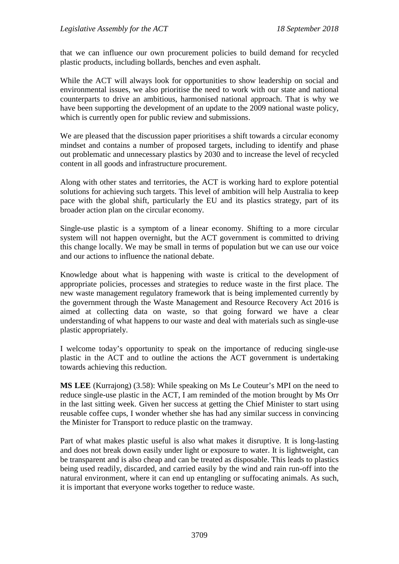that we can influence our own procurement policies to build demand for recycled plastic products, including bollards, benches and even asphalt.

While the ACT will always look for opportunities to show leadership on social and environmental issues, we also prioritise the need to work with our state and national counterparts to drive an ambitious, harmonised national approach. That is why we have been supporting the development of an update to the 2009 national waste policy, which is currently open for public review and submissions.

We are pleased that the discussion paper prioritises a shift towards a circular economy mindset and contains a number of proposed targets, including to identify and phase out problematic and unnecessary plastics by 2030 and to increase the level of recycled content in all goods and infrastructure procurement.

Along with other states and territories, the ACT is working hard to explore potential solutions for achieving such targets. This level of ambition will help Australia to keep pace with the global shift, particularly the EU and its plastics strategy, part of its broader action plan on the circular economy.

Single-use plastic is a symptom of a linear economy. Shifting to a more circular system will not happen overnight, but the ACT government is committed to driving this change locally. We may be small in terms of population but we can use our voice and our actions to influence the national debate.

Knowledge about what is happening with waste is critical to the development of appropriate policies, processes and strategies to reduce waste in the first place. The new waste management regulatory framework that is being implemented currently by the government through the Waste Management and Resource Recovery Act 2016 is aimed at collecting data on waste, so that going forward we have a clear understanding of what happens to our waste and deal with materials such as single-use plastic appropriately.

I welcome today's opportunity to speak on the importance of reducing single-use plastic in the ACT and to outline the actions the ACT government is undertaking towards achieving this reduction.

**MS LEE** (Kurrajong) (3.58): While speaking on Ms Le Couteur's MPI on the need to reduce single-use plastic in the ACT, I am reminded of the motion brought by Ms Orr in the last sitting week. Given her success at getting the Chief Minister to start using reusable coffee cups, I wonder whether she has had any similar success in convincing the Minister for Transport to reduce plastic on the tramway.

Part of what makes plastic useful is also what makes it disruptive. It is long-lasting and does not break down easily under light or exposure to water. It is lightweight, can be transparent and is also cheap and can be treated as disposable. This leads to plastics being used readily, discarded, and carried easily by the wind and rain run-off into the natural environment, where it can end up entangling or suffocating animals. As such, it is important that everyone works together to reduce waste.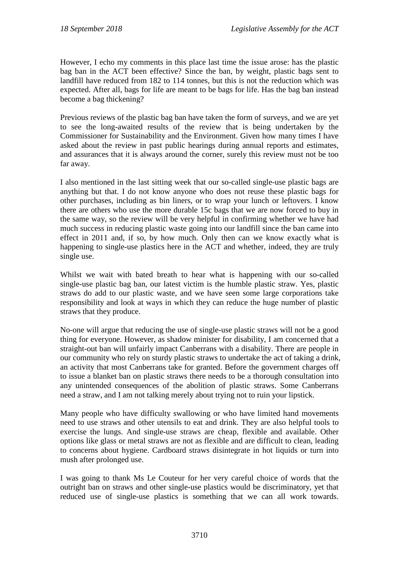However, I echo my comments in this place last time the issue arose: has the plastic bag ban in the ACT been effective? Since the ban, by weight, plastic bags sent to landfill have reduced from 182 to 114 tonnes, but this is not the reduction which was expected. After all, bags for life are meant to be bags for life. Has the bag ban instead become a bag thickening?

Previous reviews of the plastic bag ban have taken the form of surveys, and we are yet to see the long-awaited results of the review that is being undertaken by the Commissioner for Sustainability and the Environment. Given how many times I have asked about the review in past public hearings during annual reports and estimates, and assurances that it is always around the corner, surely this review must not be too far away.

I also mentioned in the last sitting week that our so-called single-use plastic bags are anything but that. I do not know anyone who does not reuse these plastic bags for other purchases, including as bin liners, or to wrap your lunch or leftovers. I know there are others who use the more durable 15c bags that we are now forced to buy in the same way, so the review will be very helpful in confirming whether we have had much success in reducing plastic waste going into our landfill since the ban came into effect in 2011 and, if so, by how much. Only then can we know exactly what is happening to single-use plastics here in the ACT and whether, indeed, they are truly single use.

Whilst we wait with bated breath to hear what is happening with our so-called single-use plastic bag ban, our latest victim is the humble plastic straw. Yes, plastic straws do add to our plastic waste, and we have seen some large corporations take responsibility and look at ways in which they can reduce the huge number of plastic straws that they produce.

No-one will argue that reducing the use of single-use plastic straws will not be a good thing for everyone. However, as shadow minister for disability, I am concerned that a straight-out ban will unfairly impact Canberrans with a disability. There are people in our community who rely on sturdy plastic straws to undertake the act of taking a drink, an activity that most Canberrans take for granted. Before the government charges off to issue a blanket ban on plastic straws there needs to be a thorough consultation into any unintended consequences of the abolition of plastic straws. Some Canberrans need a straw, and I am not talking merely about trying not to ruin your lipstick.

Many people who have difficulty swallowing or who have limited hand movements need to use straws and other utensils to eat and drink. They are also helpful tools to exercise the lungs. And single-use straws are cheap, flexible and available. Other options like glass or metal straws are not as flexible and are difficult to clean, leading to concerns about hygiene. Cardboard straws disintegrate in hot liquids or turn into mush after prolonged use.

I was going to thank Ms Le Couteur for her very careful choice of words that the outright ban on straws and other single-use plastics would be discriminatory, yet that reduced use of single-use plastics is something that we can all work towards.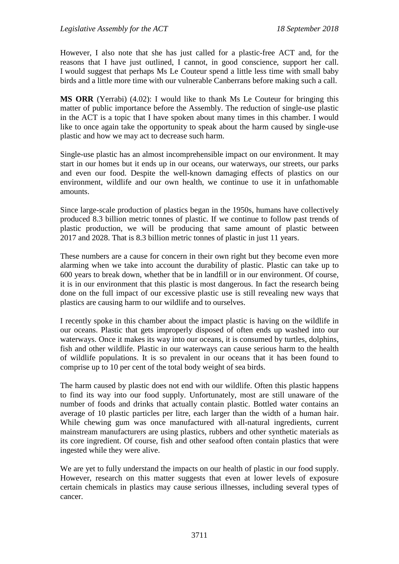However, I also note that she has just called for a plastic-free ACT and, for the reasons that I have just outlined, I cannot, in good conscience, support her call. I would suggest that perhaps Ms Le Couteur spend a little less time with small baby birds and a little more time with our vulnerable Canberrans before making such a call.

**MS ORR** (Yerrabi) (4.02): I would like to thank Ms Le Couteur for bringing this matter of public importance before the Assembly. The reduction of single-use plastic in the ACT is a topic that I have spoken about many times in this chamber. I would like to once again take the opportunity to speak about the harm caused by single-use plastic and how we may act to decrease such harm.

Single-use plastic has an almost incomprehensible impact on our environment. It may start in our homes but it ends up in our oceans, our waterways, our streets, our parks and even our food. Despite the well-known damaging effects of plastics on our environment, wildlife and our own health, we continue to use it in unfathomable amounts.

Since large-scale production of plastics began in the 1950s, humans have collectively produced 8.3 billion metric tonnes of plastic. If we continue to follow past trends of plastic production, we will be producing that same amount of plastic between 2017 and 2028. That is 8.3 billion metric tonnes of plastic in just 11 years.

These numbers are a cause for concern in their own right but they become even more alarming when we take into account the durability of plastic. Plastic can take up to 600 years to break down, whether that be in landfill or in our environment. Of course, it is in our environment that this plastic is most dangerous. In fact the research being done on the full impact of our excessive plastic use is still revealing new ways that plastics are causing harm to our wildlife and to ourselves.

I recently spoke in this chamber about the impact plastic is having on the wildlife in our oceans. Plastic that gets improperly disposed of often ends up washed into our waterways. Once it makes its way into our oceans, it is consumed by turtles, dolphins, fish and other wildlife. Plastic in our waterways can cause serious harm to the health of wildlife populations. It is so prevalent in our oceans that it has been found to comprise up to 10 per cent of the total body weight of sea birds.

The harm caused by plastic does not end with our wildlife. Often this plastic happens to find its way into our food supply. Unfortunately, most are still unaware of the number of foods and drinks that actually contain plastic. Bottled water contains an average of 10 plastic particles per litre, each larger than the width of a human hair. While chewing gum was once manufactured with all-natural ingredients, current mainstream manufacturers are using plastics, rubbers and other synthetic materials as its core ingredient. Of course, fish and other seafood often contain plastics that were ingested while they were alive.

We are yet to fully understand the impacts on our health of plastic in our food supply. However, research on this matter suggests that even at lower levels of exposure certain chemicals in plastics may cause serious illnesses, including several types of cancer.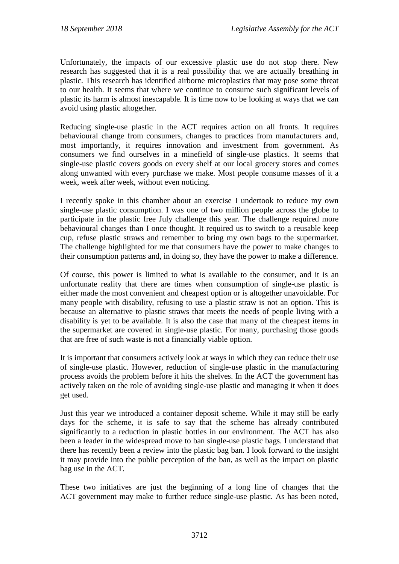Unfortunately, the impacts of our excessive plastic use do not stop there. New research has suggested that it is a real possibility that we are actually breathing in plastic. This research has identified airborne microplastics that may pose some threat to our health. It seems that where we continue to consume such significant levels of plastic its harm is almost inescapable. It is time now to be looking at ways that we can avoid using plastic altogether.

Reducing single-use plastic in the ACT requires action on all fronts. It requires behavioural change from consumers, changes to practices from manufacturers and, most importantly, it requires innovation and investment from government. As consumers we find ourselves in a minefield of single-use plastics. It seems that single-use plastic covers goods on every shelf at our local grocery stores and comes along unwanted with every purchase we make. Most people consume masses of it a week, week after week, without even noticing.

I recently spoke in this chamber about an exercise I undertook to reduce my own single-use plastic consumption. I was one of two million people across the globe to participate in the plastic free July challenge this year. The challenge required more behavioural changes than I once thought. It required us to switch to a reusable keep cup, refuse plastic straws and remember to bring my own bags to the supermarket. The challenge highlighted for me that consumers have the power to make changes to their consumption patterns and, in doing so, they have the power to make a difference.

Of course, this power is limited to what is available to the consumer, and it is an unfortunate reality that there are times when consumption of single-use plastic is either made the most convenient and cheapest option or is altogether unavoidable. For many people with disability, refusing to use a plastic straw is not an option. This is because an alternative to plastic straws that meets the needs of people living with a disability is yet to be available. It is also the case that many of the cheapest items in the supermarket are covered in single-use plastic. For many, purchasing those goods that are free of such waste is not a financially viable option.

It is important that consumers actively look at ways in which they can reduce their use of single-use plastic. However, reduction of single-use plastic in the manufacturing process avoids the problem before it hits the shelves. In the ACT the government has actively taken on the role of avoiding single-use plastic and managing it when it does get used.

Just this year we introduced a container deposit scheme. While it may still be early days for the scheme, it is safe to say that the scheme has already contributed significantly to a reduction in plastic bottles in our environment. The ACT has also been a leader in the widespread move to ban single-use plastic bags. I understand that there has recently been a review into the plastic bag ban. I look forward to the insight it may provide into the public perception of the ban, as well as the impact on plastic bag use in the ACT.

These two initiatives are just the beginning of a long line of changes that the ACT government may make to further reduce single-use plastic. As has been noted,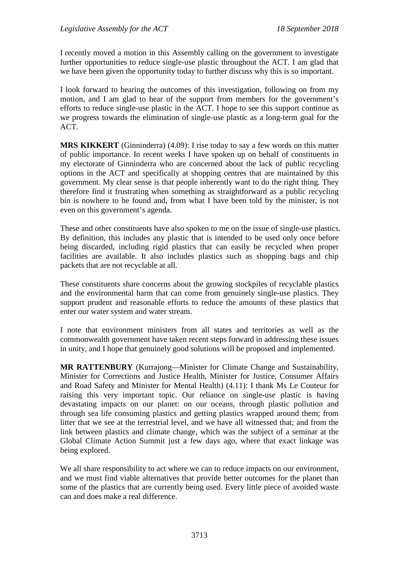I recently moved a motion in this Assembly calling on the government to investigate further opportunities to reduce single-use plastic throughout the ACT. I am glad that we have been given the opportunity today to further discuss why this is so important.

I look forward to hearing the outcomes of this investigation, following on from my motion, and I am glad to hear of the support from members for the government's efforts to reduce single-use plastic in the ACT. I hope to see this support continue as we progress towards the elimination of single-use plastic as a long-term goal for the ACT.

**MRS KIKKERT** (Ginninderra) (4.09): I rise today to say a few words on this matter of public importance. In recent weeks I have spoken up on behalf of constituents in my electorate of Ginninderra who are concerned about the lack of public recycling options in the ACT and specifically at shopping centres that are maintained by this government. My clear sense is that people inherently want to do the right thing. They therefore find it frustrating when something as straightforward as a public recycling bin is nowhere to be found and, from what I have been told by the minister, is not even on this government's agenda.

These and other constituents have also spoken to me on the issue of single-use plastics. By definition, this includes any plastic that is intended to be used only once before being discarded, including rigid plastics that can easily be recycled when proper facilities are available. It also includes plastics such as shopping bags and chip packets that are not recyclable at all.

These constituents share concerns about the growing stockpiles of recyclable plastics and the environmental harm that can come from genuinely single-use plastics. They support prudent and reasonable efforts to reduce the amounts of these plastics that enter our water system and water stream.

I note that environment ministers from all states and territories as well as the commonwealth government have taken recent steps forward in addressing these issues in unity, and I hope that genuinely good solutions will be proposed and implemented.

**MR RATTENBURY** (Kurrajong—Minister for Climate Change and Sustainability, Minister for Corrections and Justice Health, Minister for Justice, Consumer Affairs and Road Safety and Minister for Mental Health) (4.11): I thank Ms Le Couteur for raising this very important topic. Our reliance on single-use plastic is having devastating impacts on our planet: on our oceans, through plastic pollution and through sea life consuming plastics and getting plastics wrapped around them; from litter that we see at the terrestrial level, and we have all witnessed that; and from the link between plastics and climate change, which was the subject of a seminar at the Global Climate Action Summit just a few days ago, where that exact linkage was being explored.

We all share responsibility to act where we can to reduce impacts on our environment, and we must find viable alternatives that provide better outcomes for the planet than some of the plastics that are currently being used. Every little piece of avoided waste can and does make a real difference.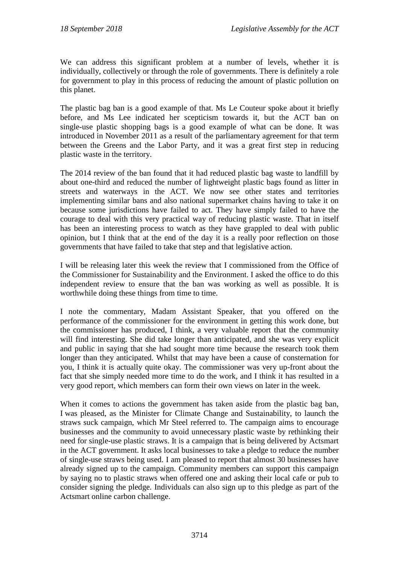We can address this significant problem at a number of levels, whether it is individually, collectively or through the role of governments. There is definitely a role for government to play in this process of reducing the amount of plastic pollution on this planet.

The plastic bag ban is a good example of that. Ms Le Couteur spoke about it briefly before, and Ms Lee indicated her scepticism towards it, but the ACT ban on single-use plastic shopping bags is a good example of what can be done. It was introduced in November 2011 as a result of the parliamentary agreement for that term between the Greens and the Labor Party, and it was a great first step in reducing plastic waste in the territory.

The 2014 review of the ban found that it had reduced plastic bag waste to landfill by about one-third and reduced the number of lightweight plastic bags found as litter in streets and waterways in the ACT. We now see other states and territories implementing similar bans and also national supermarket chains having to take it on because some jurisdictions have failed to act. They have simply failed to have the courage to deal with this very practical way of reducing plastic waste. That in itself has been an interesting process to watch as they have grappled to deal with public opinion, but I think that at the end of the day it is a really poor reflection on those governments that have failed to take that step and that legislative action.

I will be releasing later this week the review that I commissioned from the Office of the Commissioner for Sustainability and the Environment. I asked the office to do this independent review to ensure that the ban was working as well as possible. It is worthwhile doing these things from time to time.

I note the commentary, Madam Assistant Speaker, that you offered on the performance of the commissioner for the environment in getting this work done, but the commissioner has produced, I think, a very valuable report that the community will find interesting. She did take longer than anticipated, and she was very explicit and public in saying that she had sought more time because the research took them longer than they anticipated. Whilst that may have been a cause of consternation for you, I think it is actually quite okay. The commissioner was very up-front about the fact that she simply needed more time to do the work, and I think it has resulted in a very good report, which members can form their own views on later in the week.

When it comes to actions the government has taken aside from the plastic bag ban, I was pleased, as the Minister for Climate Change and Sustainability, to launch the straws suck campaign, which Mr Steel referred to. The campaign aims to encourage businesses and the community to avoid unnecessary plastic waste by rethinking their need for single-use plastic straws. It is a campaign that is being delivered by Actsmart in the ACT government. It asks local businesses to take a pledge to reduce the number of single-use straws being used. I am pleased to report that almost 30 businesses have already signed up to the campaign. Community members can support this campaign by saying no to plastic straws when offered one and asking their local cafe or pub to consider signing the pledge. Individuals can also sign up to this pledge as part of the Actsmart online carbon challenge.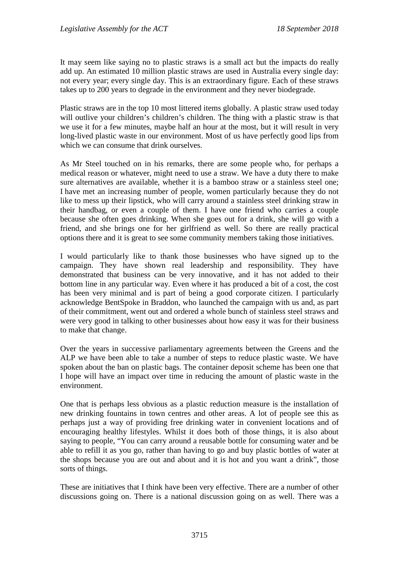It may seem like saying no to plastic straws is a small act but the impacts do really add up. An estimated 10 million plastic straws are used in Australia every single day: not every year; every single day. This is an extraordinary figure. Each of these straws takes up to 200 years to degrade in the environment and they never biodegrade.

Plastic straws are in the top 10 most littered items globally. A plastic straw used today will outlive your children's children's children. The thing with a plastic straw is that we use it for a few minutes, maybe half an hour at the most, but it will result in very long-lived plastic waste in our environment. Most of us have perfectly good lips from which we can consume that drink ourselves.

As Mr Steel touched on in his remarks, there are some people who, for perhaps a medical reason or whatever, might need to use a straw. We have a duty there to make sure alternatives are available, whether it is a bamboo straw or a stainless steel one; I have met an increasing number of people, women particularly because they do not like to mess up their lipstick, who will carry around a stainless steel drinking straw in their handbag, or even a couple of them. I have one friend who carries a couple because she often goes drinking. When she goes out for a drink, she will go with a friend, and she brings one for her girlfriend as well. So there are really practical options there and it is great to see some community members taking those initiatives.

I would particularly like to thank those businesses who have signed up to the campaign. They have shown real leadership and responsibility. They have demonstrated that business can be very innovative, and it has not added to their bottom line in any particular way. Even where it has produced a bit of a cost, the cost has been very minimal and is part of being a good corporate citizen. I particularly acknowledge BentSpoke in Braddon, who launched the campaign with us and, as part of their commitment, went out and ordered a whole bunch of stainless steel straws and were very good in talking to other businesses about how easy it was for their business to make that change.

Over the years in successive parliamentary agreements between the Greens and the ALP we have been able to take a number of steps to reduce plastic waste. We have spoken about the ban on plastic bags. The container deposit scheme has been one that I hope will have an impact over time in reducing the amount of plastic waste in the environment.

One that is perhaps less obvious as a plastic reduction measure is the installation of new drinking fountains in town centres and other areas. A lot of people see this as perhaps just a way of providing free drinking water in convenient locations and of encouraging healthy lifestyles. Whilst it does both of those things, it is also about saying to people, "You can carry around a reusable bottle for consuming water and be able to refill it as you go, rather than having to go and buy plastic bottles of water at the shops because you are out and about and it is hot and you want a drink", those sorts of things.

These are initiatives that I think have been very effective. There are a number of other discussions going on. There is a national discussion going on as well. There was a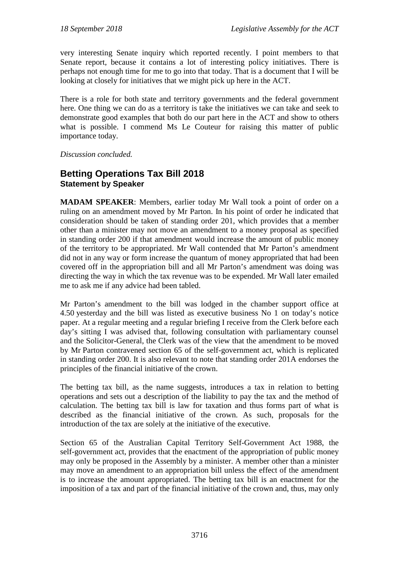very interesting Senate inquiry which reported recently. I point members to that Senate report, because it contains a lot of interesting policy initiatives. There is perhaps not enough time for me to go into that today. That is a document that I will be looking at closely for initiatives that we might pick up here in the ACT.

There is a role for both state and territory governments and the federal government here. One thing we can do as a territory is take the initiatives we can take and seek to demonstrate good examples that both do our part here in the ACT and show to others what is possible. I commend Ms Le Couteur for raising this matter of public importance today.

*Discussion concluded.* 

## **Betting Operations Tax Bill 2018 Statement by Speaker**

**MADAM SPEAKER**: Members, earlier today Mr Wall took a point of order on a ruling on an amendment moved by Mr Parton. In his point of order he indicated that consideration should be taken of standing order 201, which provides that a member other than a minister may not move an amendment to a money proposal as specified in standing order 200 if that amendment would increase the amount of public money of the territory to be appropriated. Mr Wall contended that Mr Parton's amendment did not in any way or form increase the quantum of money appropriated that had been covered off in the appropriation bill and all Mr Parton's amendment was doing was directing the way in which the tax revenue was to be expended. Mr Wall later emailed me to ask me if any advice had been tabled.

Mr Parton's amendment to the bill was lodged in the chamber support office at 4.50 yesterday and the bill was listed as executive business No 1 on today's notice paper. At a regular meeting and a regular briefing I receive from the Clerk before each day's sitting I was advised that, following consultation with parliamentary counsel and the Solicitor-General, the Clerk was of the view that the amendment to be moved by Mr Parton contravened section 65 of the self-government act, which is replicated in standing order 200. It is also relevant to note that standing order 201A endorses the principles of the financial initiative of the crown.

The betting tax bill, as the name suggests, introduces a tax in relation to betting operations and sets out a description of the liability to pay the tax and the method of calculation. The betting tax bill is law for taxation and thus forms part of what is described as the financial initiative of the crown. As such, proposals for the introduction of the tax are solely at the initiative of the executive.

Section 65 of the Australian Capital Territory Self-Government Act 1988, the self-government act, provides that the enactment of the appropriation of public money may only be proposed in the Assembly by a minister. A member other than a minister may move an amendment to an appropriation bill unless the effect of the amendment is to increase the amount appropriated. The betting tax bill is an enactment for the imposition of a tax and part of the financial initiative of the crown and, thus, may only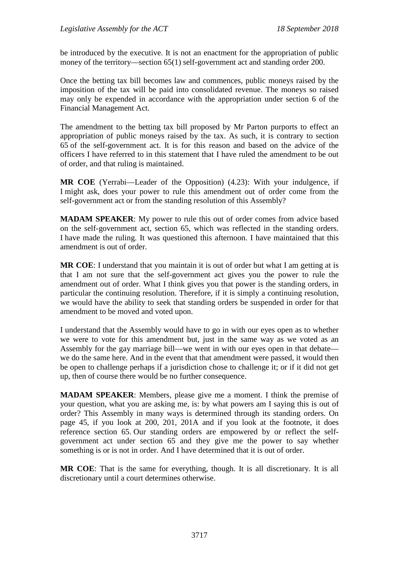be introduced by the executive. It is not an enactment for the appropriation of public money of the territory—section 65(1) self-government act and standing order 200.

Once the betting tax bill becomes law and commences, public moneys raised by the imposition of the tax will be paid into consolidated revenue. The moneys so raised may only be expended in accordance with the appropriation under section 6 of the Financial Management Act.

The amendment to the betting tax bill proposed by Mr Parton purports to effect an appropriation of public moneys raised by the tax. As such, it is contrary to section 65 of the self-government act. It is for this reason and based on the advice of the officers I have referred to in this statement that I have ruled the amendment to be out of order, and that ruling is maintained.

**MR COE** (Yerrabi—Leader of the Opposition) (4.23): With your indulgence, if I might ask, does your power to rule this amendment out of order come from the self-government act or from the standing resolution of this Assembly?

**MADAM SPEAKER**: My power to rule this out of order comes from advice based on the self-government act, section 65, which was reflected in the standing orders. I have made the ruling. It was questioned this afternoon. I have maintained that this amendment is out of order.

**MR COE**: I understand that you maintain it is out of order but what I am getting at is that I am not sure that the self-government act gives you the power to rule the amendment out of order. What I think gives you that power is the standing orders, in particular the continuing resolution. Therefore, if it is simply a continuing resolution, we would have the ability to seek that standing orders be suspended in order for that amendment to be moved and voted upon.

I understand that the Assembly would have to go in with our eyes open as to whether we were to vote for this amendment but, just in the same way as we voted as an Assembly for the gay marriage bill—we went in with our eyes open in that debate we do the same here. And in the event that that amendment were passed, it would then be open to challenge perhaps if a jurisdiction chose to challenge it; or if it did not get up, then of course there would be no further consequence.

**MADAM SPEAKER**: Members, please give me a moment. I think the premise of your question, what you are asking me, is: by what powers am I saying this is out of order? This Assembly in many ways is determined through its standing orders. On page 45, if you look at 200, 201, 201A and if you look at the footnote, it does reference section 65. Our standing orders are empowered by or reflect the selfgovernment act under section 65 and they give me the power to say whether something is or is not in order. And I have determined that it is out of order.

**MR COE**: That is the same for everything, though. It is all discretionary. It is all discretionary until a court determines otherwise.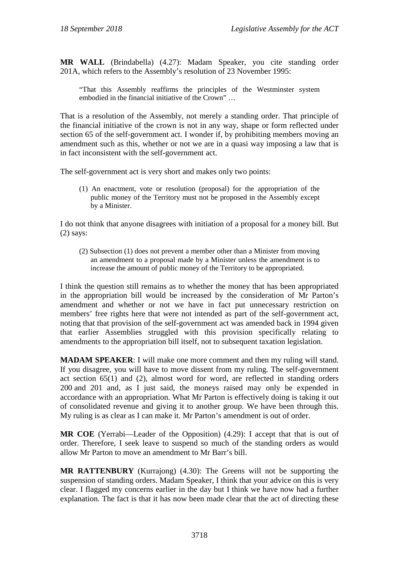**MR WALL** (Brindabella) (4.27): Madam Speaker, you cite standing order 201A, which refers to the Assembly's resolution of 23 November 1995:

"That this Assembly reaffirms the principles of the Westminster system embodied in the financial initiative of the Crown" …

That is a resolution of the Assembly, not merely a standing order. That principle of the financial initiative of the crown is not in any way, shape or form reflected under section 65 of the self-government act. I wonder if, by prohibiting members moving an amendment such as this, whether or not we are in a quasi way imposing a law that is in fact inconsistent with the self-government act.

The self-government act is very short and makes only two points:

(1) An enactment, vote or resolution (proposal) for the appropriation of the public money of the Territory must not be proposed in the Assembly except by a Minister.

I do not think that anyone disagrees with initiation of a proposal for a money bill. But (2) says:

(2) Subsection (1) does not prevent a member other than a Minister from moving an amendment to a proposal made by a Minister unless the amendment is to increase the amount of public money of the Territory to be appropriated.

I think the question still remains as to whether the money that has been appropriated in the appropriation bill would be increased by the consideration of Mr Parton's amendment and whether or not we have in fact put unnecessary restriction on members' free rights here that were not intended as part of the self-government act, noting that that provision of the self-government act was amended back in 1994 given that earlier Assemblies struggled with this provision specifically relating to amendments to the appropriation bill itself, not to subsequent taxation legislation.

**MADAM SPEAKER**: I will make one more comment and then my ruling will stand. If you disagree, you will have to move dissent from my ruling. The self-government act section 65(1) and (2), almost word for word, are reflected in standing orders 200 and 201 and, as I just said, the moneys raised may only be expended in accordance with an appropriation. What Mr Parton is effectively doing is taking it out of consolidated revenue and giving it to another group. We have been through this. My ruling is as clear as I can make it. Mr Parton's amendment is out of order.

**MR COE** (Yerrabi—Leader of the Opposition) (4.29): I accept that that is out of order. Therefore, I seek leave to suspend so much of the standing orders as would allow Mr Parton to move an amendment to Mr Barr's bill.

**MR RATTENBURY** (Kurrajong) (4.30): The Greens will not be supporting the suspension of standing orders. Madam Speaker, I think that your advice on this is very clear. I flagged my concerns earlier in the day but I think we have now had a further explanation. The fact is that it has now been made clear that the act of directing these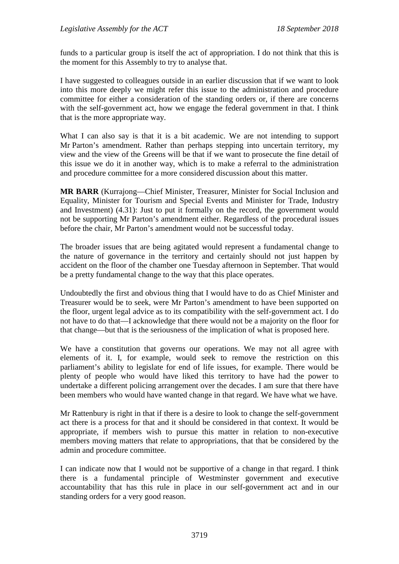funds to a particular group is itself the act of appropriation. I do not think that this is the moment for this Assembly to try to analyse that.

I have suggested to colleagues outside in an earlier discussion that if we want to look into this more deeply we might refer this issue to the administration and procedure committee for either a consideration of the standing orders or, if there are concerns with the self-government act, how we engage the federal government in that. I think that is the more appropriate way.

What I can also say is that it is a bit academic. We are not intending to support Mr Parton's amendment. Rather than perhaps stepping into uncertain territory, my view and the view of the Greens will be that if we want to prosecute the fine detail of this issue we do it in another way, which is to make a referral to the administration and procedure committee for a more considered discussion about this matter.

**MR BARR** (Kurrajong—Chief Minister, Treasurer, Minister for Social Inclusion and Equality, Minister for Tourism and Special Events and Minister for Trade, Industry and Investment) (4.31): Just to put it formally on the record, the government would not be supporting Mr Parton's amendment either. Regardless of the procedural issues before the chair, Mr Parton's amendment would not be successful today.

The broader issues that are being agitated would represent a fundamental change to the nature of governance in the territory and certainly should not just happen by accident on the floor of the chamber one Tuesday afternoon in September. That would be a pretty fundamental change to the way that this place operates.

Undoubtedly the first and obvious thing that I would have to do as Chief Minister and Treasurer would be to seek, were Mr Parton's amendment to have been supported on the floor, urgent legal advice as to its compatibility with the self-government act. I do not have to do that—I acknowledge that there would not be a majority on the floor for that change—but that is the seriousness of the implication of what is proposed here.

We have a constitution that governs our operations. We may not all agree with elements of it. I, for example, would seek to remove the restriction on this parliament's ability to legislate for end of life issues, for example. There would be plenty of people who would have liked this territory to have had the power to undertake a different policing arrangement over the decades. I am sure that there have been members who would have wanted change in that regard. We have what we have.

Mr Rattenbury is right in that if there is a desire to look to change the self-government act there is a process for that and it should be considered in that context. It would be appropriate, if members wish to pursue this matter in relation to non-executive members moving matters that relate to appropriations, that that be considered by the admin and procedure committee.

I can indicate now that I would not be supportive of a change in that regard. I think there is a fundamental principle of Westminster government and executive accountability that has this rule in place in our self-government act and in our standing orders for a very good reason.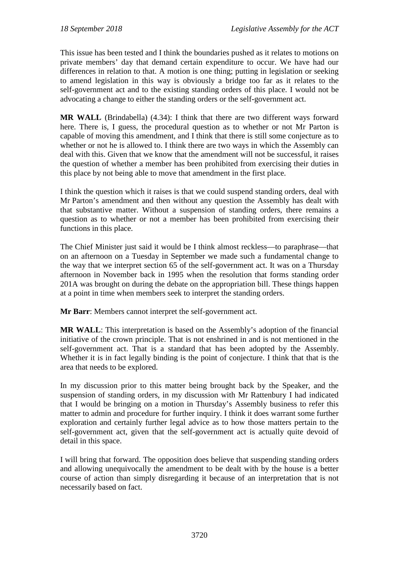This issue has been tested and I think the boundaries pushed as it relates to motions on private members' day that demand certain expenditure to occur. We have had our differences in relation to that. A motion is one thing; putting in legislation or seeking to amend legislation in this way is obviously a bridge too far as it relates to the self-government act and to the existing standing orders of this place. I would not be advocating a change to either the standing orders or the self-government act.

**MR WALL** (Brindabella) (4.34): I think that there are two different ways forward here. There is, I guess, the procedural question as to whether or not Mr Parton is capable of moving this amendment, and I think that there is still some conjecture as to whether or not he is allowed to. I think there are two ways in which the Assembly can deal with this. Given that we know that the amendment will not be successful, it raises the question of whether a member has been prohibited from exercising their duties in this place by not being able to move that amendment in the first place.

I think the question which it raises is that we could suspend standing orders, deal with Mr Parton's amendment and then without any question the Assembly has dealt with that substantive matter. Without a suspension of standing orders, there remains a question as to whether or not a member has been prohibited from exercising their functions in this place.

The Chief Minister just said it would be I think almost reckless—to paraphrase—that on an afternoon on a Tuesday in September we made such a fundamental change to the way that we interpret section 65 of the self-government act. It was on a Thursday afternoon in November back in 1995 when the resolution that forms standing order 201A was brought on during the debate on the appropriation bill. These things happen at a point in time when members seek to interpret the standing orders.

**Mr Barr**: Members cannot interpret the self-government act.

**MR WALL**: This interpretation is based on the Assembly's adoption of the financial initiative of the crown principle. That is not enshrined in and is not mentioned in the self-government act. That is a standard that has been adopted by the Assembly. Whether it is in fact legally binding is the point of conjecture. I think that that is the area that needs to be explored.

In my discussion prior to this matter being brought back by the Speaker, and the suspension of standing orders, in my discussion with Mr Rattenbury I had indicated that I would be bringing on a motion in Thursday's Assembly business to refer this matter to admin and procedure for further inquiry. I think it does warrant some further exploration and certainly further legal advice as to how those matters pertain to the self-government act, given that the self-government act is actually quite devoid of detail in this space.

I will bring that forward. The opposition does believe that suspending standing orders and allowing unequivocally the amendment to be dealt with by the house is a better course of action than simply disregarding it because of an interpretation that is not necessarily based on fact.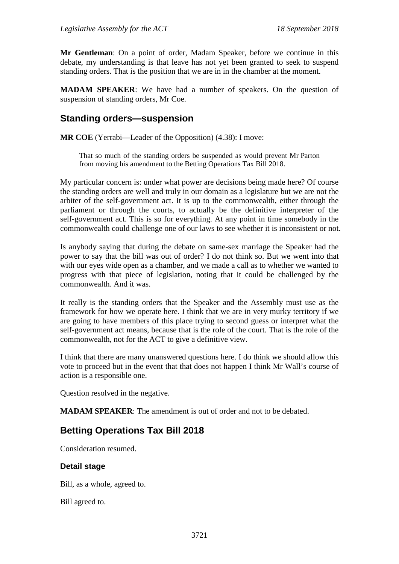**Mr Gentleman**: On a point of order, Madam Speaker, before we continue in this debate, my understanding is that leave has not yet been granted to seek to suspend standing orders. That is the position that we are in in the chamber at the moment.

**MADAM SPEAKER**: We have had a number of speakers. On the question of suspension of standing orders, Mr Coe.

## **Standing orders—suspension**

**MR COE** (Yerrabi—Leader of the Opposition) (4.38): I move:

That so much of the standing orders be suspended as would prevent Mr Parton from moving his amendment to the Betting Operations Tax Bill 2018.

My particular concern is: under what power are decisions being made here? Of course the standing orders are well and truly in our domain as a legislature but we are not the arbiter of the self-government act. It is up to the commonwealth, either through the parliament or through the courts, to actually be the definitive interpreter of the self-government act. This is so for everything. At any point in time somebody in the commonwealth could challenge one of our laws to see whether it is inconsistent or not.

Is anybody saying that during the debate on same-sex marriage the Speaker had the power to say that the bill was out of order? I do not think so. But we went into that with our eyes wide open as a chamber, and we made a call as to whether we wanted to progress with that piece of legislation, noting that it could be challenged by the commonwealth. And it was.

It really is the standing orders that the Speaker and the Assembly must use as the framework for how we operate here. I think that we are in very murky territory if we are going to have members of this place trying to second guess or interpret what the self-government act means, because that is the role of the court. That is the role of the commonwealth, not for the ACT to give a definitive view.

I think that there are many unanswered questions here. I do think we should allow this vote to proceed but in the event that that does not happen I think Mr Wall's course of action is a responsible one.

Question resolved in the negative.

**MADAM SPEAKER**: The amendment is out of order and not to be debated.

# **Betting Operations Tax Bill 2018**

Consideration resumed.

#### **Detail stage**

Bill, as a whole, agreed to.

Bill agreed to.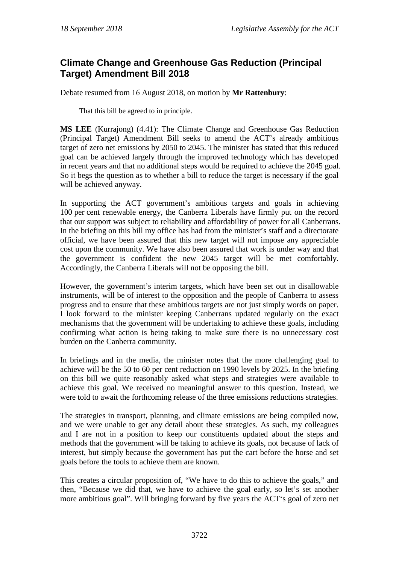# **Climate Change and Greenhouse Gas Reduction (Principal Target) Amendment Bill 2018**

Debate resumed from 16 August 2018, on motion by **Mr Rattenbury**:

That this bill be agreed to in principle.

**MS LEE** (Kurrajong) (4.41): The Climate Change and Greenhouse Gas Reduction (Principal Target) Amendment Bill seeks to amend the ACT's already ambitious target of zero net emissions by 2050 to 2045. The minister has stated that this reduced goal can be achieved largely through the improved technology which has developed in recent years and that no additional steps would be required to achieve the 2045 goal. So it begs the question as to whether a bill to reduce the target is necessary if the goal will be achieved anyway.

In supporting the ACT government's ambitious targets and goals in achieving 100 per cent renewable energy, the Canberra Liberals have firmly put on the record that our support was subject to reliability and affordability of power for all Canberrans. In the briefing on this bill my office has had from the minister's staff and a directorate official, we have been assured that this new target will not impose any appreciable cost upon the community. We have also been assured that work is under way and that the government is confident the new 2045 target will be met comfortably. Accordingly, the Canberra Liberals will not be opposing the bill.

However, the government's interim targets, which have been set out in disallowable instruments, will be of interest to the opposition and the people of Canberra to assess progress and to ensure that these ambitious targets are not just simply words on paper. I look forward to the minister keeping Canberrans updated regularly on the exact mechanisms that the government will be undertaking to achieve these goals, including confirming what action is being taking to make sure there is no unnecessary cost burden on the Canberra community.

In briefings and in the media, the minister notes that the more challenging goal to achieve will be the 50 to 60 per cent reduction on 1990 levels by 2025. In the briefing on this bill we quite reasonably asked what steps and strategies were available to achieve this goal. We received no meaningful answer to this question. Instead, we were told to await the forthcoming release of the three emissions reductions strategies.

The strategies in transport, planning, and climate emissions are being compiled now, and we were unable to get any detail about these strategies. As such, my colleagues and I are not in a position to keep our constituents updated about the steps and methods that the government will be taking to achieve its goals, not because of lack of interest, but simply because the government has put the cart before the horse and set goals before the tools to achieve them are known.

This creates a circular proposition of, "We have to do this to achieve the goals," and then, "Because we did that, we have to achieve the goal early, so let's set another more ambitious goal". Will bringing forward by five years the ACT's goal of zero net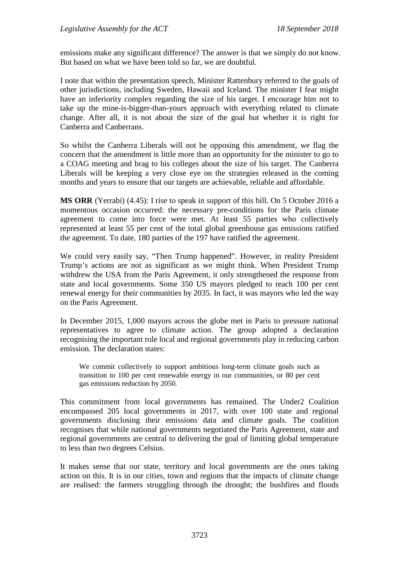emissions make any significant difference? The answer is that we simply do not know. But based on what we have been told so far, we are doubtful.

I note that within the presentation speech, Minister Rattenbury referred to the goals of other jurisdictions, including Sweden, Hawaii and Iceland. The minister I fear might have an inferiority complex regarding the size of his target. I encourage him not to take up the mine-is-bigger-than-yours approach with everything related to climate change. After all, it is not about the size of the goal but whether it is right for Canberra and Canberrans.

So whilst the Canberra Liberals will not be opposing this amendment, we flag the concern that the amendment is little more than an opportunity for the minister to go to a COAG meeting and brag to his colleges about the size of his target. The Canberra Liberals will be keeping a very close eye on the strategies released in the coming months and years to ensure that our targets are achievable, reliable and affordable.

**MS ORR** (Yerrabi) (4.45): I rise to speak in support of this bill. On 5 October 2016 a momentous occasion occurred: the necessary pre-conditions for the Paris climate agreement to come into force were met. At least 55 parties who collectively represented at least 55 per cent of the total global greenhouse gas emissions ratified the agreement. To date, 180 parties of the 197 have ratified the agreement.

We could very easily say, "Then Trump happened". However, in reality President Trump's actions are not as significant as we might think. When President Trump withdrew the USA from the Paris Agreement, it only strengthened the response from state and local governments. Some 350 US mayors pledged to reach 100 per cent renewal energy for their communities by 2035. In fact, it was mayors who led the way on the Paris Agreement.

In December 2015, 1,000 mayors across the globe met in Paris to pressure national representatives to agree to climate action. The group adopted a declaration recognising the important role local and regional governments play in reducing carbon emission. The declaration states:

We commit collectively to support ambitious long-term climate goals such as transition to 100 per cent renewable energy in our communities, or 80 per cent gas emissions reduction by 2050.

This commitment from local governments has remained. The Under2 Coalition encompassed 205 local governments in 2017, with over 100 state and regional governments disclosing their emissions data and climate goals. The coalition recognises that while national governments negotiated the Paris Agreement, state and regional governments are central to delivering the goal of limiting global temperature to less than two degrees Celsius.

It makes sense that our state, territory and local governments are the ones taking action on this. It is in our cities, town and regions that the impacts of climate change are realised: the farmers struggling through the drought; the bushfires and floods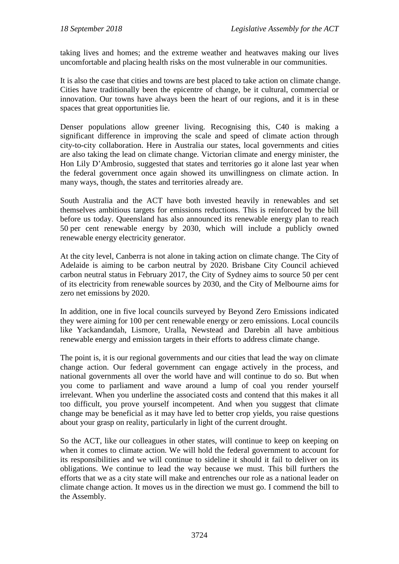taking lives and homes; and the extreme weather and heatwaves making our lives uncomfortable and placing health risks on the most vulnerable in our communities.

It is also the case that cities and towns are best placed to take action on climate change. Cities have traditionally been the epicentre of change, be it cultural, commercial or innovation. Our towns have always been the heart of our regions, and it is in these spaces that great opportunities lie.

Denser populations allow greener living. Recognising this, C40 is making a significant difference in improving the scale and speed of climate action through city-to-city collaboration. Here in Australia our states, local governments and cities are also taking the lead on climate change. Victorian climate and energy minister, the Hon Lily D'Ambrosio, suggested that states and territories go it alone last year when the federal government once again showed its unwillingness on climate action. In many ways, though, the states and territories already are.

South Australia and the ACT have both invested heavily in renewables and set themselves ambitious targets for emissions reductions. This is reinforced by the bill before us today. Queensland has also announced its renewable energy plan to reach 50 per cent renewable energy by 2030, which will include a publicly owned renewable energy electricity generator.

At the city level, Canberra is not alone in taking action on climate change. The City of Adelaide is aiming to be carbon neutral by 2020. Brisbane City Council achieved carbon neutral status in February 2017, the City of Sydney aims to source 50 per cent of its electricity from renewable sources by 2030, and the City of Melbourne aims for zero net emissions by 2020.

In addition, one in five local councils surveyed by Beyond Zero Emissions indicated they were aiming for 100 per cent renewable energy or zero emissions. Local councils like Yackandandah, Lismore, Uralla, Newstead and Darebin all have ambitious renewable energy and emission targets in their efforts to address climate change.

The point is, it is our regional governments and our cities that lead the way on climate change action. Our federal government can engage actively in the process, and national governments all over the world have and will continue to do so. But when you come to parliament and wave around a lump of coal you render yourself irrelevant. When you underline the associated costs and contend that this makes it all too difficult, you prove yourself incompetent. And when you suggest that climate change may be beneficial as it may have led to better crop yields, you raise questions about your grasp on reality, particularly in light of the current drought.

So the ACT, like our colleagues in other states, will continue to keep on keeping on when it comes to climate action. We will hold the federal government to account for its responsibilities and we will continue to sideline it should it fail to deliver on its obligations. We continue to lead the way because we must. This bill furthers the efforts that we as a city state will make and entrenches our role as a national leader on climate change action. It moves us in the direction we must go. I commend the bill to the Assembly.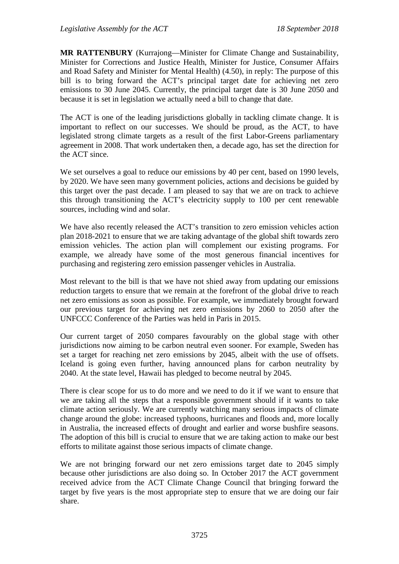**MR RATTENBURY** (Kurrajong—Minister for Climate Change and Sustainability, Minister for Corrections and Justice Health, Minister for Justice, Consumer Affairs and Road Safety and Minister for Mental Health) (4.50), in reply: The purpose of this bill is to bring forward the ACT's principal target date for achieving net zero emissions to 30 June 2045. Currently, the principal target date is 30 June 2050 and because it is set in legislation we actually need a bill to change that date.

The ACT is one of the leading jurisdictions globally in tackling climate change. It is important to reflect on our successes. We should be proud, as the ACT, to have legislated strong climate targets as a result of the first Labor-Greens parliamentary agreement in 2008. That work undertaken then, a decade ago, has set the direction for the ACT since.

We set ourselves a goal to reduce our emissions by 40 per cent, based on 1990 levels, by 2020. We have seen many government policies, actions and decisions be guided by this target over the past decade. I am pleased to say that we are on track to achieve this through transitioning the ACT's electricity supply to 100 per cent renewable sources, including wind and solar.

We have also recently released the ACT's transition to zero emission vehicles action plan 2018-2021 to ensure that we are taking advantage of the global shift towards zero emission vehicles. The action plan will complement our existing programs. For example, we already have some of the most generous financial incentives for purchasing and registering zero emission passenger vehicles in Australia.

Most relevant to the bill is that we have not shied away from updating our emissions reduction targets to ensure that we remain at the forefront of the global drive to reach net zero emissions as soon as possible. For example, we immediately brought forward our previous target for achieving net zero emissions by 2060 to 2050 after the UNFCCC Conference of the Parties was held in Paris in 2015.

Our current target of 2050 compares favourably on the global stage with other jurisdictions now aiming to be carbon neutral even sooner. For example, Sweden has set a target for reaching net zero emissions by 2045, albeit with the use of offsets. Iceland is going even further, having announced plans for carbon neutrality by 2040. At the state level, Hawaii has pledged to become neutral by 2045.

There is clear scope for us to do more and we need to do it if we want to ensure that we are taking all the steps that a responsible government should if it wants to take climate action seriously. We are currently watching many serious impacts of climate change around the globe: increased typhoons, hurricanes and floods and, more locally in Australia, the increased effects of drought and earlier and worse bushfire seasons. The adoption of this bill is crucial to ensure that we are taking action to make our best efforts to militate against those serious impacts of climate change.

We are not bringing forward our net zero emissions target date to 2045 simply because other jurisdictions are also doing so. In October 2017 the ACT government received advice from the ACT Climate Change Council that bringing forward the target by five years is the most appropriate step to ensure that we are doing our fair share.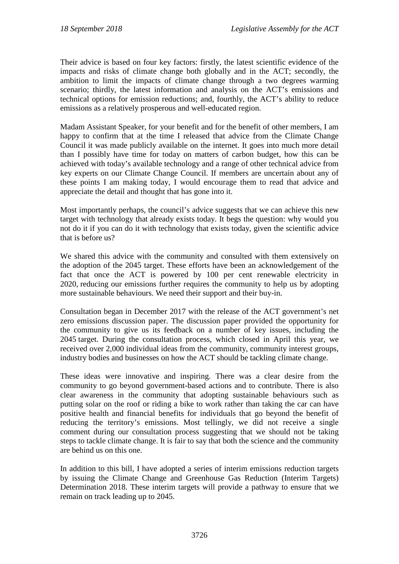Their advice is based on four key factors: firstly, the latest scientific evidence of the impacts and risks of climate change both globally and in the ACT; secondly, the ambition to limit the impacts of climate change through a two degrees warming scenario; thirdly, the latest information and analysis on the ACT's emissions and technical options for emission reductions; and, fourthly, the ACT's ability to reduce emissions as a relatively prosperous and well-educated region.

Madam Assistant Speaker, for your benefit and for the benefit of other members, I am happy to confirm that at the time I released that advice from the Climate Change Council it was made publicly available on the internet. It goes into much more detail than I possibly have time for today on matters of carbon budget, how this can be achieved with today's available technology and a range of other technical advice from key experts on our Climate Change Council. If members are uncertain about any of these points I am making today, I would encourage them to read that advice and appreciate the detail and thought that has gone into it.

Most importantly perhaps, the council's advice suggests that we can achieve this new target with technology that already exists today. It begs the question: why would you not do it if you can do it with technology that exists today, given the scientific advice that is before us?

We shared this advice with the community and consulted with them extensively on the adoption of the 2045 target. These efforts have been an acknowledgement of the fact that once the ACT is powered by 100 per cent renewable electricity in 2020, reducing our emissions further requires the community to help us by adopting more sustainable behaviours. We need their support and their buy-in.

Consultation began in December 2017 with the release of the ACT government's net zero emissions discussion paper. The discussion paper provided the opportunity for the community to give us its feedback on a number of key issues, including the 2045 target. During the consultation process, which closed in April this year, we received over 2,000 individual ideas from the community, community interest groups, industry bodies and businesses on how the ACT should be tackling climate change.

These ideas were innovative and inspiring. There was a clear desire from the community to go beyond government-based actions and to contribute. There is also clear awareness in the community that adopting sustainable behaviours such as putting solar on the roof or riding a bike to work rather than taking the car can have positive health and financial benefits for individuals that go beyond the benefit of reducing the territory's emissions. Most tellingly, we did not receive a single comment during our consultation process suggesting that we should not be taking steps to tackle climate change. It is fair to say that both the science and the community are behind us on this one.

In addition to this bill, I have adopted a series of interim emissions reduction targets by issuing the Climate Change and Greenhouse Gas Reduction (Interim Targets) Determination 2018. These interim targets will provide a pathway to ensure that we remain on track leading up to 2045.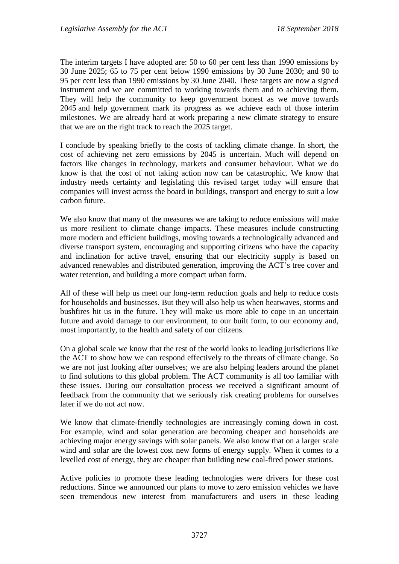The interim targets I have adopted are: 50 to 60 per cent less than 1990 emissions by 30 June 2025; 65 to 75 per cent below 1990 emissions by 30 June 2030; and 90 to 95 per cent less than 1990 emissions by 30 June 2040. These targets are now a signed instrument and we are committed to working towards them and to achieving them. They will help the community to keep government honest as we move towards 2045 and help government mark its progress as we achieve each of those interim milestones. We are already hard at work preparing a new climate strategy to ensure that we are on the right track to reach the 2025 target.

I conclude by speaking briefly to the costs of tackling climate change. In short, the cost of achieving net zero emissions by 2045 is uncertain. Much will depend on factors like changes in technology, markets and consumer behaviour. What we do know is that the cost of not taking action now can be catastrophic. We know that industry needs certainty and legislating this revised target today will ensure that companies will invest across the board in buildings, transport and energy to suit a low carbon future.

We also know that many of the measures we are taking to reduce emissions will make us more resilient to climate change impacts. These measures include constructing more modern and efficient buildings, moving towards a technologically advanced and diverse transport system, encouraging and supporting citizens who have the capacity and inclination for active travel, ensuring that our electricity supply is based on advanced renewables and distributed generation, improving the ACT's tree cover and water retention, and building a more compact urban form.

All of these will help us meet our long-term reduction goals and help to reduce costs for households and businesses. But they will also help us when heatwaves, storms and bushfires hit us in the future. They will make us more able to cope in an uncertain future and avoid damage to our environment, to our built form, to our economy and, most importantly, to the health and safety of our citizens.

On a global scale we know that the rest of the world looks to leading jurisdictions like the ACT to show how we can respond effectively to the threats of climate change. So we are not just looking after ourselves; we are also helping leaders around the planet to find solutions to this global problem. The ACT community is all too familiar with these issues. During our consultation process we received a significant amount of feedback from the community that we seriously risk creating problems for ourselves later if we do not act now.

We know that climate-friendly technologies are increasingly coming down in cost. For example, wind and solar generation are becoming cheaper and households are achieving major energy savings with solar panels. We also know that on a larger scale wind and solar are the lowest cost new forms of energy supply. When it comes to a levelled cost of energy, they are cheaper than building new coal-fired power stations.

Active policies to promote these leading technologies were drivers for these cost reductions. Since we announced our plans to move to zero emission vehicles we have seen tremendous new interest from manufacturers and users in these leading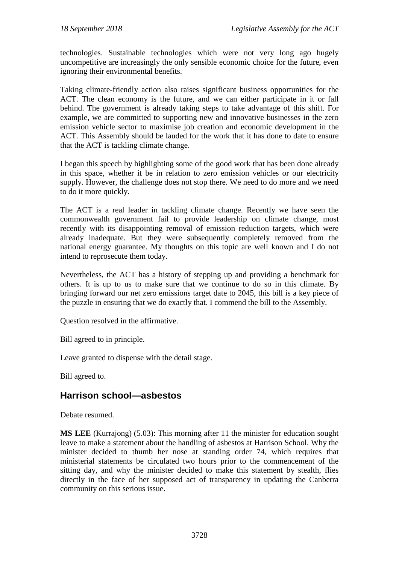technologies. Sustainable technologies which were not very long ago hugely uncompetitive are increasingly the only sensible economic choice for the future, even ignoring their environmental benefits.

Taking climate-friendly action also raises significant business opportunities for the ACT. The clean economy is the future, and we can either participate in it or fall behind. The government is already taking steps to take advantage of this shift. For example, we are committed to supporting new and innovative businesses in the zero emission vehicle sector to maximise job creation and economic development in the ACT. This Assembly should be lauded for the work that it has done to date to ensure that the ACT is tackling climate change.

I began this speech by highlighting some of the good work that has been done already in this space, whether it be in relation to zero emission vehicles or our electricity supply. However, the challenge does not stop there. We need to do more and we need to do it more quickly.

The ACT is a real leader in tackling climate change. Recently we have seen the commonwealth government fail to provide leadership on climate change, most recently with its disappointing removal of emission reduction targets, which were already inadequate. But they were subsequently completely removed from the national energy guarantee. My thoughts on this topic are well known and I do not intend to reprosecute them today.

Nevertheless, the ACT has a history of stepping up and providing a benchmark for others. It is up to us to make sure that we continue to do so in this climate. By bringing forward our net zero emissions target date to 2045, this bill is a key piece of the puzzle in ensuring that we do exactly that. I commend the bill to the Assembly.

Question resolved in the affirmative.

Bill agreed to in principle.

Leave granted to dispense with the detail stage.

Bill agreed to.

# **Harrison school—asbestos**

Debate resumed.

**MS LEE** (Kurrajong) (5.03): This morning after 11 the minister for education sought leave to make a statement about the handling of asbestos at Harrison School. Why the minister decided to thumb her nose at standing order 74, which requires that ministerial statements be circulated two hours prior to the commencement of the sitting day, and why the minister decided to make this statement by stealth, flies directly in the face of her supposed act of transparency in updating the Canberra community on this serious issue.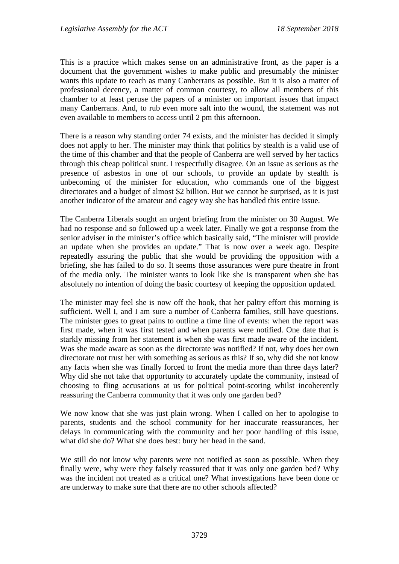This is a practice which makes sense on an administrative front, as the paper is a document that the government wishes to make public and presumably the minister wants this update to reach as many Canberrans as possible. But it is also a matter of professional decency, a matter of common courtesy, to allow all members of this chamber to at least peruse the papers of a minister on important issues that impact many Canberrans. And, to rub even more salt into the wound, the statement was not even available to members to access until 2 pm this afternoon.

There is a reason why standing order 74 exists, and the minister has decided it simply does not apply to her. The minister may think that politics by stealth is a valid use of the time of this chamber and that the people of Canberra are well served by her tactics through this cheap political stunt. I respectfully disagree. On an issue as serious as the presence of asbestos in one of our schools, to provide an update by stealth is unbecoming of the minister for education, who commands one of the biggest directorates and a budget of almost \$2 billion. But we cannot be surprised, as it is just another indicator of the amateur and cagey way she has handled this entire issue.

The Canberra Liberals sought an urgent briefing from the minister on 30 August. We had no response and so followed up a week later. Finally we got a response from the senior adviser in the minister's office which basically said, "The minister will provide an update when she provides an update." That is now over a week ago. Despite repeatedly assuring the public that she would be providing the opposition with a briefing, she has failed to do so. It seems those assurances were pure theatre in front of the media only. The minister wants to look like she is transparent when she has absolutely no intention of doing the basic courtesy of keeping the opposition updated.

The minister may feel she is now off the hook, that her paltry effort this morning is sufficient. Well I, and I am sure a number of Canberra families, still have questions. The minister goes to great pains to outline a time line of events: when the report was first made, when it was first tested and when parents were notified. One date that is starkly missing from her statement is when she was first made aware of the incident. Was she made aware as soon as the directorate was notified? If not, why does her own directorate not trust her with something as serious as this? If so, why did she not know any facts when she was finally forced to front the media more than three days later? Why did she not take that opportunity to accurately update the community, instead of choosing to fling accusations at us for political point-scoring whilst incoherently reassuring the Canberra community that it was only one garden bed?

We now know that she was just plain wrong. When I called on her to apologise to parents, students and the school community for her inaccurate reassurances, her delays in communicating with the community and her poor handling of this issue, what did she do? What she does best: bury her head in the sand.

We still do not know why parents were not notified as soon as possible. When they finally were, why were they falsely reassured that it was only one garden bed? Why was the incident not treated as a critical one? What investigations have been done or are underway to make sure that there are no other schools affected?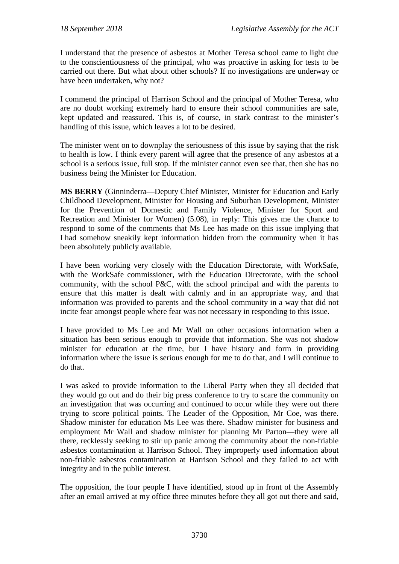I understand that the presence of asbestos at Mother Teresa school came to light due to the conscientiousness of the principal, who was proactive in asking for tests to be carried out there. But what about other schools? If no investigations are underway or have been undertaken, why not?

I commend the principal of Harrison School and the principal of Mother Teresa, who are no doubt working extremely hard to ensure their school communities are safe, kept updated and reassured. This is, of course, in stark contrast to the minister's handling of this issue, which leaves a lot to be desired.

The minister went on to downplay the seriousness of this issue by saying that the risk to health is low. I think every parent will agree that the presence of any asbestos at a school is a serious issue, full stop. If the minister cannot even see that, then she has no business being the Minister for Education.

**MS BERRY** (Ginninderra—Deputy Chief Minister, Minister for Education and Early Childhood Development, Minister for Housing and Suburban Development, Minister for the Prevention of Domestic and Family Violence, Minister for Sport and Recreation and Minister for Women) (5.08), in reply: This gives me the chance to respond to some of the comments that Ms Lee has made on this issue implying that I had somehow sneakily kept information hidden from the community when it has been absolutely publicly available.

I have been working very closely with the Education Directorate, with WorkSafe, with the WorkSafe commissioner, with the Education Directorate, with the school community, with the school P&C, with the school principal and with the parents to ensure that this matter is dealt with calmly and in an appropriate way, and that information was provided to parents and the school community in a way that did not incite fear amongst people where fear was not necessary in responding to this issue.

I have provided to Ms Lee and Mr Wall on other occasions information when a situation has been serious enough to provide that information. She was not shadow minister for education at the time, but I have history and form in providing information where the issue is serious enough for me to do that, and I will continue to do that.

I was asked to provide information to the Liberal Party when they all decided that they would go out and do their big press conference to try to scare the community on an investigation that was occurring and continued to occur while they were out there trying to score political points. The Leader of the Opposition, Mr Coe, was there. Shadow minister for education Ms Lee was there. Shadow minister for business and employment Mr Wall and shadow minister for planning Mr Parton—they were all there, recklessly seeking to stir up panic among the community about the non-friable asbestos contamination at Harrison School. They improperly used information about non-friable asbestos contamination at Harrison School and they failed to act with integrity and in the public interest.

The opposition, the four people I have identified, stood up in front of the Assembly after an email arrived at my office three minutes before they all got out there and said,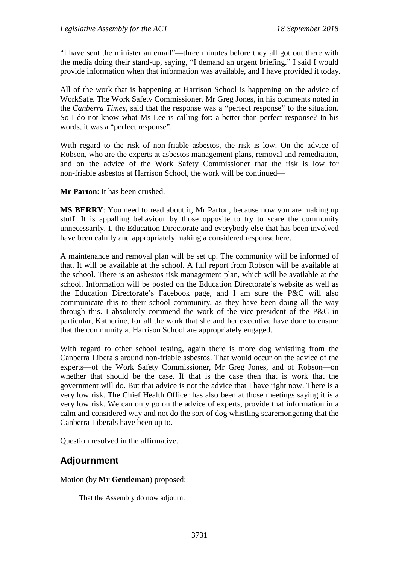"I have sent the minister an email"—three minutes before they all got out there with the media doing their stand-up, saying, "I demand an urgent briefing." I said I would provide information when that information was available, and I have provided it today.

All of the work that is happening at Harrison School is happening on the advice of WorkSafe. The Work Safety Commissioner, Mr Greg Jones, in his comments noted in the *Canberra Times*, said that the response was a "perfect response" to the situation. So I do not know what Ms Lee is calling for: a better than perfect response? In his words, it was a "perfect response".

With regard to the risk of non-friable asbestos, the risk is low. On the advice of Robson, who are the experts at asbestos management plans, removal and remediation, and on the advice of the Work Safety Commissioner that the risk is low for non-friable asbestos at Harrison School, the work will be continued—

**Mr Parton**: It has been crushed.

**MS BERRY**: You need to read about it, Mr Parton, because now you are making up stuff. It is appalling behaviour by those opposite to try to scare the community unnecessarily. I, the Education Directorate and everybody else that has been involved have been calmly and appropriately making a considered response here.

A maintenance and removal plan will be set up. The community will be informed of that. It will be available at the school. A full report from Robson will be available at the school. There is an asbestos risk management plan, which will be available at the school. Information will be posted on the Education Directorate's website as well as the Education Directorate's Facebook page, and I am sure the P&C will also communicate this to their school community, as they have been doing all the way through this. I absolutely commend the work of the vice-president of the P&C in particular, Katherine, for all the work that she and her executive have done to ensure that the community at Harrison School are appropriately engaged.

With regard to other school testing, again there is more dog whistling from the Canberra Liberals around non-friable asbestos. That would occur on the advice of the experts—of the Work Safety Commissioner, Mr Greg Jones, and of Robson—on whether that should be the case. If that is the case then that is work that the government will do. But that advice is not the advice that I have right now. There is a very low risk. The Chief Health Officer has also been at those meetings saying it is a very low risk. We can only go on the advice of experts, provide that information in a calm and considered way and not do the sort of dog whistling scaremongering that the Canberra Liberals have been up to.

Question resolved in the affirmative.

# **Adjournment**

Motion (by **Mr Gentleman**) proposed:

That the Assembly do now adjourn.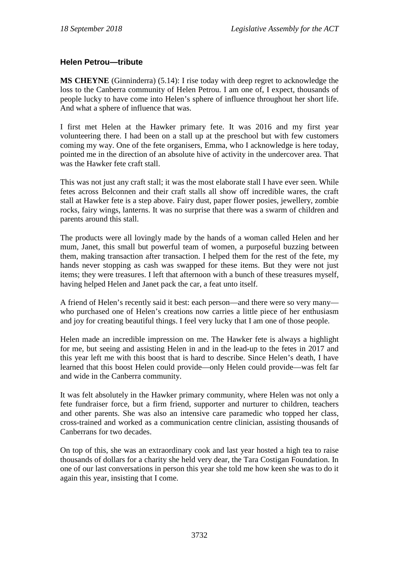### **Helen Petrou—tribute**

**MS CHEYNE** (Ginninderra) (5.14): I rise today with deep regret to acknowledge the loss to the Canberra community of Helen Petrou. I am one of, I expect, thousands of people lucky to have come into Helen's sphere of influence throughout her short life. And what a sphere of influence that was.

I first met Helen at the Hawker primary fete. It was 2016 and my first year volunteering there. I had been on a stall up at the preschool but with few customers coming my way. One of the fete organisers, Emma, who I acknowledge is here today, pointed me in the direction of an absolute hive of activity in the undercover area. That was the Hawker fete craft stall.

This was not just any craft stall; it was the most elaborate stall I have ever seen. While fetes across Belconnen and their craft stalls all show off incredible wares, the craft stall at Hawker fete is a step above. Fairy dust, paper flower posies, jewellery, zombie rocks, fairy wings, lanterns. It was no surprise that there was a swarm of children and parents around this stall.

The products were all lovingly made by the hands of a woman called Helen and her mum, Janet, this small but powerful team of women, a purposeful buzzing between them, making transaction after transaction. I helped them for the rest of the fete, my hands never stopping as cash was swapped for these items. But they were not just items; they were treasures. I left that afternoon with a bunch of these treasures myself, having helped Helen and Janet pack the car, a feat unto itself.

A friend of Helen's recently said it best: each person—and there were so very many who purchased one of Helen's creations now carries a little piece of her enthusiasm and joy for creating beautiful things. I feel very lucky that I am one of those people.

Helen made an incredible impression on me. The Hawker fete is always a highlight for me, but seeing and assisting Helen in and in the lead-up to the fetes in 2017 and this year left me with this boost that is hard to describe. Since Helen's death, I have learned that this boost Helen could provide—only Helen could provide—was felt far and wide in the Canberra community.

It was felt absolutely in the Hawker primary community, where Helen was not only a fete fundraiser force, but a firm friend, supporter and nurturer to children, teachers and other parents. She was also an intensive care paramedic who topped her class, cross-trained and worked as a communication centre clinician, assisting thousands of Canberrans for two decades.

On top of this, she was an extraordinary cook and last year hosted a high tea to raise thousands of dollars for a charity she held very dear, the Tara Costigan Foundation. In one of our last conversations in person this year she told me how keen she was to do it again this year, insisting that I come.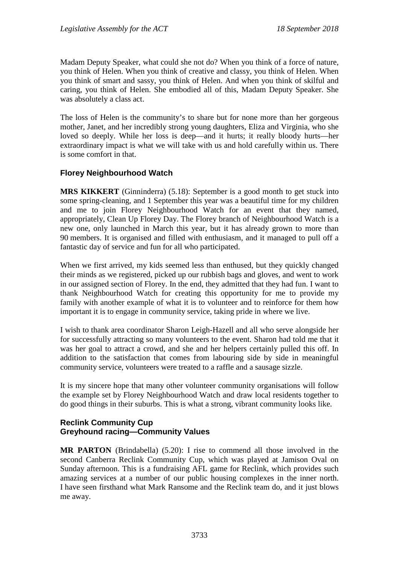Madam Deputy Speaker, what could she not do? When you think of a force of nature, you think of Helen. When you think of creative and classy, you think of Helen. When you think of smart and sassy, you think of Helen. And when you think of skilful and caring, you think of Helen. She embodied all of this, Madam Deputy Speaker. She was absolutely a class act.

The loss of Helen is the community's to share but for none more than her gorgeous mother, Janet, and her incredibly strong young daughters, Eliza and Virginia, who she loved so deeply. While her loss is deep—and it hurts; it really bloody hurts—her extraordinary impact is what we will take with us and hold carefully within us. There is some comfort in that.

## **Florey Neighbourhood Watch**

**MRS KIKKERT** (Ginninderra) (5.18): September is a good month to get stuck into some spring-cleaning, and 1 September this year was a beautiful time for my children and me to join Florey Neighbourhood Watch for an event that they named, appropriately, Clean Up Florey Day. The Florey branch of Neighbourhood Watch is a new one, only launched in March this year, but it has already grown to more than 90 members. It is organised and filled with enthusiasm, and it managed to pull off a fantastic day of service and fun for all who participated.

When we first arrived, my kids seemed less than enthused, but they quickly changed their minds as we registered, picked up our rubbish bags and gloves, and went to work in our assigned section of Florey. In the end, they admitted that they had fun. I want to thank Neighbourhood Watch for creating this opportunity for me to provide my family with another example of what it is to volunteer and to reinforce for them how important it is to engage in community service, taking pride in where we live.

I wish to thank area coordinator Sharon Leigh-Hazell and all who serve alongside her for successfully attracting so many volunteers to the event. Sharon had told me that it was her goal to attract a crowd, and she and her helpers certainly pulled this off. In addition to the satisfaction that comes from labouring side by side in meaningful community service, volunteers were treated to a raffle and a sausage sizzle.

It is my sincere hope that many other volunteer community organisations will follow the example set by Florey Neighbourhood Watch and draw local residents together to do good things in their suburbs. This is what a strong, vibrant community looks like.

#### **Reclink Community Cup Greyhound racing—Community Values**

**MR PARTON** (Brindabella) (5.20): I rise to commend all those involved in the second Canberra Reclink Community Cup, which was played at Jamison Oval on Sunday afternoon. This is a fundraising AFL game for Reclink, which provides such amazing services at a number of our public housing complexes in the inner north. I have seen firsthand what Mark Ransome and the Reclink team do, and it just blows me away.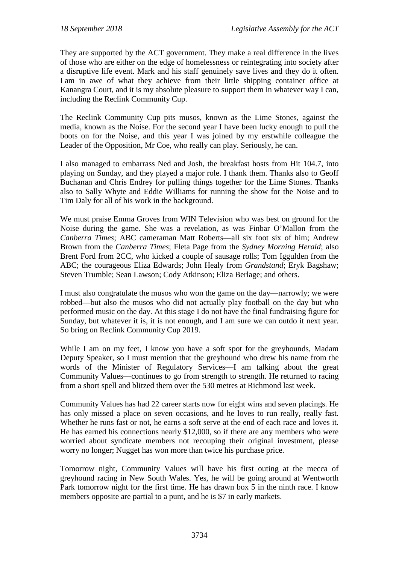They are supported by the ACT government. They make a real difference in the lives of those who are either on the edge of homelessness or reintegrating into society after a disruptive life event. Mark and his staff genuinely save lives and they do it often. I am in awe of what they achieve from their little shipping container office at Kanangra Court, and it is my absolute pleasure to support them in whatever way I can, including the Reclink Community Cup.

The Reclink Community Cup pits musos, known as the Lime Stones, against the media, known as the Noise. For the second year I have been lucky enough to pull the boots on for the Noise, and this year I was joined by my erstwhile colleague the Leader of the Opposition, Mr Coe, who really can play. Seriously, he can.

I also managed to embarrass Ned and Josh, the breakfast hosts from Hit 104.7, into playing on Sunday, and they played a major role. I thank them. Thanks also to Geoff Buchanan and Chris Endrey for pulling things together for the Lime Stones. Thanks also to Sally Whyte and Eddie Williams for running the show for the Noise and to Tim Daly for all of his work in the background.

We must praise Emma Groves from WIN Television who was best on ground for the Noise during the game. She was a revelation, as was Finbar O'Mallon from the *Canberra Times*; ABC cameraman Matt Roberts—all six foot six of him; Andrew Brown from the *Canberra Times*; Fleta Page from the *Sydney Morning Herald*; also Brent Ford from 2CC, who kicked a couple of sausage rolls; Tom Iggulden from the ABC; the courageous Eliza Edwards; John Healy from *Grandstand*; Eryk Bagshaw; Steven Trumble; Sean Lawson; Cody Atkinson; Eliza Berlage; and others.

I must also congratulate the musos who won the game on the day—narrowly; we were robbed—but also the musos who did not actually play football on the day but who performed music on the day. At this stage I do not have the final fundraising figure for Sunday, but whatever it is, it is not enough, and I am sure we can outdo it next year. So bring on Reclink Community Cup 2019.

While I am on my feet, I know you have a soft spot for the greyhounds, Madam Deputy Speaker, so I must mention that the greyhound who drew his name from the words of the Minister of Regulatory Services—I am talking about the great Community Values—continues to go from strength to strength. He returned to racing from a short spell and blitzed them over the 530 metres at Richmond last week.

Community Values has had 22 career starts now for eight wins and seven placings. He has only missed a place on seven occasions, and he loves to run really, really fast. Whether he runs fast or not, he earns a soft serve at the end of each race and loves it. He has earned his connections nearly \$12,000, so if there are any members who were worried about syndicate members not recouping their original investment, please worry no longer; Nugget has won more than twice his purchase price.

Tomorrow night, Community Values will have his first outing at the mecca of greyhound racing in New South Wales. Yes, he will be going around at Wentworth Park tomorrow night for the first time. He has drawn box 5 in the ninth race. I know members opposite are partial to a punt, and he is \$7 in early markets.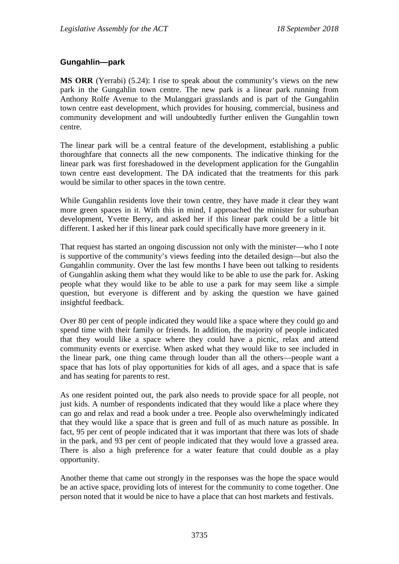### **Gungahlin—park**

**MS ORR** (Yerrabi) (5.24): I rise to speak about the community's views on the new park in the Gungahlin town centre. The new park is a linear park running from Anthony Rolfe Avenue to the Mulanggari grasslands and is part of the Gungahlin town centre east development, which provides for housing, commercial, business and community development and will undoubtedly further enliven the Gungahlin town centre.

The linear park will be a central feature of the development, establishing a public thoroughfare that connects all the new components. The indicative thinking for the linear park was first foreshadowed in the development application for the Gungahlin town centre east development. The DA indicated that the treatments for this park would be similar to other spaces in the town centre.

While Gungahlin residents love their town centre, they have made it clear they want more green spaces in it. With this in mind, I approached the minister for suburban development, Yvette Berry, and asked her if this linear park could be a little bit different. I asked her if this linear park could specifically have more greenery in it.

That request has started an ongoing discussion not only with the minister—who I note is supportive of the community's views feeding into the detailed design—but also the Gungahlin community. Over the last few months I have been out talking to residents of Gungahlin asking them what they would like to be able to use the park for. Asking people what they would like to be able to use a park for may seem like a simple question, but everyone is different and by asking the question we have gained insightful feedback.

Over 80 per cent of people indicated they would like a space where they could go and spend time with their family or friends. In addition, the majority of people indicated that they would like a space where they could have a picnic, relax and attend community events or exercise. When asked what they would like to see included in the linear park, one thing came through louder than all the others—people want a space that has lots of play opportunities for kids of all ages, and a space that is safe and has seating for parents to rest.

As one resident pointed out, the park also needs to provide space for all people, not just kids. A number of respondents indicated that they would like a place where they can go and relax and read a book under a tree. People also overwhelmingly indicated that they would like a space that is green and full of as much nature as possible. In fact, 95 per cent of people indicated that it was important that there was lots of shade in the park, and 93 per cent of people indicated that they would love a grassed area. There is also a high preference for a water feature that could double as a play opportunity.

Another theme that came out strongly in the responses was the hope the space would be an active space, providing lots of interest for the community to come together. One person noted that it would be nice to have a place that can host markets and festivals.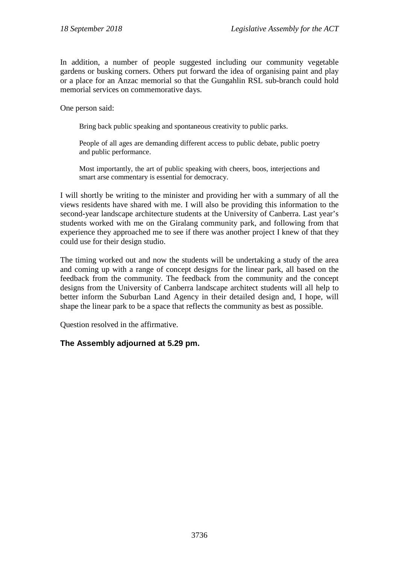In addition, a number of people suggested including our community vegetable gardens or busking corners. Others put forward the idea of organising paint and play or a place for an Anzac memorial so that the Gungahlin RSL sub-branch could hold memorial services on commemorative days.

One person said:

Bring back public speaking and spontaneous creativity to public parks.

People of all ages are demanding different access to public debate, public poetry and public performance.

Most importantly, the art of public speaking with cheers, boos, interjections and smart arse commentary is essential for democracy.

I will shortly be writing to the minister and providing her with a summary of all the views residents have shared with me. I will also be providing this information to the second-year landscape architecture students at the University of Canberra. Last year's students worked with me on the Giralang community park, and following from that experience they approached me to see if there was another project I knew of that they could use for their design studio.

The timing worked out and now the students will be undertaking a study of the area and coming up with a range of concept designs for the linear park, all based on the feedback from the community. The feedback from the community and the concept designs from the University of Canberra landscape architect students will all help to better inform the Suburban Land Agency in their detailed design and, I hope, will shape the linear park to be a space that reflects the community as best as possible.

Question resolved in the affirmative.

## **The Assembly adjourned at 5.29 pm.**